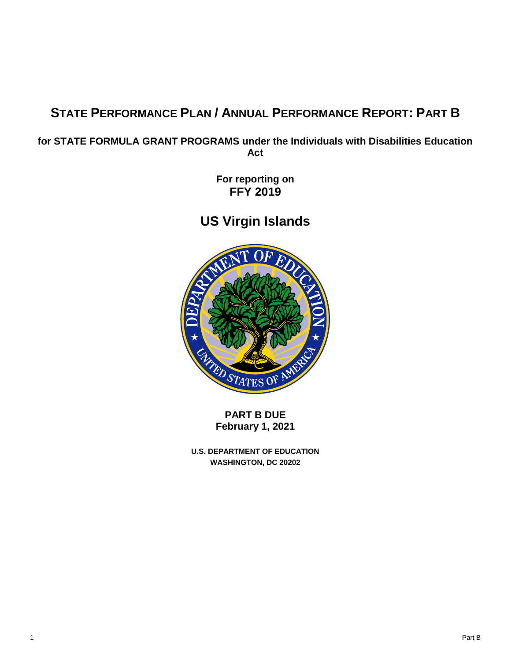# **STATE PERFORMANCE PLAN / ANNUAL PERFORMANCE REPORT: PART B**

**for STATE FORMULA GRANT PROGRAMS under the Individuals with Disabilities Education Act**

> **For reporting on FFY 2019**

**US Virgin Islands**



**PART B DUE February 1, 2021**

**U.S. DEPARTMENT OF EDUCATION WASHINGTON, DC 20202**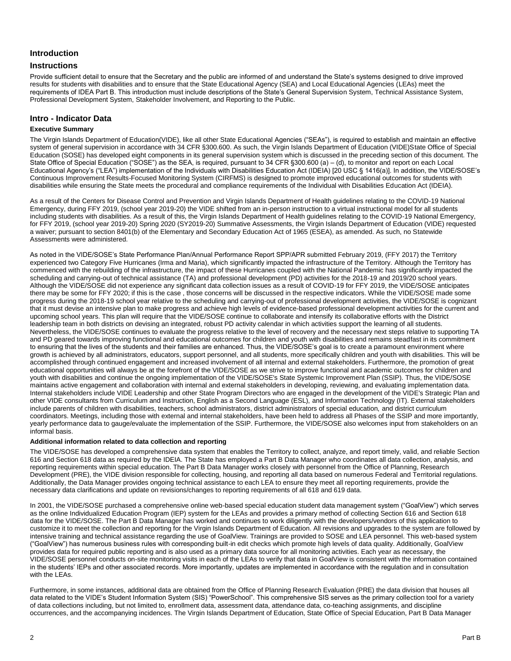# **Introduction**

# **Instructions**

Provide sufficient detail to ensure that the Secretary and the public are informed of and understand the State's systems designed to drive improved results for students with disabilities and to ensure that the State Educational Agency (SEA) and Local Educational Agencies (LEAs) meet the requirements of IDEA Part B. This introduction must include descriptions of the State's General Supervision System, Technical Assistance System, Professional Development System, Stakeholder Involvement, and Reporting to the Public.

# **Intro - Indicator Data**

### **Executive Summary**

The Virgin Islands Department of Education(VIDE), like all other State Educational Agencies ("SEAs"), is required to establish and maintain an effective system of general supervision in accordance with 34 CFR §300.600. As such, the Virgin Islands Department of Education (VIDE)State Office of Special Education (SOSE) has developed eight components in its general supervision system which is discussed in the preceding section of this document. The State Office of Special Education ("SOSE") as the SEA, is required, pursuant to 34 CFR §300.600 (a) – (d), to monitor and report on each Local Educational Agency's ("LEA") implementation of the Individuals with Disabilities Education Act (IDEIA) [20 USC § 1416(a)]. In addition, the VIDE/SOSE's Continuous Improvement Results-Focused Monitoring System (CIRFMS) is designed to promote improved educational outcomes for students with disabilities while ensuring the State meets the procedural and compliance requirements of the Individual with Disabilities Education Act (IDEIA).

As a result of the Centers for Disease Control and Prevention and Virgin Islands Department of Health guidelines relating to the COVID-19 National Emergency, during FFY 2019, (school year 2019-20) the VIDE shifted from an in-person instruction to a virtual instructional model for all students including students with disabilities. As a result of this, the Virgin Islands Department of Health guidelines relating to the COVID-19 National Emergency, for FFY 2019, (school year 2019-20) Spring 2020 (SY2019-20) Summative Assessments, the Virgin Islands Department of Education (VIDE) requested a waiver; pursuant to section 8401(b) of the Elementary and Secondary Education Act of 1965 (ESEA), as amended. As such, no Statewide Assessments were administered.

As noted in the VIDE/SOSE's State Performance Plan/Annual Performance Report SPP/APR submitted February 2019, (FFY 2017) the Territory experienced two Category Five Hurricanes (Irma and Maria), which significantly impacted the infrastructure of the Territory. Although the Territory has commenced with the rebuilding of the infrastructure, the impact of these Hurricanes coupled with the National Pandemic has significantly impacted the scheduling and carrying-out of technical assistance (TA) and professional development (PD) activities for the 2018-19 and 2019/20 school years. Although the VIDE/SOSE did not experience any significant data collection issues as a result of COVID-19 for FFY 2019, the VIDE/SOSE anticipates there may be some for FFY 2020; if this is the case , those concerns will be discussed in the respective indicators. While the VIDE/SOSE made some progress during the 2018-19 school year relative to the scheduling and carrying-out of professional development activities, the VIDE/SOSE is cognizant that it must devise an intensive plan to make progress and achieve high levels of evidence-based professional development activities for the current and upcoming school years. This plan will require that the VIDE/SOSE continue to collaborate and intensify its collaborative efforts with the District leadership team in both districts on devising an integrated, robust PD activity calendar in which activities support the learning of all students. Nevertheless, the VIDE/SOSE continues to evaluate the progress relative to the level of recovery and the necessary next steps relative to supporting TA and PD geared towards improving functional and educational outcomes for children and youth with disabilities and remains steadfast in its commitment to ensuring that the lives of the students and their families are enhanced. Thus, the VIDE/SOSE's goal is to create a paramount environment where growth is achieved by all administrators, educators, support personnel, and all students, more specifically children and youth with disabilities. This will be accomplished through continued engagement and increased involvement of all internal and external stakeholders. Furthermore, the promotion of great educational opportunities will always be at the forefront of the VIDE/SOSE as we strive to improve functional and academic outcomes for children and youth with disabilities and continue the ongoing implementation of the VIDE/SOSE's State Systemic Improvement Plan (SSIP). Thus, the VIDE/SOSE maintains active engagement and collaboration with internal and external stakeholders in developing, reviewing, and evaluating implementation data. Internal stakeholders include VIDE Leadership and other State Program Directors who are engaged in the development of the VIDE's Strategic Plan and other VIDE consultants from Curriculum and Instruction, English as a Second Language (ESL), and Information Technology (IT). External stakeholders include parents of children with disabilities, teachers, school administrators, district administrators of special education, and district curriculum coordinators. Meetings, including those with external and internal stakeholders, have been held to address all Phases of the SSIP and more importantly, yearly performance data to gauge/evaluate the implementation of the SSIP. Furthermore, the VIDE/SOSE also welcomes input from stakeholders on an informal basis.

#### **Additional information related to data collection and reporting**

The VIDE/SOSE has developed a comprehensive data system that enables the Territory to collect, analyze, and report timely, valid, and reliable Section 616 and Section 618 data as required by the IDEIA. The State has employed a Part B Data Manager who coordinates all data collection, analysis, and reporting requirements within special education. The Part B Data Manager works closely with personnel from the Office of Planning, Research Development (PRE), the VIDE division responsible for collecting, housing, and reporting all data based on numerous Federal and Territorial regulations. Additionally, the Data Manager provides ongoing technical assistance to each LEA to ensure they meet all reporting requirements, provide the necessary data clarifications and update on revisions/changes to reporting requirements of all 618 and 619 data.

In 2001, the VIDE/SOSE purchased a comprehensive online web-based special education student data management system ("GoalView") which serves as the online Individualized Education Program (IEP) system for the LEAs and provides a primary method of collecting Section 616 and Section 618 data for the VIDE/SOSE. The Part B Data Manager has worked and continues to work diligently with the developers/vendors of this application to customize it to meet the collection and reporting for the Virgin Islands Department of Education. All revisions and upgrades to the system are followed by intensive training and technical assistance regarding the use of GoalView. Trainings are provided to SOSE and LEA personnel. This web-based system ("GoalView") has numerous business rules with corresponding built-in edit checks which promote high levels of data quality. Additionally, GoalView provides data for required public reporting and is also used as a primary data source for all monitoring activities. Each year as necessary, the VIDE/SOSE personnel conducts on-site monitoring visits in each of the LEAs to verify that data in GoalView is consistent with the information contained in the students' IEPs and other associated records. More importantly, updates are implemented in accordance with the regulation and in consultation with the LEAs.

Furthermore, in some instances, additional data are obtained from the Office of Planning Research Evaluation (PRE) the data division that houses all data related to the VIDE's Student Information System (SIS) "PowerSchool". This comprehensive SIS serves as the primary collection tool for a variety of data collections including, but not limited to, enrollment data, assessment data, attendance data, co-teaching assignments, and discipline occurrences, and the accompanying incidences. The Virgin Islands Department of Education, State Office of Special Education, Part B Data Manager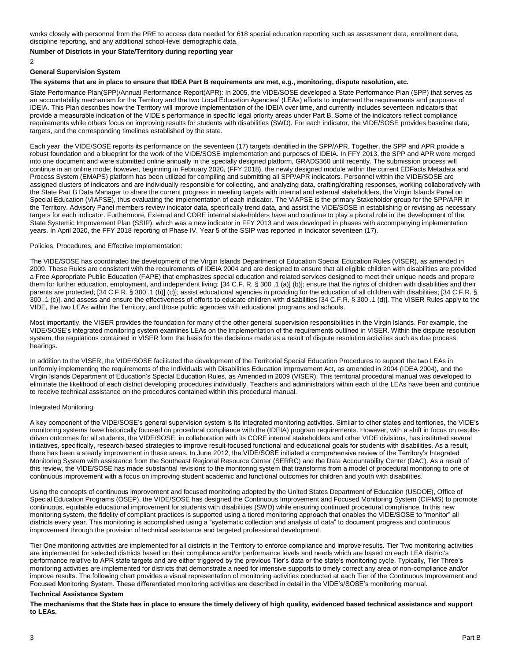works closely with personnel from the PRE to access data needed for 618 special education reporting such as assessment data, enrollment data, discipline reporting, and any additional school-level demographic data.

#### **Number of Districts in your State/Territory during reporting year**

2

#### **General Supervision System**

### **The systems that are in place to ensure that IDEA Part B requirements are met, e.g., monitoring, dispute resolution, etc.**

State Performance Plan(SPP)/Annual Performance Report(APR): In 2005, the VIDE/SOSE developed a State Performance Plan (SPP) that serves as an accountability mechanism for the Territory and the two Local Education Agencies' (LEAs) efforts to implement the requirements and purposes of IDEIA. This Plan describes how the Territory will improve implementation of the IDEIA over time, and currently includes seventeen indicators that provide a measurable indication of the VIDE's performance in specific legal priority areas under Part B. Some of the indicators reflect compliance requirements while others focus on improving results for students with disabilities (SWD). For each indicator, the VIDE/SOSE provides baseline data, targets, and the corresponding timelines established by the state.

Each year, the VIDE/SOSE reports its performance on the seventeen (17) targets identified in the SPP/APR. Together, the SPP and APR provide a robust foundation and a blueprint for the work of the VIDE/SOSE implementation and purposes of IDEIA. In FFY 2013, the SPP and APR were merged into one document and were submitted online annually in the specially designed platform, GRADS360 until recently. The submission process will continue in an online mode; however, beginning in February 2020, (FFY 2018), the newly designed module within the current EDFacts Metadata and Process System (EMAPS) platform has been utilized for compiling and submitting all SPP/APR indicators. Personnel within the VIDE/SOSE are assigned clusters of indicators and are individually responsible for collecting, and analyzing data, crafting/drafting responses, working collaboratively with the State Part B Data Manager to share the current progress in meeting targets with internal and external stakeholders, the Virgin Islands Panel on Special Education (VIAPSE), thus evaluating the implementation of each indicator. The VIAPSE is the primary Stakeholder group for the SPP/APR in the Territory. Advisory Panel members review indicator data, specifically trend data, and assist the VIDE/SOSE in establishing or revising as necessary targets for each indicator. Furthermore, External and CORE internal stakeholders have and continue to play a pivotal role in the development of the State Systemic Improvement Plan (SSIP), which was a new indicator in FFY 2013 and was developed in phases with accompanying implementation years. In April 2020, the FFY 2018 reporting of Phase IV, Year 5 of the SSIP was reported in Indicator seventeen (17).

#### Policies, Procedures, and Effective Implementation:

The VIDE/SOSE has coordinated the development of the Virgin Islands Department of Education Special Education Rules (VISER), as amended in 2009. These Rules are consistent with the requirements of IDEIA 2004 and are designed to ensure that all eligible children with disabilities are provided a Free Appropriate Public Education (FAPE) that emphasizes special education and related services designed to meet their unique needs and prepare them for further education, employment, and independent living; [34 C.F. R. § 300 .1 (a)] (b)]; ensure that the rights of children with disabilities and their parents are protected; [34 C.F.R. § 300 .1 (b)] (c)]; assist educational agencies in providing for the education of all children with disabilities; [34 C.F.R. § 300 .1 (c)], and assess and ensure the effectiveness of efforts to educate children with disabilities [34 C.F.R. § 300 .1 (d)]. The VISER Rules apply to the VIDE, the two LEAs within the Territory, and those public agencies with educational programs and schools.

Most importantly, the VISER provides the foundation for many of the other general supervision responsibilities in the Virgin Islands. For example, the VIDE/SOSE's integrated monitoring system examines LEAs on the implementation of the requirements outlined in VISER. Within the dispute resolution system, the regulations contained in VISER form the basis for the decisions made as a result of dispute resolution activities such as due process hearings.

In addition to the VISER, the VIDE/SOSE facilitated the development of the Territorial Special Education Procedures to support the two LEAs in uniformly implementing the requirements of the Individuals with Disabilities Education Improvement Act, as amended in 2004 (IDEA 2004), and the Virgin Islands Department of Education's Special Education Rules, as Amended in 2009 (VISER). This territorial procedural manual was developed to eliminate the likelihood of each district developing procedures individually. Teachers and administrators within each of the LEAs have been and continue to receive technical assistance on the procedures contained within this procedural manual.

#### Integrated Monitoring:

A key component of the VIDE/SOSE's general supervision system is its integrated monitoring activities. Similar to other states and territories, the VIDE's monitoring systems have historically focused on procedural compliance with the (IDEIA) program requirements. However, with a shift in focus on resultsdriven outcomes for all students, the VIDE/SOSE, in collaboration with its CORE internal stakeholders and other VIDE divisions, has instituted several initiatives, specifically, research-based strategies to improve result-focused functional and educational goals for students with disabilities. As a result, there has been a steady improvement in these areas. In June 2012, the VIDE/SOSE initiated a comprehensive review of the Territory's Integrated Monitoring System with assistance from the Southeast Regional Resource Center (SERRC) and the Data Accountability Center (DAC). As a result of this review, the VIDE/SOSE has made substantial revisions to the monitoring system that transforms from a model of procedural monitoring to one of continuous improvement with a focus on improving student academic and functional outcomes for children and youth with disabilities.

Using the concepts of continuous improvement and focused monitoring adopted by the United States Department of Education (USDOE), Office of Special Education Programs (OSEP), the VIDE/SOSE has designed the Continuous Improvement and Focused Monitoring System (CIFMS) to promote continuous, equitable educational improvement for students with disabilities (SWD) while ensuring continued procedural compliance. In this new monitoring system, the fidelity of compliant practices is supported using a tiered monitoring approach that enables the VIDE/SOSE to "monitor" all districts every year. This monitoring is accomplished using a "systematic collection and analysis of data" to document progress and continuous improvement through the provision of technical assistance and targeted professional development.

Tier One monitoring activities are implemented for all districts in the Territory to enforce compliance and improve results. Tier Two monitoring activities are implemented for selected districts based on their compliance and/or performance levels and needs which are based on each LEA district's performance relative to APR state targets and are either triggered by the previous Tier's data or the state's monitoring cycle. Typically, Tier Three's monitoring activities are implemented for districts that demonstrate a need for intensive supports to timely correct any area of non-compliance and/or improve results. The following chart provides a visual representation of monitoring activities conducted at each Tier of the Continuous Improvement and Focused Monitoring System. These differentiated monitoring activities are described in detail in the VIDE's/SOSE's monitoring manual.

#### **Technical Assistance System**

**The mechanisms that the State has in place to ensure the timely delivery of high quality, evidenced based technical assistance and support to LEAs.**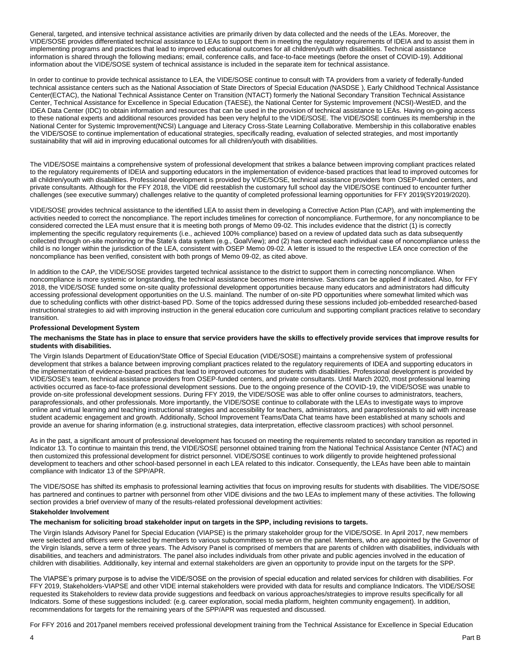General, targeted, and intensive technical assistance activities are primarily driven by data collected and the needs of the LEAs. Moreover, the VIDE/SOSE provides differentiated technical assistance to LEAs to support them in meeting the regulatory requirements of IDEIA and to assist them in implementing programs and practices that lead to improved educational outcomes for all children/youth with disabilities. Technical assistance information is shared through the following medians; email, conference calls, and face-to-face meetings (before the onset of COVID-19). Additional information about the VIDE/SOSE system of technical assistance is included in the separate item for technical assistance.

In order to continue to provide technical assistance to LEA, the VIDE/SOSE continue to consult with TA providers from a variety of federally-funded technical assistance centers such as the National Association of State Directors of Special Education (NASDSE ), Early Childhood Technical Assistance Center(ECTAC), the National Technical Assistance Center on Transition (NTACT) formerly the National Secondary Transition Technical Assistance Center, Technical Assistance for Excellence in Special Education (TAESE), the National Center for Systemic Improvement (NCSI)-WestED, and the IDEA Data Center (IDC) to obtain information and resources that can be used in the provision of technical assistance to LEAs. Having on-going access to these national experts and additional resources provided has been very helpful to the VIDE/SOSE. The VIDE/SOSE continues its membership in the National Center for Systemic Improvement(NCSI) Language and Literacy Cross-State Learning Collaborative. Membership in this collaborative enables the VIDE/SOSE to continue implementation of educational strategies, specifically reading, evaluation of selected strategies, and most importantly sustainability that will aid in improving educational outcomes for all children/youth with disabilities.

The VIDE/SOSE maintains a comprehensive system of professional development that strikes a balance between improving compliant practices related to the regulatory requirements of IDEIA and supporting educators in the implementation of evidence-based practices that lead to improved outcomes for all children/youth with disabilities. Professional development is provided by VIDE/SOSE, technical assistance providers from OSEP-funded centers, and private consultants. Although for the FFY 2018, the VIDE did reestablish the customary full school day the VIDE/SOSE continued to encounter further challenges (see executive summary) challenges relative to the quantity of completed professional learning opportunities for FFY 2019(SY2019/2020).

VIDE/SOSE provides technical assistance to the identified LEA to assist them in developing a Corrective Action Plan (CAP), and with implementing the activities needed to correct the noncompliance. The report includes timelines for correction of noncompliance. Furthermore, for any noncompliance to be considered corrected the LEA must ensure that it is meeting both prongs of Memo 09-02. This includes evidence that the district (1) is correctly implementing the specific regulatory requirements (i.e., achieved 100% compliance) based on a review of updated data such as data subsequently collected through on-site monitoring or the State's data system (e.g., GoalView); and (2) has corrected each individual case of noncompliance unless the child is no longer within the jurisdiction of the LEA, consistent with OSEP Memo 09-02. A letter is issued to the respective LEA once correction of the noncompliance has been verified, consistent with both prongs of Memo 09-02, as cited above.

In addition to the CAP, the VIDE/SOSE provides targeted technical assistance to the district to support them in correcting noncompliance. When noncompliance is more systemic or longstanding, the technical assistance becomes more intensive. Sanctions can be applied if indicated. Also, for FFY 2018, the VIDE/SOSE funded some on-site quality professional development opportunities because many educators and administrators had difficulty accessing professional development opportunities on the U.S. mainland. The number of on-site PD opportunities where somewhat limited which was due to scheduling conflicts with other district-based PD. Some of the topics addressed during these sessions included job-embedded researched-based instructional strategies to aid with improving instruction in the general education core curriculum and supporting compliant practices relative to secondary transition.

#### **Professional Development System**

#### **The mechanisms the State has in place to ensure that service providers have the skills to effectively provide services that improve results for students with disabilities.**

The Virgin Islands Department of Education/State Office of Special Education (VIDE/SOSE) maintains a comprehensive system of professional development that strikes a balance between improving compliant practices related to the regulatory requirements of IDEA and supporting educators in the implementation of evidence-based practices that lead to improved outcomes for students with disabilities. Professional development is provided by VIDE/SOSE's team, technical assistance providers from OSEP-funded centers, and private consultants. Until March 2020, most professional learning activities occurred as face-to-face professional development sessions. Due to the ongoing presence of the COVID-19, the VIDE/SOSE was unable to provide on-site professional development sessions. During FFY 2019, the VIDE/SOSE was able to offer online courses to administrators, teachers, paraprofessionals, and other professionals. More importantly, the VIDE/SOSE continue to collaborate with the LEAs to investigate ways to improve online and virtual learning and teaching instructional strategies and accessibility for teachers, administrators, and paraprofessionals to aid with increase student academic engagement and growth. Additionally, School Improvement Teams/Data Chat teams have been established at many schools and provide an avenue for sharing information (e.g. instructional strategies, data interpretation, effective classroom practices) with school personnel.

As in the past, a significant amount of professional development has focused on meeting the requirements related to secondary transition as reported in Indicator 13. To continue to maintain this trend, the VIDE/SOSE personnel obtained training from the National Technical Assistance Center (NTAC) and then customized this professional development for district personnel. VIDE/SOSE continues to work diligently to provide heightened professional development to teachers and other school-based personnel in each LEA related to this indicator. Consequently, the LEAs have been able to maintain compliance with Indicator 13 of the SPP/APR.

The VIDE/SOSE has shifted its emphasis to professional learning activities that focus on improving results for students with disabilities. The VIDE/SOSE has partnered and continues to partner with personnel from other VIDE divisions and the two LEAs to implement many of these activities. The following section provides a brief overview of many of the results-related professional development activities:

#### **Stakeholder Involvement**

### **The mechanism for soliciting broad stakeholder input on targets in the SPP, including revisions to targets.**

The Virgin Islands Advisory Panel for Special Education (VIAPSE) is the primary stakeholder group for the VIDE/SOSE. In April 2017, new members were selected and officers were selected by members to various subcommittees to serve on the panel. Members, who are appointed by the Governor of the Virgin Islands, serve a term of three years. The Advisory Panel is comprised of members that are parents of children with disabilities, individuals with disabilities, and teachers and administrators. The panel also includes individuals from other private and public agencies involved in the education of children with disabilities. Additionally, key internal and external stakeholders are given an opportunity to provide input on the targets for the SPP.

The VIAPSE's primary purpose is to advise the VIDE/SOSE on the provision of special education and related services for children with disabilities. For FFY 2019, Stakeholders-VIAPSE and other VIDE internal stakeholders were provided with data for results and compliance Indicators. The VIDE/SOSE requested its Stakeholders to review data provide suggestions and feedback on various approaches/strategies to improve results specifically for all Indicators. Some of these suggestions included: (e.g. career exploration, social media platform, heighten community engagement). In addition, recommendations for targets for the remaining years of the SPP/APR was requested and discussed.

For FFY 2016 and 2017panel members received professional development training from the Technical Assistance for Excellence in Special Education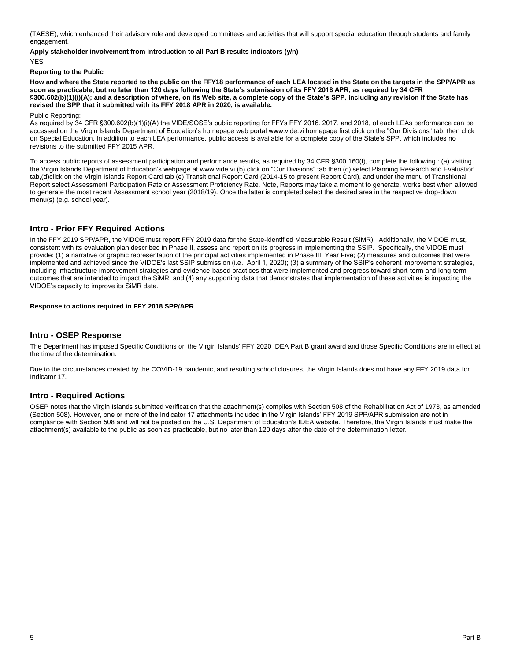(TAESE), which enhanced their advisory role and developed committees and activities that will support special education through students and family engagement.

**Apply stakeholder involvement from introduction to all Part B results indicators (y/n)**

YES

#### **Reporting to the Public**

**How and where the State reported to the public on the FFY18 performance of each LEA located in the State on the targets in the SPP/APR as soon as practicable, but no later than 120 days following the State's submission of its FFY 2018 APR, as required by 34 CFR §300.602(b)(1)(i)(A); and a description of where, on its Web site, a complete copy of the State's SPP, including any revision if the State has revised the SPP that it submitted with its FFY 2018 APR in 2020, is available.**

Public Reporting:

As required by 34 CFR §300.602(b)(1)(i)(A) the VIDE/SOSE's public reporting for FFYs FFY 2016. 2017, and 2018, of each LEAs performance can be accessed on the Virgin Islands Department of Education's homepage web portal www.vide.vi homepage first click on the "Our Divisions" tab, then click on Special Education. In addition to each LEA performance, public access is available for a complete copy of the State's SPP, which includes no revisions to the submitted FFY 2015 APR.

To access public reports of assessment participation and performance results, as required by 34 CFR §300.160(f), complete the following : (a) visiting the Virgin Islands Department of Education's webpage at www.vide.vi (b) click on "Our Divisions" tab then (c) select Planning Research and Evaluation tab,(d)click on the Virgin Islands Report Card tab (e) Transitional Report Card (2014-15 to present Report Card), and under the menu of Transitional Report select Assessment Participation Rate or Assessment Proficiency Rate. Note, Reports may take a moment to generate, works best when allowed to generate the most recent Assessment school year (2018/19). Once the latter is completed select the desired area in the respective drop-down menu(s) (e.g. school year).

# **Intro - Prior FFY Required Actions**

In the FFY 2019 SPP/APR, the VIDOE must report FFY 2019 data for the State-identified Measurable Result (SiMR). Additionally, the VIDOE must, consistent with its evaluation plan described in Phase II, assess and report on its progress in implementing the SSIP. Specifically, the VIDOE must provide: (1) a narrative or graphic representation of the principal activities implemented in Phase III, Year Five; (2) measures and outcomes that were implemented and achieved since the VIDOE's last SSIP submission (i.e., April 1, 2020); (3) a summary of the SSIP's coherent improvement strategies, including infrastructure improvement strategies and evidence-based practices that were implemented and progress toward short-term and long-term outcomes that are intended to impact the SiMR; and (4) any supporting data that demonstrates that implementation of these activities is impacting the VIDOE's capacity to improve its SiMR data.

## **Response to actions required in FFY 2018 SPP/APR**

# **Intro - OSEP Response**

The Department has imposed Specific Conditions on the Virgin Islands' FFY 2020 IDEA Part B grant award and those Specific Conditions are in effect at the time of the determination.

Due to the circumstances created by the COVID-19 pandemic, and resulting school closures, the Virgin Islands does not have any FFY 2019 data for Indicator 17.

## **Intro - Required Actions**

OSEP notes that the Virgin Islands submitted verification that the attachment(s) complies with Section 508 of the Rehabilitation Act of 1973, as amended (Section 508). However, one or more of the Indicator 17 attachments included in the Virgin Islands' FFY 2019 SPP/APR submission are not in compliance with Section 508 and will not be posted on the U.S. Department of Education's IDEA website. Therefore, the Virgin Islands must make the attachment(s) available to the public as soon as practicable, but no later than 120 days after the date of the determination letter.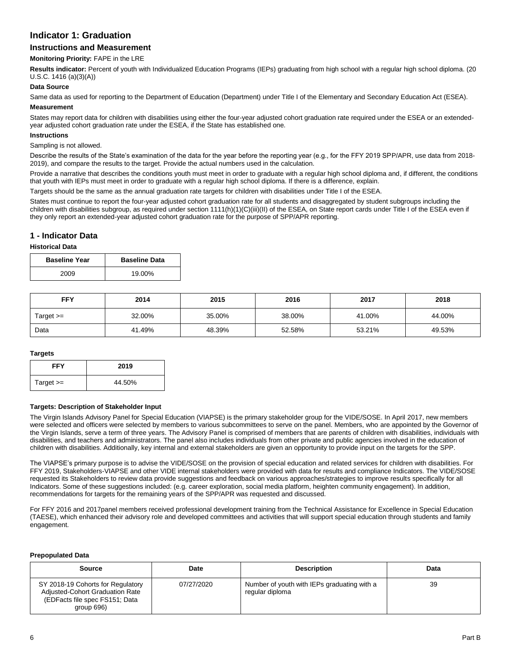# **Indicator 1: Graduation**

# **Instructions and Measurement**

### **Monitoring Priority:** FAPE in the LRE

**Results indicator:** Percent of youth with Individualized Education Programs (IEPs) graduating from high school with a regular high school diploma. (20 U.S.C. 1416 (a)(3)(A))

## **Data Source**

Same data as used for reporting to the Department of Education (Department) under Title I of the Elementary and Secondary Education Act (ESEA).

# **Measurement**

States may report data for children with disabilities using either the four-year adjusted cohort graduation rate required under the ESEA or an extendedyear adjusted cohort graduation rate under the ESEA, if the State has established one.

#### **Instructions**

#### Sampling is not allowed.

Describe the results of the State's examination of the data for the year before the reporting year (e.g., for the FFY 2019 SPP/APR, use data from 2018- 2019), and compare the results to the target. Provide the actual numbers used in the calculation.

Provide a narrative that describes the conditions youth must meet in order to graduate with a regular high school diploma and, if different, the conditions that youth with IEPs must meet in order to graduate with a regular high school diploma. If there is a difference, explain.

Targets should be the same as the annual graduation rate targets for children with disabilities under Title I of the ESEA.

States must continue to report the four-year adjusted cohort graduation rate for all students and disaggregated by student subgroups including the children with disabilities subgroup, as required under section 1111(h)(1)(C)(iii)(II) of the ESEA, on State report cards under Title I of the ESEA even if they only report an extended-year adjusted cohort graduation rate for the purpose of SPP/APR reporting.

# **1 - Indicator Data**

#### **Historical Data**

| <b>Baseline Year</b> | <b>Baseline Data</b> |
|----------------------|----------------------|
| 2009                 | 19.00%               |

| <b>FFY</b>  | 2014   | 2015   | 2016   | 2017   | 2018   |  |
|-------------|--------|--------|--------|--------|--------|--|
| Target $>=$ | 32.00% | 35.00% | 38.00% | 41.00% | 44.00% |  |
| Data        | 41.49% | 48.39% | 52.58% | 53.21% | 49.53% |  |

#### **Targets**

| <b>FFY</b>  | 2019   |
|-------------|--------|
| Target $>=$ | 44.50% |

#### **Targets: Description of Stakeholder Input**

The Virgin Islands Advisory Panel for Special Education (VIAPSE) is the primary stakeholder group for the VIDE/SOSE. In April 2017, new members were selected and officers were selected by members to various subcommittees to serve on the panel. Members, who are appointed by the Governor of the Virgin Islands, serve a term of three years. The Advisory Panel is comprised of members that are parents of children with disabilities, individuals with disabilities, and teachers and administrators. The panel also includes individuals from other private and public agencies involved in the education of children with disabilities. Additionally, key internal and external stakeholders are given an opportunity to provide input on the targets for the SPP.

The VIAPSE's primary purpose is to advise the VIDE/SOSE on the provision of special education and related services for children with disabilities. For FFY 2019, Stakeholders-VIAPSE and other VIDE internal stakeholders were provided with data for results and compliance Indicators. The VIDE/SOSE requested its Stakeholders to review data provide suggestions and feedback on various approaches/strategies to improve results specifically for all Indicators. Some of these suggestions included: (e.g. career exploration, social media platform, heighten community engagement). In addition, recommendations for targets for the remaining years of the SPP/APR was requested and discussed.

For FFY 2016 and 2017panel members received professional development training from the Technical Assistance for Excellence in Special Education (TAESE), which enhanced their advisory role and developed committees and activities that will support special education through students and family engagement.

#### **Prepopulated Data**

| Source                                                                                                               | Date       | <b>Description</b>                                             | Data |
|----------------------------------------------------------------------------------------------------------------------|------------|----------------------------------------------------------------|------|
| SY 2018-19 Cohorts for Regulatory<br>Adjusted-Cohort Graduation Rate<br>(EDFacts file spec FS151; Data<br>qroup 696) | 07/27/2020 | Number of youth with IEPs graduating with a<br>regular diploma | 39   |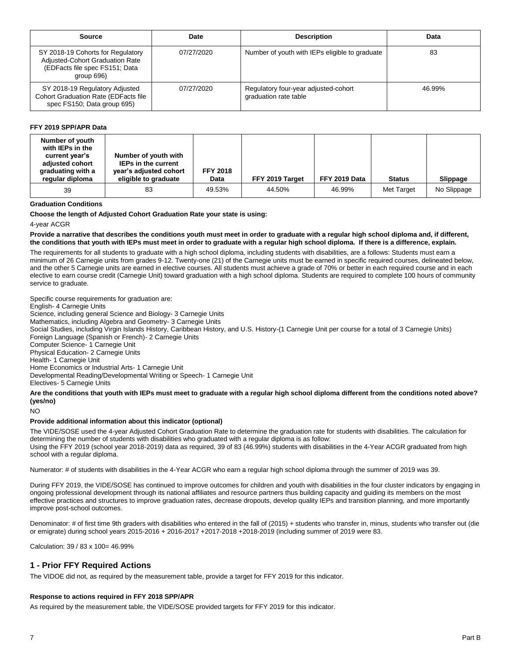| Source                                                                                                               | Date       | <b>Description</b>                                            | Data   |
|----------------------------------------------------------------------------------------------------------------------|------------|---------------------------------------------------------------|--------|
| SY 2018-19 Cohorts for Regulatory<br>Adjusted-Cohort Graduation Rate<br>(EDFacts file spec FS151; Data<br>group 696) | 07/27/2020 | Number of youth with IEPs eligible to graduate                | 83     |
| SY 2018-19 Regulatory Adjusted<br><b>Cohort Graduation Rate (EDFacts file</b><br>spec FS150; Data group 695)         | 07/27/2020 | Regulatory four-year adjusted-cohort<br>graduation rate table | 46.99% |

### **FFY 2019 SPP/APR Data**

| Number of youth<br>with IEPs in the<br>current year's<br>adjusted cohort<br>graduating with a<br>regular diploma | Number of youth with<br><b>IEPs in the current</b><br>year's adjusted cohort<br>eligible to graduate | <b>FFY 2018</b><br>Data | FFY 2019 Target | FFY 2019 Data | <b>Status</b> | Slippage    |
|------------------------------------------------------------------------------------------------------------------|------------------------------------------------------------------------------------------------------|-------------------------|-----------------|---------------|---------------|-------------|
| 39                                                                                                               | 83                                                                                                   | 49.53%                  | 44.50%          | 46.99%        | Met Target    | No Slippage |

#### **Graduation Conditions**

**Choose the length of Adjusted Cohort Graduation Rate your state is using:** 

4-year ACGR

**Provide a narrative that describes the conditions youth must meet in order to graduate with a regular high school diploma and, if different, the conditions that youth with IEPs must meet in order to graduate with a regular high school diploma. If there is a difference, explain***.*

The requirements for all students to graduate with a high school diploma, including students with disabilities, are a follows: Students must earn a minimum of 26 Carnegie units from grades 9-12. Twenty-one (21) of the Carnegie units must be earned in specific required courses, delineated below, and the other 5 Carnegie units are earned in elective courses. All students must achieve a grade of 70% or better in each required course and in each elective to earn course credit (Carnegie Unit) toward graduation with a high school diploma. Students are required to complete 100 hours of community service to graduate.

Specific course requirements for graduation are: English- 4 Carnegie Units Science, including general Science and Biology- 3 Carnegie Units Mathematics, including Algebra and Geometry- 3 Carnegie Units Social Studies, including Virgin Islands History, Caribbean History, and U.S. History-(1 Carnegie Unit per course for a total of 3 Carnegie Units) Foreign Language (Spanish or French)- 2 Carnegie Units Computer Science- 1 Carnegie Unit Physical Education- 2 Carnegie Units Health- 1 Carnegie Unit Home Economics or Industrial Arts- 1 Carnegie Unit Developmental Reading/Developmental Writing or Speech- 1 Carnegie Unit Electives- 5 Carnegie Units **Are the conditions that youth with IEPs must meet to graduate with a regular high school diploma different from the conditions noted above? (yes/no)**

NO

#### **Provide additional information about this indicator (optional)**

The VIDE/SOSE used the 4-year Adjusted Cohort Graduation Rate to determine the graduation rate for students with disabilities. The calculation for determining the number of students with disabilities who graduated with a regular diploma is as follow: Using the FFY 2019 (school year 2018-2019) data as required, 39 of 83 (46.99%) students with disabilities in the 4-Year ACGR graduated from high school with a regular diploma.

Numerator: # of students with disabilities in the 4-Year ACGR who earn a regular high school diploma through the summer of 2019 was 39.

During FFY 2019, the VIDE/SOSE has continued to improve outcomes for children and youth with disabilities in the four cluster indicators by engaging in ongoing professional development through its national affiliates and resource partners thus building capacity and guiding its members on the most effective practices and structures to improve graduation rates, decrease dropouts, develop quality IEPs and transition planning, and more importantly improve post-school outcomes.

Denominator: # of first time 9th graders with disabilities who entered in the fall of (2015) + students who transfer in, minus, students who transfer out (die or emigrate) during school years 2015-2016 + 2016-2017 +2017-2018 +2018-2019 (including summer of 2019 were 83.

Calculation: 39 / 83 x 100= 46.99%

## **1 - Prior FFY Required Actions**

The VIDOE did not, as required by the measurement table, provide a target for FFY 2019 for this indicator.

#### **Response to actions required in FFY 2018 SPP/APR**

As required by the measurement table, the VIDE/SOSE provided targets for FFY 2019 for this indicator.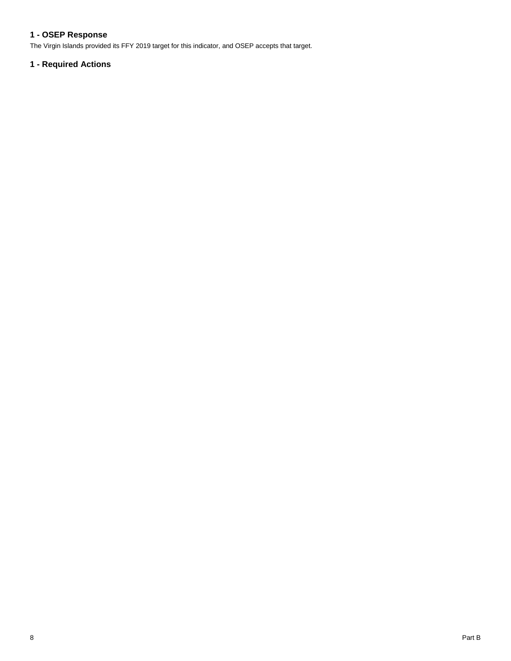# **1 - OSEP Response**

The Virgin Islands provided its FFY 2019 target for this indicator, and OSEP accepts that target.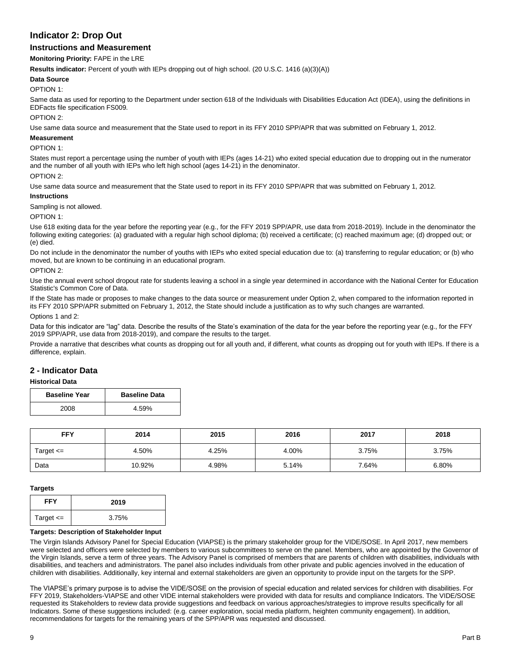# **Indicator 2: Drop Out**

# **Instructions and Measurement**

**Monitoring Priority:** FAPE in the LRE

**Results indicator:** Percent of youth with IEPs dropping out of high school. (20 U.S.C. 1416 (a)(3)(A))

#### **Data Source**

#### OPTION 1:

Same data as used for reporting to the Department under section 618 of the Individuals with Disabilities Education Act (IDEA), using the definitions in EDFacts file specification FS009.

#### OPTION 2:

Use same data source and measurement that the State used to report in its FFY 2010 SPP/APR that was submitted on February 1, 2012.

#### **Measurement**

#### OPTION 1:

States must report a percentage using the number of youth with IEPs (ages 14-21) who exited special education due to dropping out in the numerator and the number of all youth with IEPs who left high school (ages 14-21) in the denominator.

OPTION 2:

Use same data source and measurement that the State used to report in its FFY 2010 SPP/APR that was submitted on February 1, 2012.

#### **Instructions**

Sampling is not allowed.

OPTION 1:

Use 618 exiting data for the year before the reporting year (e.g., for the FFY 2019 SPP/APR, use data from 2018-2019). Include in the denominator the following exiting categories: (a) graduated with a regular high school diploma; (b) received a certificate; (c) reached maximum age; (d) dropped out; or (e) died.

Do not include in the denominator the number of youths with IEPs who exited special education due to: (a) transferring to regular education; or (b) who moved, but are known to be continuing in an educational program.

#### OPTION 2:

Use the annual event school dropout rate for students leaving a school in a single year determined in accordance with the National Center for Education Statistic's Common Core of Data.

If the State has made or proposes to make changes to the data source or measurement under Option 2, when compared to the information reported in its FFY 2010 SPP/APR submitted on February 1, 2012, the State should include a justification as to why such changes are warranted.

Options 1 and 2:

Data for this indicator are "lag" data. Describe the results of the State's examination of the data for the year before the reporting year (e.g., for the FFY 2019 SPP/APR, use data from 2018-2019), and compare the results to the target.

Provide a narrative that describes what counts as dropping out for all youth and, if different, what counts as dropping out for youth with IEPs. If there is a difference, explain.

# **2 - Indicator Data**

#### **Historical Data**

| <b>Baseline Year</b> | <b>Baseline Data</b> |
|----------------------|----------------------|
| 2008                 | 4.59%                |

| <b>FFY</b>    | 2014   | 2015  | 2016  | 2017  | 2018  |
|---------------|--------|-------|-------|-------|-------|
| Target $\leq$ | 4.50%  | 4.25% | 4.00% | 3.75% | 3.75% |
| Data          | 10.92% | 4.98% | 5.14% | 7.64% | 6.80% |

#### **Targets**

| <b>FFY</b>    | 2019  |
|---------------|-------|
| Target $\leq$ | 3.75% |

#### **Targets: Description of Stakeholder Input**

The Virgin Islands Advisory Panel for Special Education (VIAPSE) is the primary stakeholder group for the VIDE/SOSE. In April 2017, new members were selected and officers were selected by members to various subcommittees to serve on the panel. Members, who are appointed by the Governor of the Virgin Islands, serve a term of three years. The Advisory Panel is comprised of members that are parents of children with disabilities, individuals with disabilities, and teachers and administrators. The panel also includes individuals from other private and public agencies involved in the education of children with disabilities. Additionally, key internal and external stakeholders are given an opportunity to provide input on the targets for the SPP.

The VIAPSE's primary purpose is to advise the VIDE/SOSE on the provision of special education and related services for children with disabilities. For FFY 2019, Stakeholders-VIAPSE and other VIDE internal stakeholders were provided with data for results and compliance Indicators. The VIDE/SOSE requested its Stakeholders to review data provide suggestions and feedback on various approaches/strategies to improve results specifically for all Indicators. Some of these suggestions included: (e.g. career exploration, social media platform, heighten community engagement). In addition, recommendations for targets for the remaining years of the SPP/APR was requested and discussed.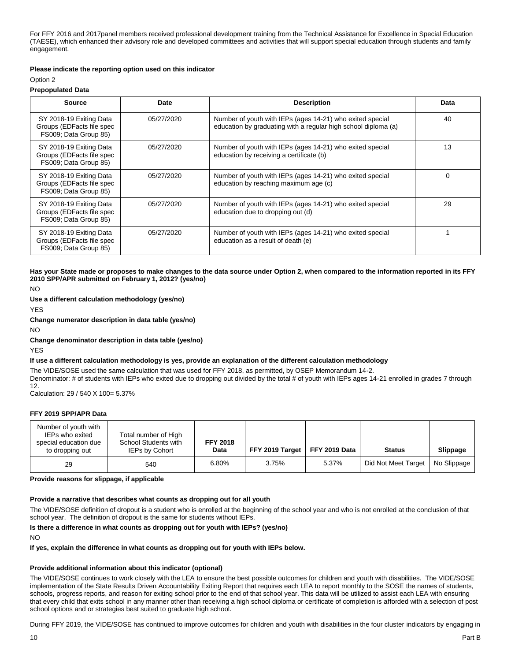For FFY 2016 and 2017panel members received professional development training from the Technical Assistance for Excellence in Special Education (TAESE), which enhanced their advisory role and developed committees and activities that will support special education through students and family engagement.

#### **Please indicate the reporting option used on this indicator**

#### Option 2

#### **Prepopulated Data**

| <b>Source</b>                                                                 | Date       | <b>Description</b>                                                                                                          | Data |
|-------------------------------------------------------------------------------|------------|-----------------------------------------------------------------------------------------------------------------------------|------|
| SY 2018-19 Exiting Data<br>Groups (EDFacts file spec<br>FS009; Data Group 85) | 05/27/2020 | Number of youth with IEPs (ages 14-21) who exited special<br>education by graduating with a regular high school diploma (a) | 40   |
| SY 2018-19 Exiting Data<br>Groups (EDFacts file spec<br>FS009; Data Group 85) | 05/27/2020 | Number of youth with IEPs (ages 14-21) who exited special<br>education by receiving a certificate (b)                       | 13   |
| SY 2018-19 Exiting Data<br>Groups (EDFacts file spec<br>FS009; Data Group 85) | 05/27/2020 | Number of youth with IEPs (ages 14-21) who exited special<br>education by reaching maximum age (c)                          | 0    |
| SY 2018-19 Exiting Data<br>Groups (EDFacts file spec<br>FS009; Data Group 85) | 05/27/2020 | Number of youth with IEPs (ages 14-21) who exited special<br>education due to dropping out (d)                              | 29   |
| SY 2018-19 Exiting Data<br>Groups (EDFacts file spec<br>FS009; Data Group 85) | 05/27/2020 | Number of youth with IEPs (ages 14-21) who exited special<br>education as a result of death (e)                             |      |

**Has your State made or proposes to make changes to the data source under Option 2, when compared to the information reported in its FFY 2010 SPP/APR submitted on February 1, 2012? (yes/no)**

NO

#### **Use a different calculation methodology (yes/no)**

YES

**Change numerator description in data table (yes/no)**

NO

### **Change denominator description in data table (yes/no)**

YES

#### **If use a different calculation methodology is yes, provide an explanation of the different calculation methodology**

The VIDE/SOSE used the same calculation that was used for FFY 2018, as permitted, by OSEP Memorandum 14-2. Denominator: # of students with IEPs who exited due to dropping out divided by the total # of youth with IEPs ages 14-21 enrolled in grades 7 through 12.

Calculation: 29 / 540 X 100= 5.37%

### **FFY 2019 SPP/APR Data**

| Number of youth with<br>IEPs who exited<br>special education due<br>to dropping out | Total number of High<br>School Students with<br>IEPs by Cohort | <b>FFY 2018</b><br>Data | <b>FFY 2019 Target   FFY 2019 Data</b> |       | <b>Status</b>       | Slippage    |
|-------------------------------------------------------------------------------------|----------------------------------------------------------------|-------------------------|----------------------------------------|-------|---------------------|-------------|
| 29                                                                                  | 540                                                            | 6.80%                   | 3.75%                                  | 5.37% | Did Not Meet Target | No Slippage |

**Provide reasons for slippage, if applicable** 

#### **Provide a narrative that describes what counts as dropping out for all youth**

The VIDE/SOSE definition of dropout is a student who is enrolled at the beginning of the school year and who is not enrolled at the conclusion of that school year. The definition of dropout is the same for students without IEPs.

### **Is there a difference in what counts as dropping out for youth with IEPs? (yes/no)**

NO

#### **If yes, explain the difference in what counts as dropping out for youth with IEPs below.**

#### **Provide additional information about this indicator (optional)**

The VIDE/SOSE continues to work closely with the LEA to ensure the best possible outcomes for children and youth with disabilities. The VIDE/SOSE implementation of the State Results Driven Accountability Exiting Report that requires each LEA to report monthly to the SOSE the names of students, schools, progress reports, and reason for exiting school prior to the end of that school year. This data will be utilized to assist each LEA with ensuring that every child that exits school in any manner other than receiving a high school diploma or certificate of completion is afforded with a selection of post school options and or strategies best suited to graduate high school.

During FFY 2019, the VIDE/SOSE has continued to improve outcomes for children and youth with disabilities in the four cluster indicators by engaging in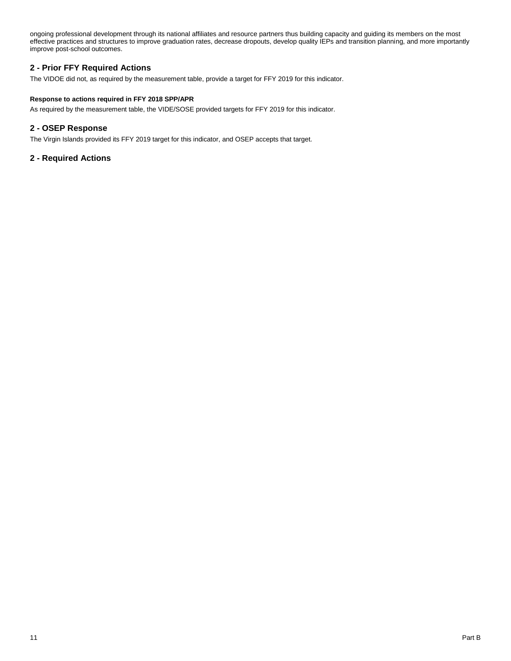ongoing professional development through its national affiliates and resource partners thus building capacity and guiding its members on the most effective practices and structures to improve graduation rates, decrease dropouts, develop quality IEPs and transition planning, and more importantly improve post-school outcomes.

# **2 - Prior FFY Required Actions**

The VIDOE did not, as required by the measurement table, provide a target for FFY 2019 for this indicator.

## **Response to actions required in FFY 2018 SPP/APR**

As required by the measurement table, the VIDE/SOSE provided targets for FFY 2019 for this indicator.

# **2 - OSEP Response**

The Virgin Islands provided its FFY 2019 target for this indicator, and OSEP accepts that target.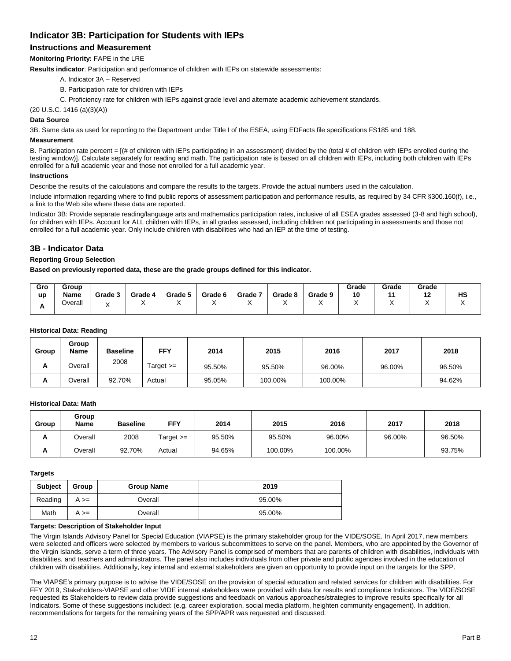# **Indicator 3B: Participation for Students with IEPs**

# **Instructions and Measurement**

**Monitoring Priority:** FAPE in the LRE

**Results indicator**: Participation and performance of children with IEPs on statewide assessments:

- A. Indicator 3A Reserved
- B. Participation rate for children with IEPs
- C. Proficiency rate for children with IEPs against grade level and alternate academic achievement standards.

(20 U.S.C. 1416 (a)(3)(A))

# **Data Source**

3B. Same data as used for reporting to the Department under Title I of the ESEA, using EDFacts file specifications FS185 and 188.

# **Measurement**

B. Participation rate percent = [(# of children with IEPs participating in an assessment) divided by the (total # of children with IEPs enrolled during the testing window)]. Calculate separately for reading and math. The participation rate is based on all children with IEPs, including both children with IEPs enrolled for a full academic year and those not enrolled for a full academic year.

### **Instructions**

Describe the results of the calculations and compare the results to the targets. Provide the actual numbers used in the calculation.

Include information regarding where to find public reports of assessment participation and performance results, as required by 34 CFR §300.160(f), i.e., a link to the Web site where these data are reported.

Indicator 3B: Provide separate reading/language arts and mathematics participation rates, inclusive of all ESEA grades assessed (3-8 and high school), for children with IEPs. Account for ALL children with IEPs, in all grades assessed, including children not participating in assessments and those not enrolled for a full academic year. Only include children with disabilities who had an IEP at the time of testing.

# **3B - Indicator Data**

# **Reporting Group Selection**

**Based on previously reported data, these are the grade groups defined for this indicator.**

| Gro<br><b>up</b> | Group<br>Name | Grade 3 | Grade 4 | Grade 5 | Grade 6 | Grade 7 | Grade 8 | Grade 9 | Grade<br>10 | Grade<br>$\overline{A}$ | Grade<br>12<br>. . | HS |
|------------------|---------------|---------|---------|---------|---------|---------|---------|---------|-------------|-------------------------|--------------------|----|
| л                | Overall       |         |         |         |         |         |         | ,,      |             |                         |                    |    |

#### **Historical Data: Reading**

| Group | Group<br><b>Name</b> | <b>Baseline</b> | <b>FFY</b>  | 2014   | 2015    | 2016    | 2017   | 2018   |
|-------|----------------------|-----------------|-------------|--------|---------|---------|--------|--------|
| A     | Overall              | 2008            | Target $>=$ | 95.50% | 95.50%  | 96.00%  | 96.00% | 96.50% |
| A     | Overall              | 92.70%          | Actual      | 95.05% | 100.00% | 100.00% |        | 94.62% |

### **Historical Data: Math**

| Group | Group<br>Name | <b>Baseline</b> | FFY         | 2014   | 2015    | 2016    | 2017   | 2018   |
|-------|---------------|-----------------|-------------|--------|---------|---------|--------|--------|
| A     | Overall       | 2008            | Target $>=$ | 95.50% | 95.50%  | 96.00%  | 96.00% | 96.50% |
| A     | Overall       | 92.70%          | Actual      | 94.65% | 100.00% | 100.00% |        | 93.75% |

#### **Targets**

| <b>Subject</b> | Group      | <b>Group Name</b> | 2019   |
|----------------|------------|-------------------|--------|
| Reading        | $A \geq 0$ | Overall           | 95.00% |
| Math           | $A \geq 0$ | Overall           | 95.00% |

#### **Targets: Description of Stakeholder Input**

The Virgin Islands Advisory Panel for Special Education (VIAPSE) is the primary stakeholder group for the VIDE/SOSE. In April 2017, new members were selected and officers were selected by members to various subcommittees to serve on the panel. Members, who are appointed by the Governor of the Virgin Islands, serve a term of three years. The Advisory Panel is comprised of members that are parents of children with disabilities, individuals with disabilities, and teachers and administrators. The panel also includes individuals from other private and public agencies involved in the education of children with disabilities. Additionally, key internal and external stakeholders are given an opportunity to provide input on the targets for the SPP.

The VIAPSE's primary purpose is to advise the VIDE/SOSE on the provision of special education and related services for children with disabilities. For FFY 2019, Stakeholders-VIAPSE and other VIDE internal stakeholders were provided with data for results and compliance Indicators. The VIDE/SOSE requested its Stakeholders to review data provide suggestions and feedback on various approaches/strategies to improve results specifically for all Indicators. Some of these suggestions included: (e.g. career exploration, social media platform, heighten community engagement). In addition, recommendations for targets for the remaining years of the SPP/APR was requested and discussed.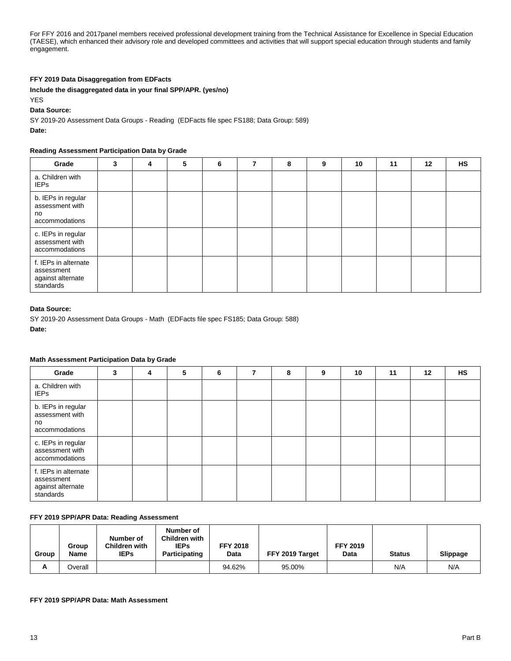For FFY 2016 and 2017panel members received professional development training from the Technical Assistance for Excellence in Special Education (TAESE), which enhanced their advisory role and developed committees and activities that will support special education through students and family engagement.

### **FFY 2019 Data Disaggregation from EDFacts**

### **Include the disaggregated data in your final SPP/APR. (yes/no)**

YES

#### **Data Source:**

SY 2019-20 Assessment Data Groups - Reading (EDFacts file spec FS188; Data Group: 589)

**Date:** 

### **Reading Assessment Participation Data by Grade**

| Grade                                                                | 3 | 4 | 5 | 6 | 8 | 9 | 10 | 11 | 12 | <b>HS</b> |
|----------------------------------------------------------------------|---|---|---|---|---|---|----|----|----|-----------|
| a. Children with<br><b>IEPs</b>                                      |   |   |   |   |   |   |    |    |    |           |
| b. IEPs in regular<br>assessment with<br>no<br>accommodations        |   |   |   |   |   |   |    |    |    |           |
| c. IEPs in regular<br>assessment with<br>accommodations              |   |   |   |   |   |   |    |    |    |           |
| f. IEPs in alternate<br>assessment<br>against alternate<br>standards |   |   |   |   |   |   |    |    |    |           |

### **Data Source:**

SY 2019-20 Assessment Data Groups - Math (EDFacts file spec FS185; Data Group: 588)

**Date:** 

## **Math Assessment Participation Data by Grade**

| Grade                                                                | 3 | 4 | 5 | 6 | 7 | 8 | 9 | 10 | 11 | $12 \,$ | <b>HS</b> |
|----------------------------------------------------------------------|---|---|---|---|---|---|---|----|----|---------|-----------|
| a. Children with<br><b>IEPs</b>                                      |   |   |   |   |   |   |   |    |    |         |           |
| b. IEPs in regular<br>assessment with<br>no<br>accommodations        |   |   |   |   |   |   |   |    |    |         |           |
| c. IEPs in regular<br>assessment with<br>accommodations              |   |   |   |   |   |   |   |    |    |         |           |
| f. IEPs in alternate<br>assessment<br>against alternate<br>standards |   |   |   |   |   |   |   |    |    |         |           |

### **FFY 2019 SPP/APR Data: Reading Assessment**

| Group | Group<br>Name | Number of<br>Children with<br><b>IEPs</b> | Number of<br><b>Children with</b><br><b>IEPs</b><br>Participating | <b>FFY 2018</b><br>Data | FFY 2019 Target | <b>FFY 2019</b><br>Data | <b>Status</b> | <b>Slippage</b> |
|-------|---------------|-------------------------------------------|-------------------------------------------------------------------|-------------------------|-----------------|-------------------------|---------------|-----------------|
| А     | Overall       |                                           |                                                                   | 94.62%                  | 95.00%          |                         | N/A           | N/A             |

### **FFY 2019 SPP/APR Data: Math Assessment**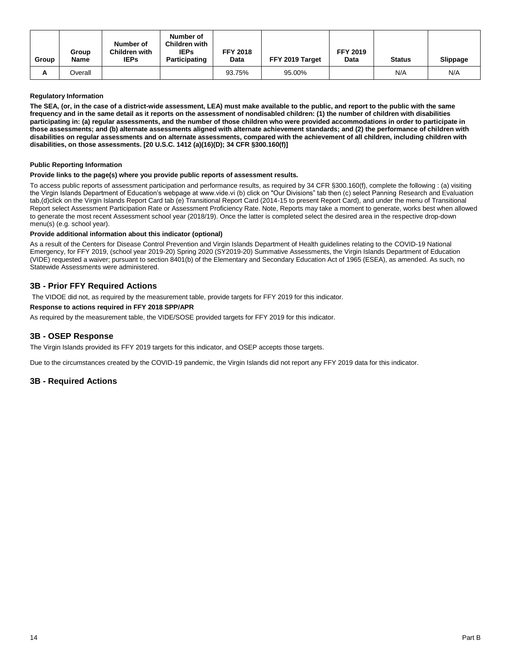| Group | Group<br><b>Name</b> | Number of<br><b>Children with</b><br><b>IEPs</b> | Number of<br><b>Children with</b><br><b>IEPs</b><br>Participating | <b>FFY 2018</b><br>Data | FFY 2019 Target | <b>FFY 2019</b><br>Data | <b>Status</b> | <b>Slippage</b> |
|-------|----------------------|--------------------------------------------------|-------------------------------------------------------------------|-------------------------|-----------------|-------------------------|---------------|-----------------|
| А     | Overall              |                                                  |                                                                   | 93.75%                  | 95.00%          |                         | N/A           | N/A             |

### **Regulatory Information**

**The SEA, (or, in the case of a district-wide assessment, LEA) must make available to the public, and report to the public with the same frequency and in the same detail as it reports on the assessment of nondisabled children: (1) the number of children with disabilities participating in: (a) regular assessments, and the number of those children who were provided accommodations in order to participate in those assessments; and (b) alternate assessments aligned with alternate achievement standards; and (2) the performance of children with disabilities on regular assessments and on alternate assessments, compared with the achievement of all children, including children with disabilities, on those assessments. [20 U.S.C. 1412 (a)(16)(D); 34 CFR §300.160(f)]**

### **Public Reporting Information**

#### **Provide links to the page(s) where you provide public reports of assessment results.**

To access public reports of assessment participation and performance results, as required by 34 CFR §300.160(f), complete the following : (a) visiting the Virgin Islands Department of Education's webpage at www.vide.vi (b) click on "Our Divisions" tab then (c) select Panning Research and Evaluation tab,(d)click on the Virgin Islands Report Card tab (e) Transitional Report Card (2014-15 to present Report Card), and under the menu of Transitional Report select Assessment Participation Rate or Assessment Proficiency Rate. Note, Reports may take a moment to generate, works best when allowed to generate the most recent Assessment school year (2018/19). Once the latter is completed select the desired area in the respective drop-down menu(s) (e.g. school year).

### **Provide additional information about this indicator (optional)**

As a result of the Centers for Disease Control Prevention and Virgin Islands Department of Health guidelines relating to the COVID-19 National Emergency, for FFY 2019, (school year 2019-20) Spring 2020 (SY2019-20) Summative Assessments, the Virgin Islands Department of Education (VIDE) requested a waiver; pursuant to section 8401(b) of the Elementary and Secondary Education Act of 1965 (ESEA), as amended. As such, no Statewide Assessments were administered.

# **3B - Prior FFY Required Actions**

The VIDOE did not, as required by the measurement table, provide targets for FFY 2019 for this indicator.

## **Response to actions required in FFY 2018 SPP/APR**

As required by the measurement table, the VIDE/SOSE provided targets for FFY 2019 for this indicator.

# **3B - OSEP Response**

The Virgin Islands provided its FFY 2019 targets for this indicator, and OSEP accepts those targets.

Due to the circumstances created by the COVID-19 pandemic, the Virgin Islands did not report any FFY 2019 data for this indicator.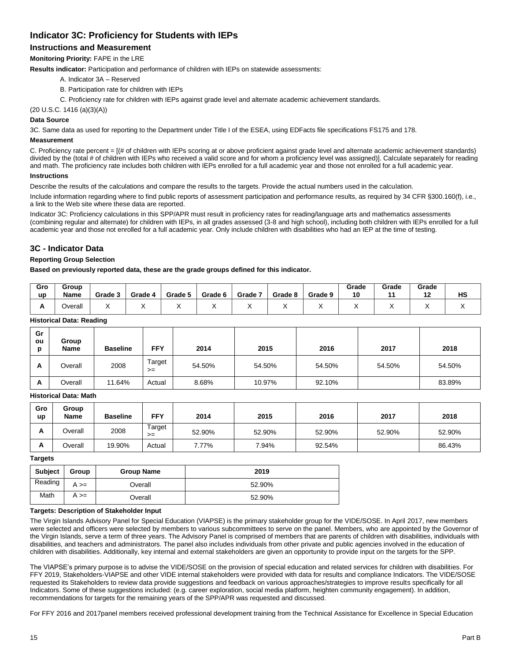# **Indicator 3C: Proficiency for Students with IEPs**

# **Instructions and Measurement**

**Monitoring Priority:** FAPE in the LRE

**Results indicator:** Participation and performance of children with IEPs on statewide assessments:

- A. Indicator 3A Reserved
- B. Participation rate for children with IEPs
- C. Proficiency rate for children with IEPs against grade level and alternate academic achievement standards.

(20 U.S.C. 1416 (a)(3)(A))

# **Data Source**

3C. Same data as used for reporting to the Department under Title I of the ESEA, using EDFacts file specifications FS175 and 178.

# **Measurement**

C. Proficiency rate percent = [(# of children with IEPs scoring at or above proficient against grade level and alternate academic achievement standards) divided by the (total # of children with IEPs who received a valid score and for whom a proficiency level was assigned)]. Calculate separately for reading and math. The proficiency rate includes both children with IEPs enrolled for a full academic year and those not enrolled for a full academic year.

### **Instructions**

Describe the results of the calculations and compare the results to the targets. Provide the actual numbers used in the calculation.

Include information regarding where to find public reports of assessment participation and performance results, as required by 34 CFR §300.160(f), i.e., a link to the Web site where these data are reported.

Indicator 3C: Proficiency calculations in this SPP/APR must result in proficiency rates for reading/language arts and mathematics assessments (combining regular and alternate) for children with IEPs, in all grades assessed (3-8 and high school), including both children with IEPs enrolled for a full academic year and those not enrolled for a full academic year. Only include children with disabilities who had an IEP at the time of testing.

# **3C - Indicator Data**

# **Reporting Group Selection**

**Based on previously reported data, these are the grade groups defined for this indicator.**

| Gro<br><b>up</b> | Group<br><b>Name</b> | Grade 3 | Grade 4 | Grade 5 | Grade 6 | Grade 7 | Grade 8 | Grade 9 | Grade<br>10 | Grade | Grade<br>10<br>. . | HS |
|------------------|----------------------|---------|---------|---------|---------|---------|---------|---------|-------------|-------|--------------------|----|
|                  | <b>Jverall</b>       |         |         |         |         |         |         |         |             |       |                    |    |

### **Historical Data: Reading**

| Gr<br>ou<br>D | Group<br>Name | <b>Baseline</b> | <b>FFY</b>     | 2014   | 2015   | 2016   | 2017   | 2018   |
|---------------|---------------|-----------------|----------------|--------|--------|--------|--------|--------|
| A             | Overall       | 2008            | Target<br>$>=$ | 54.50% | 54.50% | 54.50% | 54.50% | 54.50% |
| A             | Overall       | 11.64%          | Actual         | 8.68%  | 10.97% | 92.10% |        | 83.89% |

#### **Historical Data: Math**

| Gro<br><b>up</b> | Group<br><b>Name</b> | <b>Baseline</b> | <b>FFY</b>   | 2014   | 2015   | 2016   | 2017   | 2018   |
|------------------|----------------------|-----------------|--------------|--------|--------|--------|--------|--------|
| л.               | Overall              | 2008            | Target<br>>= | 52.90% | 52.90% | 52.90% | 52.90% | 52.90% |
| n                | Overall              | 19.90%          | Actual       | 7.77%  | 7.94%  | 92.54% |        | 86.43% |

## **Targets**

| <b>Subject</b> | Group      | <b>Group Name</b> | 2019   |
|----------------|------------|-------------------|--------|
| Reading        | $A \geq 0$ | Overall           | 52.90% |
| Math           | $A \geq 0$ | Overall           | 52.90% |

#### **Targets: Description of Stakeholder Input**

The Virgin Islands Advisory Panel for Special Education (VIAPSE) is the primary stakeholder group for the VIDE/SOSE. In April 2017, new members were selected and officers were selected by members to various subcommittees to serve on the panel. Members, who are appointed by the Governor of the Virgin Islands, serve a term of three years. The Advisory Panel is comprised of members that are parents of children with disabilities, individuals with disabilities, and teachers and administrators. The panel also includes individuals from other private and public agencies involved in the education of children with disabilities. Additionally, key internal and external stakeholders are given an opportunity to provide input on the targets for the SPP.

The VIAPSE's primary purpose is to advise the VIDE/SOSE on the provision of special education and related services for children with disabilities. For FFY 2019, Stakeholders-VIAPSE and other VIDE internal stakeholders were provided with data for results and compliance Indicators. The VIDE/SOSE requested its Stakeholders to review data provide suggestions and feedback on various approaches/strategies to improve results specifically for all Indicators. Some of these suggestions included: (e.g. career exploration, social media platform, heighten community engagement). In addition, recommendations for targets for the remaining years of the SPP/APR was requested and discussed.

For FFY 2016 and 2017panel members received professional development training from the Technical Assistance for Excellence in Special Education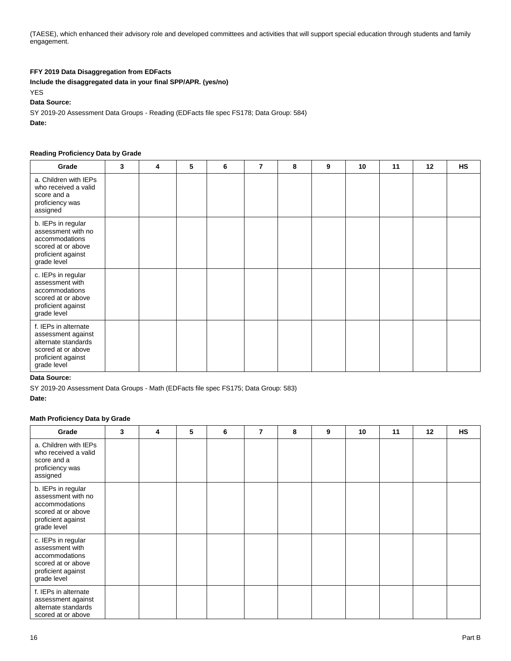(TAESE), which enhanced their advisory role and developed committees and activities that will support special education through students and family engagement.

# **FFY 2019 Data Disaggregation from EDFacts**

**Include the disaggregated data in your final SPP/APR. (yes/no)**

YES

# **Data Source:**

SY 2019-20 Assessment Data Groups - Reading (EDFacts file spec FS178; Data Group: 584) **Date:** 

#### **Reading Proficiency Data by Grade**

| Grade                                                                                                                        | 3 | 4 | 5 | 6 | 7 | 8 | 9 | 10 | 11 | 12 | HS |
|------------------------------------------------------------------------------------------------------------------------------|---|---|---|---|---|---|---|----|----|----|----|
| a. Children with IEPs<br>who received a valid<br>score and a<br>proficiency was<br>assigned                                  |   |   |   |   |   |   |   |    |    |    |    |
| b. IEPs in regular<br>assessment with no<br>accommodations<br>scored at or above<br>proficient against<br>grade level        |   |   |   |   |   |   |   |    |    |    |    |
| c. IEPs in regular<br>assessment with<br>accommodations<br>scored at or above<br>proficient against<br>grade level           |   |   |   |   |   |   |   |    |    |    |    |
| f. IEPs in alternate<br>assessment against<br>alternate standards<br>scored at or above<br>proficient against<br>grade level |   |   |   |   |   |   |   |    |    |    |    |

## **Data Source:**

SY 2019-20 Assessment Data Groups - Math (EDFacts file spec FS175; Data Group: 583)

**Date:** 

### **Math Proficiency Data by Grade**

| Grade                                                                                                                 | 3 | 4 | 5 | 6 | 7 | 8 | 9 | 10 | 11 | 12 | <b>HS</b> |
|-----------------------------------------------------------------------------------------------------------------------|---|---|---|---|---|---|---|----|----|----|-----------|
| a. Children with IEPs<br>who received a valid<br>score and a<br>proficiency was<br>assigned                           |   |   |   |   |   |   |   |    |    |    |           |
| b. IEPs in regular<br>assessment with no<br>accommodations<br>scored at or above<br>proficient against<br>grade level |   |   |   |   |   |   |   |    |    |    |           |
| c. IEPs in regular<br>assessment with<br>accommodations<br>scored at or above<br>proficient against<br>grade level    |   |   |   |   |   |   |   |    |    |    |           |
| f. IEPs in alternate<br>assessment against<br>alternate standards<br>scored at or above                               |   |   |   |   |   |   |   |    |    |    |           |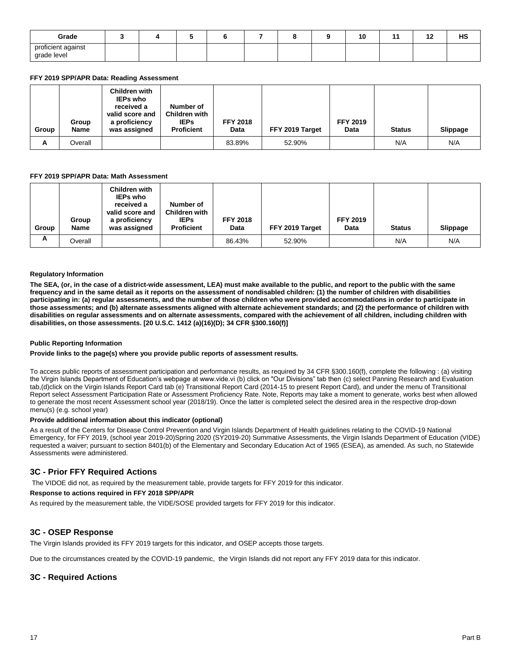| Grade                             |  |  |  | 10 | - | $\sim$<br>. . | ШC<br>пa |
|-----------------------------------|--|--|--|----|---|---------------|----------|
| proficient against<br>grade level |  |  |  |    |   |               |          |

### **FFY 2019 SPP/APR Data: Reading Assessment**

| Group | Group<br><b>Name</b> | Children with<br><b>IEPs who</b><br>received a<br>valid score and<br>a proficiency<br>was assigned | Number of<br><b>Children with</b><br><b>IEPs</b><br><b>Proficient</b> | <b>FFY 2018</b><br>Data | FFY 2019 Target | <b>FFY 2019</b><br>Data | <b>Status</b> | <b>Slippage</b> |
|-------|----------------------|----------------------------------------------------------------------------------------------------|-----------------------------------------------------------------------|-------------------------|-----------------|-------------------------|---------------|-----------------|
| A     | Overall              |                                                                                                    |                                                                       | 83.89%                  | 52.90%          |                         | N/A           | N/A             |

#### **FFY 2019 SPP/APR Data: Math Assessment**

| Group | Group<br>Name | Children with<br><b>IEPs who</b><br>received a<br>valid score and<br>a proficiency<br>was assigned | Number of<br><b>Children with</b><br><b>IEPs</b><br><b>Proficient</b> | <b>FFY 2018</b><br>Data | FFY 2019 Target | <b>FFY 2019</b><br>Data | <b>Status</b> | <b>Slippage</b> |
|-------|---------------|----------------------------------------------------------------------------------------------------|-----------------------------------------------------------------------|-------------------------|-----------------|-------------------------|---------------|-----------------|
| A     | Overall       |                                                                                                    |                                                                       | 86.43%                  | 52.90%          |                         | N/A           | N/A             |

#### **Regulatory Information**

**The SEA, (or, in the case of a district-wide assessment, LEA) must make available to the public, and report to the public with the same frequency and in the same detail as it reports on the assessment of nondisabled children: (1) the number of children with disabilities participating in: (a) regular assessments, and the number of those children who were provided accommodations in order to participate in those assessments; and (b) alternate assessments aligned with alternate achievement standards; and (2) the performance of children with disabilities on regular assessments and on alternate assessments, compared with the achievement of all children, including children with disabilities, on those assessments. [20 U.S.C. 1412 (a)(16)(D); 34 CFR §300.160(f)]**

#### **Public Reporting Information**

#### **Provide links to the page(s) where you provide public reports of assessment results.**

To access public reports of assessment participation and performance results, as required by 34 CFR §300.160(f), complete the following : (a) visiting the Virgin Islands Department of Education's webpage at www.vide.vi (b) click on "Our Divisions" tab then (c) select Panning Research and Evaluation tab,(d)click on the Virgin Islands Report Card tab (e) Transitional Report Card (2014-15 to present Report Card), and under the menu of Transitional Report select Assessment Participation Rate or Assessment Proficiency Rate. Note, Reports may take a moment to generate, works best when allowed to generate the most recent Assessment school year (2018/19). Once the latter is completed select the desired area in the respective drop-down menu(s) (e.g. school year)

#### **Provide additional information about this indicator (optional)**

As a result of the Centers for Disease Control Prevention and Virgin Islands Department of Health guidelines relating to the COVID-19 National Emergency, for FFY 2019, (school year 2019-20)Spring 2020 (SY2019-20) Summative Assessments, the Virgin Islands Department of Education (VIDE) requested a waiver; pursuant to section 8401(b) of the Elementary and Secondary Education Act of 1965 (ESEA), as amended. As such, no Statewide Assessments were administered.

## **3C - Prior FFY Required Actions**

The VIDOE did not, as required by the measurement table, provide targets for FFY 2019 for this indicator.

# **Response to actions required in FFY 2018 SPP/APR**

As required by the measurement table, the VIDE/SOSE provided targets for FFY 2019 for this indicator.

## **3C - OSEP Response**

The Virgin Islands provided its FFY 2019 targets for this indicator, and OSEP accepts those targets.

Due to the circumstances created by the COVID-19 pandemic, the Virgin Islands did not report any FFY 2019 data for this indicator.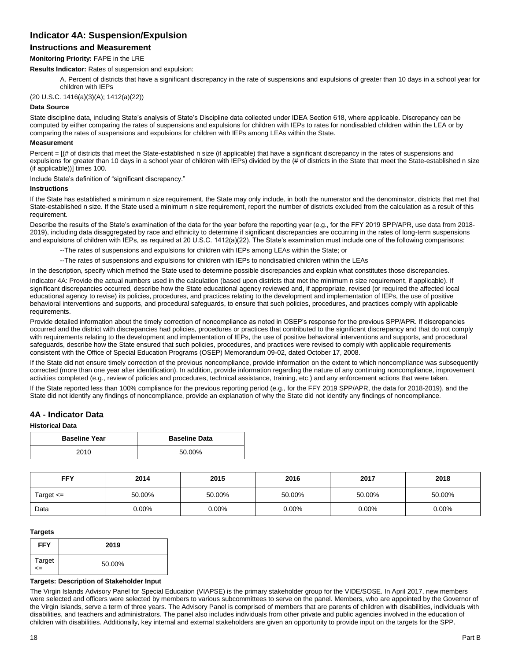# **Indicator 4A: Suspension/Expulsion**

# **Instructions and Measurement**

### **Monitoring Priority:** FAPE in the LRE

**Results Indicator:** Rates of suspension and expulsion:

A. Percent of districts that have a significant discrepancy in the rate of suspensions and expulsions of greater than 10 days in a school year for children with IEPs

(20 U.S.C. 1416(a)(3)(A); 1412(a)(22))

#### **Data Source**

State discipline data, including State's analysis of State's Discipline data collected under IDEA Section 618, where applicable. Discrepancy can be computed by either comparing the rates of suspensions and expulsions for children with IEPs to rates for nondisabled children within the LEA or by comparing the rates of suspensions and expulsions for children with IEPs among LEAs within the State.

#### **Measurement**

Percent = [(# of districts that meet the State-established n size (if applicable) that have a significant discrepancy in the rates of suspensions and expulsions for greater than 10 days in a school year of children with IEPs) divided by the (# of districts in the State that meet the State-established n size (if applicable))] times 100.

Include State's definition of "significant discrepancy."

#### **Instructions**

If the State has established a minimum n size requirement, the State may only include, in both the numerator and the denominator, districts that met that State-established n size. If the State used a minimum n size requirement, report the number of districts excluded from the calculation as a result of this requirement.

Describe the results of the State's examination of the data for the year before the reporting year (e.g., for the FFY 2019 SPP/APR, use data from 2018- 2019), including data disaggregated by race and ethnicity to determine if significant discrepancies are occurring in the rates of long-term suspensions and expulsions of children with IEPs, as required at 20 U.S.C. 1412(a)(22). The State's examination must include one of the following comparisons:

--The rates of suspensions and expulsions for children with IEPs among LEAs within the State; or

--The rates of suspensions and expulsions for children with IEPs to nondisabled children within the LEAs

In the description, specify which method the State used to determine possible discrepancies and explain what constitutes those discrepancies.

Indicator 4A: Provide the actual numbers used in the calculation (based upon districts that met the minimum n size requirement, if applicable). If significant discrepancies occurred, describe how the State educational agency reviewed and, if appropriate, revised (or required the affected local educational agency to revise) its policies, procedures, and practices relating to the development and implementation of IEPs, the use of positive behavioral interventions and supports, and procedural safeguards, to ensure that such policies, procedures, and practices comply with applicable requirements.

Provide detailed information about the timely correction of noncompliance as noted in OSEP's response for the previous SPP/APR. If discrepancies occurred and the district with discrepancies had policies, procedures or practices that contributed to the significant discrepancy and that do not comply with requirements relating to the development and implementation of IEPs, the use of positive behavioral interventions and supports, and procedural safeguards, describe how the State ensured that such policies, procedures, and practices were revised to comply with applicable requirements consistent with the Office of Special Education Programs (OSEP) Memorandum 09-02, dated October 17, 2008.

If the State did not ensure timely correction of the previous noncompliance, provide information on the extent to which noncompliance was subsequently corrected (more than one year after identification). In addition, provide information regarding the nature of any continuing noncompliance, improvement activities completed (e.g., review of policies and procedures, technical assistance, training, etc.) and any enforcement actions that were taken.

If the State reported less than 100% compliance for the previous reporting period (e.g., for the FFY 2019 SPP/APR, the data for 2018-2019), and the State did not identify any findings of noncompliance, provide an explanation of why the State did not identify any findings of noncompliance.

### **4A - Indicator Data**

## **Historical Data**

| <b>Baseline Year</b> | <b>Baseline Data</b> |
|----------------------|----------------------|
| 2010                 | 50.00%               |

| <b>FFY</b>    | 2014   | 2015     | 2016     | 2017     | 2018   |
|---------------|--------|----------|----------|----------|--------|
| Target $\leq$ | 50.00% | 50.00%   | 50.00%   | 50.00%   | 50.00% |
| Data          | 0.00%  | $0.00\%$ | $0.00\%$ | $0.00\%$ | 0.00%  |

#### **Targets**

| <b>FFY</b>       | 2019   |
|------------------|--------|
| Target<br>$\leq$ | 50.00% |

#### **Targets: Description of Stakeholder Input**

The Virgin Islands Advisory Panel for Special Education (VIAPSE) is the primary stakeholder group for the VIDE/SOSE. In April 2017, new members were selected and officers were selected by members to various subcommittees to serve on the panel. Members, who are appointed by the Governor of the Virgin Islands, serve a term of three years. The Advisory Panel is comprised of members that are parents of children with disabilities, individuals with disabilities, and teachers and administrators. The panel also includes individuals from other private and public agencies involved in the education of children with disabilities. Additionally, key internal and external stakeholders are given an opportunity to provide input on the targets for the SPP.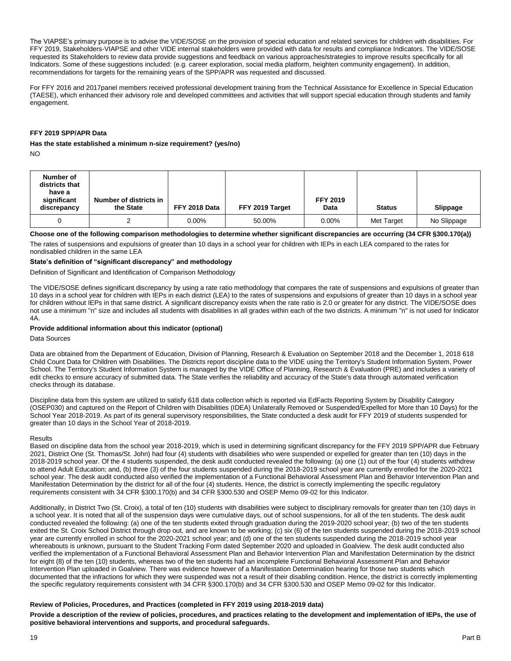The VIAPSE's primary purpose is to advise the VIDE/SOSE on the provision of special education and related services for children with disabilities. For FFY 2019, Stakeholders-VIAPSE and other VIDE internal stakeholders were provided with data for results and compliance Indicators. The VIDE/SOSE requested its Stakeholders to review data provide suggestions and feedback on various approaches/strategies to improve results specifically for all Indicators. Some of these suggestions included: (e.g. career exploration, social media platform, heighten community engagement). In addition, recommendations for targets for the remaining years of the SPP/APR was requested and discussed.

For FFY 2016 and 2017panel members received professional development training from the Technical Assistance for Excellence in Special Education (TAESE), which enhanced their advisory role and developed committees and activities that will support special education through students and family engagement.

#### **FFY 2019 SPP/APR Data**

# **Has the state established a minimum n-size requirement? (yes/no)**

NO

| Number of<br>districts that<br>have a<br>significant<br>discrepancy | Number of districts in<br>the State | FFY 2018 Data | FFY 2019 Target | <b>FFY 2019</b><br>Data | <b>Status</b> | <b>Slippage</b> |
|---------------------------------------------------------------------|-------------------------------------|---------------|-----------------|-------------------------|---------------|-----------------|
|                                                                     |                                     | $0.00\%$      | 50.00%          | $0.00\%$                | Met Target    | No Slippage     |

**Choose one of the following comparison methodologies to determine whether significant discrepancies are occurring (34 CFR §300.170(a))** 

The rates of suspensions and expulsions of greater than 10 days in a school year for children with IEPs in each LEA compared to the rates for nondisabled children in the same LEA

## **State's definition of "significant discrepancy" and methodology**

Definition of Significant and Identification of Comparison Methodology

The VIDE/SOSE defines significant discrepancy by using a rate ratio methodology that compares the rate of suspensions and expulsions of greater than 10 days in a school year for children with IEPs in each district (LEA) to the rates of suspensions and expulsions of greater than 10 days in a school year for children without IEPs in that same district. A significant discrepancy exists when the rate ratio is 2.0 or greater for any district. The VIDE/SOSE does not use a minimum "n" size and includes all students with disabilities in all grades within each of the two districts. A minimum "n" is not used for Indicator 4A.

#### **Provide additional information about this indicator (optional)**

Data Sources

Data are obtained from the Department of Education, Division of Planning, Research & Evaluation on September 2018 and the December 1, 2018 618 Child Count Data for Children with Disabilities. The Districts report discipline data to the VIDE using the Territory's Student Information System, Power School. The Territory's Student Information System is managed by the VIDE Office of Planning, Research & Evaluation (PRE) and includes a variety of edit checks to ensure accuracy of submitted data. The State verifies the reliability and accuracy of the State's data through automated verification checks through its database.

Discipline data from this system are utilized to satisfy 618 data collection which is reported via EdFacts Reporting System by Disability Category (OSEP030) and captured on the Report of Children with Disabilities (IDEA) Unilaterally Removed or Suspended/Expelled for More than 10 Days) for the School Year 2018-2019. As part of its general supervisory responsibilities, the State conducted a desk audit for FFY 2019 of students suspended for greater than 10 days in the School Year of 2018-2019.

#### Results

Based on discipline data from the school year 2018-2019, which is used in determining significant discrepancy for the FFY 2019 SPP/APR due February 2021, District One (St. Thomas/St. John) had four (4) students with disabilities who were suspended or expelled for greater than ten (10) days in the 2018-2019 school year. Of the 4 students suspended, the desk audit conducted revealed the following: (a) one (1) out of the four (4) students withdrew to attend Adult Education; and, (b) three (3) of the four students suspended during the 2018-2019 school year are currently enrolled for the 2020-2021 school year. The desk audit conducted also verified the implementation of a Functional Behavioral Assessment Plan and Behavior Intervention Plan and Manifestation Determination by the district for all of the four (4) students. Hence, the district is correctly implementing the specific regulatory requirements consistent with 34 CFR §300.170(b) and 34 CFR §300.530 and OSEP Memo 09-02 for this Indicator.

Additionally, in District Two (St. Croix), a total of ten (10) students with disabilities were subject to disciplinary removals for greater than ten (10) days in a school year. It is noted that all of the suspension days were cumulative days, out of school suspensions, for all of the ten students. The desk audit conducted revealed the following: (a) one of the ten students exited through graduation during the 2019-2020 school year; (b) two of the ten students exited the St. Croix School District through drop out, and are known to be working; (c) six (6) of the ten students suspended during the 2018-2019 school year are currently enrolled in school for the 2020-2021 school year; and (d) one of the ten students suspended during the 2018-2019 school year whereabouts is unknown, pursuant to the Student Tracking Form dated September 2020 and uploaded in Goalview. The desk audit conducted also verified the implementation of a Functional Behavioral Assessment Plan and Behavior Intervention Plan and Manifestation Determination by the district for eight (8) of the ten (10) students, whereas two of the ten students had an incomplete Functional Behavioral Assessment Plan and Behavior Intervention Plan uploaded in Goalview. There was evidence however of a Manifestation Determination hearing for those two students which documented that the infractions for which they were suspended was not a result of their disabling condition. Hence, the district is correctly implementing the specific regulatory requirements consistent with 34 CFR §300.170(b) and 34 CFR §300.530 and OSEP Memo 09-02 for this Indicator.

#### **Review of Policies, Procedures, and Practices (completed in FFY 2019 using 2018-2019 data)**

**Provide a description of the review of policies, procedures, and practices relating to the development and implementation of IEPs, the use of positive behavioral interventions and supports, and procedural safeguards.**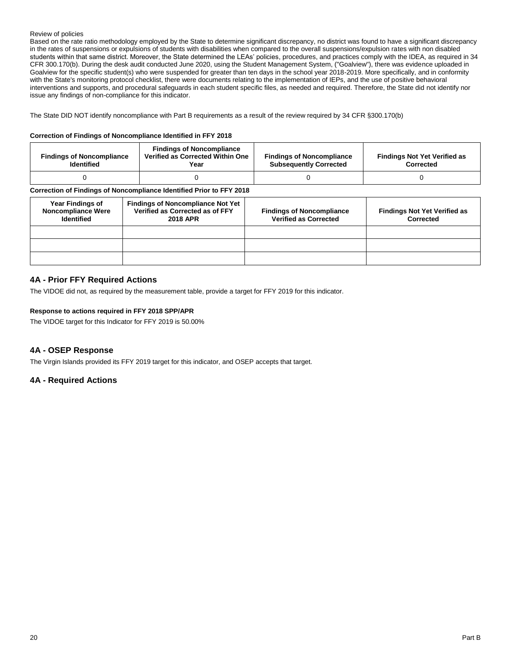#### Review of policies

Based on the rate ratio methodology employed by the State to determine significant discrepancy, no district was found to have a significant discrepancy in the rates of suspensions or expulsions of students with disabilities when compared to the overall suspensions/expulsion rates with non disabled students within that same district. Moreover, the State determined the LEAs' policies, procedures, and practices comply with the IDEA, as required in 34 CFR 300.170(b). During the desk audit conducted June 2020, using the Student Management System, ("Goalview"), there was evidence uploaded in Goalview for the specific student(s) who were suspended for greater than ten days in the school year 2018-2019. More specifically, and in conformity with the State's monitoring protocol checklist, there were documents relating to the implementation of IEPs, and the use of positive behavioral interventions and supports, and procedural safeguards in each student specific files, as needed and required. Therefore, the State did not identify nor issue any findings of non-compliance for this indicator.

The State DID NOT identify noncompliance with Part B requirements as a result of the review required by 34 CFR §300.170(b)

#### **Correction of Findings of Noncompliance Identified in FFY 2018**

| <b>Findings of Noncompliance</b><br><b>Identified</b>                | <b>Findings of Noncompliance</b><br>Verified as Corrected Within One<br>Year | <b>Findings of Noncompliance</b><br><b>Subsequently Corrected</b> | <b>Findings Not Yet Verified as</b><br>Corrected |  |  |  |  |
|----------------------------------------------------------------------|------------------------------------------------------------------------------|-------------------------------------------------------------------|--------------------------------------------------|--|--|--|--|
|                                                                      |                                                                              |                                                                   |                                                  |  |  |  |  |
| Correction of Findings of Noncompliance Identified Prior to FFY 2018 |                                                                              |                                                                   |                                                  |  |  |  |  |

| <b>Year Findings of</b><br><b>Noncompliance Were</b><br><b>Identified</b> | <b>Findings of Noncompliance Not Yet</b><br>Verified as Corrected as of FFY<br><b>2018 APR</b> | <b>Findings of Noncompliance</b><br><b>Verified as Corrected</b> | <b>Findings Not Yet Verified as</b><br>Corrected |
|---------------------------------------------------------------------------|------------------------------------------------------------------------------------------------|------------------------------------------------------------------|--------------------------------------------------|
|                                                                           |                                                                                                |                                                                  |                                                  |
|                                                                           |                                                                                                |                                                                  |                                                  |
|                                                                           |                                                                                                |                                                                  |                                                  |

# **4A - Prior FFY Required Actions**

The VIDOE did not, as required by the measurement table, provide a target for FFY 2019 for this indicator.

## **Response to actions required in FFY 2018 SPP/APR**

The VIDOE target for this Indicator for FFY 2019 is 50.00%

# **4A - OSEP Response**

The Virgin Islands provided its FFY 2019 target for this indicator, and OSEP accepts that target.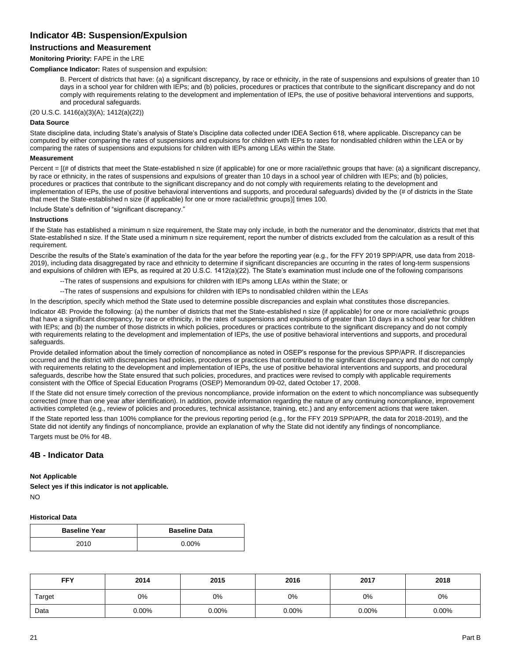# **Indicator 4B: Suspension/Expulsion**

# **Instructions and Measurement**

#### **Monitoring Priority:** FAPE in the LRE

**Compliance Indicator:** Rates of suspension and expulsion:

B. Percent of districts that have: (a) a significant discrepancy, by race or ethnicity, in the rate of suspensions and expulsions of greater than 10 days in a school year for children with IEPs; and (b) policies, procedures or practices that contribute to the significant discrepancy and do not comply with requirements relating to the development and implementation of IEPs, the use of positive behavioral interventions and supports, and procedural safeguards.

(20 U.S.C. 1416(a)(3)(A); 1412(a)(22))

#### **Data Source**

State discipline data, including State's analysis of State's Discipline data collected under IDEA Section 618, where applicable. Discrepancy can be computed by either comparing the rates of suspensions and expulsions for children with IEPs to rates for nondisabled children within the LEA or by comparing the rates of suspensions and expulsions for children with IEPs among LEAs within the State.

#### **Measurement**

Percent = [(# of districts that meet the State-established n size (if applicable) for one or more racial/ethnic groups that have: (a) a significant discrepancy, by race or ethnicity, in the rates of suspensions and expulsions of greater than 10 days in a school year of children with IEPs; and (b) policies, procedures or practices that contribute to the significant discrepancy and do not comply with requirements relating to the development and implementation of IEPs, the use of positive behavioral interventions and supports, and procedural safeguards) divided by the (# of districts in the State that meet the State-established n size (if applicable) for one or more racial/ethnic groups)] times 100.

Include State's definition of "significant discrepancy."

#### **Instructions**

If the State has established a minimum n size requirement, the State may only include, in both the numerator and the denominator, districts that met that State-established n size. If the State used a minimum n size requirement, report the number of districts excluded from the calculation as a result of this requirement.

Describe the results of the State's examination of the data for the year before the reporting year (e.g., for the FFY 2019 SPP/APR, use data from 2018- 2019), including data disaggregated by race and ethnicity to determine if significant discrepancies are occurring in the rates of long-term suspensions and expulsions of children with IEPs, as required at 20 U.S.C. 1412(a)(22). The State's examination must include one of the following comparisons

--The rates of suspensions and expulsions for children with IEPs among LEAs within the State; or

--The rates of suspensions and expulsions for children with IEPs to nondisabled children within the LEAs

In the description, specify which method the State used to determine possible discrepancies and explain what constitutes those discrepancies.

Indicator 4B: Provide the following: (a) the number of districts that met the State-established n size (if applicable) for one or more racial/ethnic groups that have a significant discrepancy, by race or ethnicity, in the rates of suspensions and expulsions of greater than 10 days in a school year for children with IEPs; and (b) the number of those districts in which policies, procedures or practices contribute to the significant discrepancy and do not comply with requirements relating to the development and implementation of IEPs, the use of positive behavioral interventions and supports, and procedural safeguards.

Provide detailed information about the timely correction of noncompliance as noted in OSEP's response for the previous SPP/APR. If discrepancies occurred and the district with discrepancies had policies, procedures or practices that contributed to the significant discrepancy and that do not comply with requirements relating to the development and implementation of IEPs, the use of positive behavioral interventions and supports, and procedural safeguards, describe how the State ensured that such policies, procedures, and practices were revised to comply with applicable requirements consistent with the Office of Special Education Programs (OSEP) Memorandum 09-02, dated October 17, 2008.

If the State did not ensure timely correction of the previous noncompliance, provide information on the extent to which noncompliance was subsequently corrected (more than one year after identification). In addition, provide information regarding the nature of any continuing noncompliance, improvement activities completed (e.g., review of policies and procedures, technical assistance, training, etc.) and any enforcement actions that were taken.

If the State reported less than 100% compliance for the previous reporting period (e.g., for the FFY 2019 SPP/APR, the data for 2018-2019), and the State did not identify any findings of noncompliance, provide an explanation of why the State did not identify any findings of noncompliance.

Targets must be 0% for 4B.

## **4B - Indicator Data**

## **Not Applicable**

**Select yes if this indicator is not applicable.** NO

#### **Historical Data**

| <b>Baseline Year</b> | <b>Baseline Data</b> |
|----------------------|----------------------|
| 2010                 | $0.00\%$             |

| <b>FFY</b> | 2014  | 2015     | 2016     | 2017  | 2018  |
|------------|-------|----------|----------|-------|-------|
| Target     | 0%    | 0%       | 0%       | 0%    | $0\%$ |
| Data       | 0.00% | $0.00\%$ | $0.00\%$ | 0.00% | 0.00% |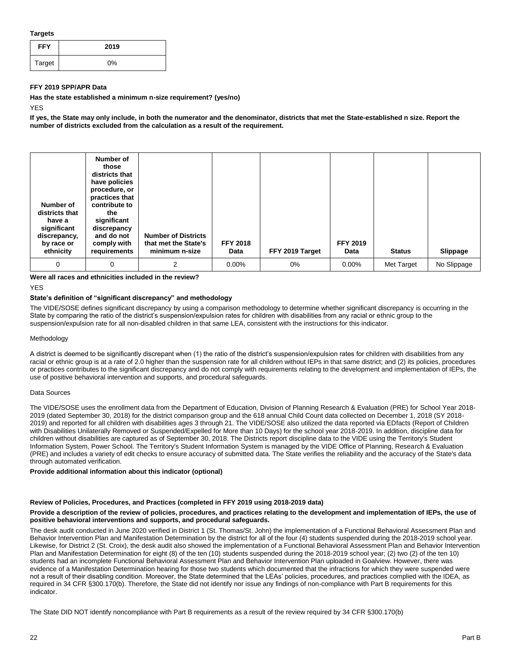#### **Targets**

| <b>FFY</b> | 2019  |
|------------|-------|
| Target     | $0\%$ |

#### **FFY 2019 SPP/APR Data**

**Has the state established a minimum n-size requirement? (yes/no)**

YES

**If yes, the State may only include, in both the numerator and the denominator, districts that met the State-established n size. Report the number of districts excluded from the calculation as a result of the requirement.**

| Number of<br>districts that<br>have a<br>significant<br>discrepancy,<br>by race or<br>ethnicity | Number of<br>those<br>districts that<br>have policies<br>procedure, or<br>practices that<br>contribute to<br>the<br>significant<br>discrepancy<br>and do not<br>comply with<br>requirements | <b>Number of Districts</b><br>that met the State's<br>minimum n-size | <b>FFY 2018</b><br>Data | FFY 2019 Target | <b>FFY 2019</b><br>Data | <b>Status</b> | Slippage    |
|-------------------------------------------------------------------------------------------------|---------------------------------------------------------------------------------------------------------------------------------------------------------------------------------------------|----------------------------------------------------------------------|-------------------------|-----------------|-------------------------|---------------|-------------|
| 0                                                                                               | 0                                                                                                                                                                                           | 2                                                                    | 0.00%                   | $0\%$           | $0.00\%$                | Met Target    | No Slippage |

#### **Were all races and ethnicities included in the review?**

**YFS** 

## **State's definition of "significant discrepancy" and methodology**

The VIDE/SOSE defines significant discrepancy by using a comparison methodology to determine whether significant discrepancy is occurring in the State by comparing the ratio of the district's suspension/expulsion rates for children with disabilities from any racial or ethnic group to the suspension/expulsion rate for all non-disabled children in that same LEA, consistent with the instructions for this indicator.

#### Methodology

A district is deemed to be significantly discrepant when (1) the ratio of the district's suspension/expulsion rates for children with disabilities from any racial or ethnic group is at a rate of 2.0 higher than the suspension rate for all children without IEPs in that same district; and (2) its policies, procedures or practices contributes to the significant discrepancy and do not comply with requirements relating to the development and implementation of IEPs, the use of positive behavioral intervention and supports, and procedural safeguards.

#### Data Sources

The VIDE/SOSE uses the enrollment data from the Department of Education, Division of Planning Research & Evaluation (PRE) for School Year 2018- 2019 (dated September 30, 2018) for the district comparison group and the 618 annual Child Count data collected on December 1, 2018 (SY 2018- 2019) and reported for all children with disabilities ages 3 through 21. The VIDE/SOSE also utilized the data reported via EDfacts (Report of Children with Disabilities Unilaterally Removed or Suspended/Expelled for More than 10 Days) for the school year 2018-2019. In addition, discipline data for children without disabilities are captured as of September 30, 2018. The Districts report discipline data to the VIDE using the Territory's Student Information System, Power School. The Territory's Student Information System is managed by the VIDE Office of Planning, Research & Evaluation (PRE) and includes a variety of edit checks to ensure accuracy of submitted data. The State verifies the reliability and the accuracy of the State's data through automated verification.

#### **Provide additional information about this indicator (optional)**

#### **Review of Policies, Procedures, and Practices (completed in FFY 2019 using 2018-2019 data)**

#### **Provide a description of the review of policies, procedures, and practices relating to the development and implementation of IEPs, the use of positive behavioral interventions and supports, and procedural safeguards.**

The desk audit conducted in June 2020 verified in District 1 (St. Thomas/St. John) the implementation of a Functional Behavioral Assessment Plan and Behavior Intervention Plan and Manifestation Determination by the district for all of the four (4) students suspended during the 2018-2019 school year. Likewise, for District 2 (St. Croix), the desk audit also showed the implementation of a Functional Behavioral Assessment Plan and Behavior Intervention Plan and Manifestation Determination for eight (8) of the ten (10) students suspended during the 2018-2019 school year; (2) two (2) of the ten 10) students had an incomplete Functional Behavioral Assessment Plan and Behavior Intervention Plan uploaded in Goalview. However, there was evidence of a Manifestation Determination hearing for those two students which documented that the infractions for which they were suspended were not a result of their disabling condition. Moreover, the State determined that the LEAs' policies, procedures, and practices complied with the IDEA, as required in 34 CFR §300.170(b). Therefore, the State did not identify nor issue any findings of non-compliance with Part B requirements for this indicator.

The State DID NOT identify noncompliance with Part B requirements as a result of the review required by 34 CFR §300.170(b)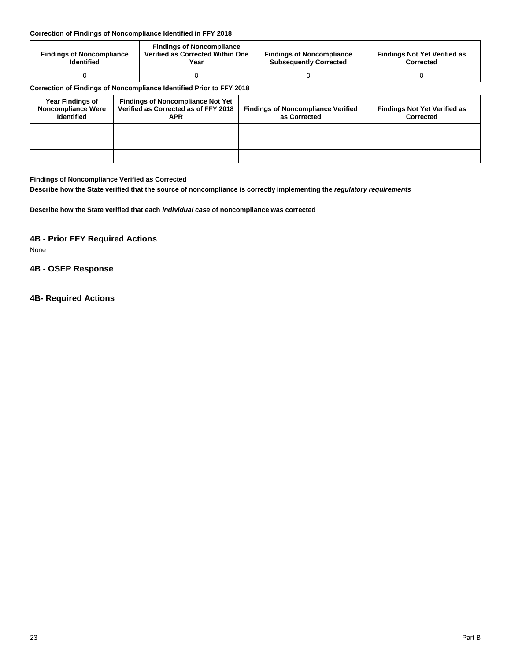# **Correction of Findings of Noncompliance Identified in FFY 2018**

| <b>Findings of Noncompliance</b><br><b>Identified</b> | <b>Findings of Noncompliance</b><br>Verified as Corrected Within One<br>Year | <b>Findings of Noncompliance</b><br><b>Subsequently Corrected</b> | <b>Findings Not Yet Verified as</b><br>Corrected |
|-------------------------------------------------------|------------------------------------------------------------------------------|-------------------------------------------------------------------|--------------------------------------------------|
|                                                       |                                                                              |                                                                   |                                                  |

# **Correction of Findings of Noncompliance Identified Prior to FFY 2018**

| <b>Year Findings of</b><br><b>Noncompliance Were</b><br><b>Identified</b> | <b>Findings of Noncompliance Not Yet</b><br>Verified as Corrected as of FFY 2018<br><b>APR</b> | <b>Findings of Noncompliance Verified</b><br>as Corrected | <b>Findings Not Yet Verified as</b><br>Corrected |
|---------------------------------------------------------------------------|------------------------------------------------------------------------------------------------|-----------------------------------------------------------|--------------------------------------------------|
|                                                                           |                                                                                                |                                                           |                                                  |
|                                                                           |                                                                                                |                                                           |                                                  |
|                                                                           |                                                                                                |                                                           |                                                  |

# **Findings of Noncompliance Verified as Corrected**

**Describe how the State verified that the source of noncompliance is correctly implementing the** *regulatory requirements*

**Describe how the State verified that each** *individual case* **of noncompliance was corrected**

# **4B - Prior FFY Required Actions**

None

# **4B - OSEP Response**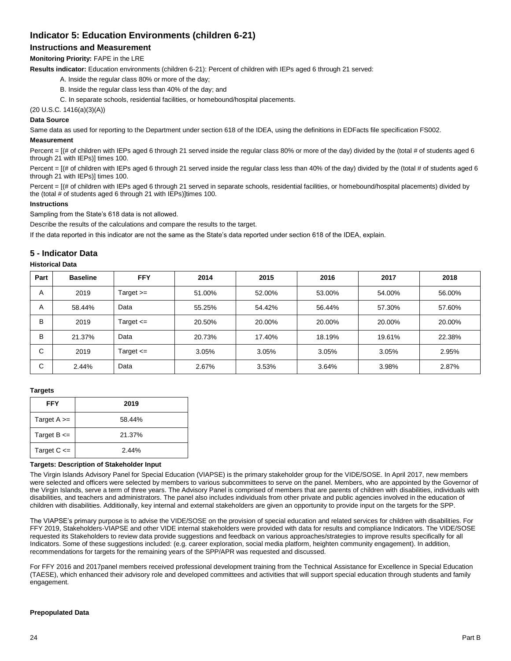# **Indicator 5: Education Environments (children 6-21)**

# **Instructions and Measurement**

# **Monitoring Priority:** FAPE in the LRE

**Results indicator:** Education environments (children 6-21): Percent of children with IEPs aged 6 through 21 served:

- A. Inside the regular class 80% or more of the day;
- B. Inside the regular class less than 40% of the day; and
- C. In separate schools, residential facilities, or homebound/hospital placements.

(20 U.S.C. 1416(a)(3)(A))

# **Data Source**

Same data as used for reporting to the Department under section 618 of the IDEA, using the definitions in EDFacts file specification FS002.

#### **Measurement**

Percent = [(# of children with IEPs aged 6 through 21 served inside the regular class 80% or more of the day) divided by the (total # of students aged 6 through 21 with IEPs)] times 100.

Percent = [(# of children with IEPs aged 6 through 21 served inside the regular class less than 40% of the day) divided by the (total # of students aged 6 through 21 with IEPs)] times 100.

Percent = [(# of children with IEPs aged 6 through 21 served in separate schools, residential facilities, or homebound/hospital placements) divided by the (total # of students aged 6 through 21 with IEPs)]times 100.

### **Instructions**

Sampling from the State's 618 data is not allowed.

Describe the results of the calculations and compare the results to the target.

If the data reported in this indicator are not the same as the State's data reported under section 618 of the IDEA, explain.

# **5 - Indicator Data**

#### **Historical Data**

| Part   | <b>Baseline</b> | <b>FFY</b>    | 2014   | 2015   | 2016   | 2017   | 2018   |
|--------|-----------------|---------------|--------|--------|--------|--------|--------|
| A      | 2019            | Target $>=$   | 51.00% | 52.00% | 53.00% | 54.00% | 56.00% |
| A      | 58.44%          | Data          | 55.25% | 54.42% | 56.44% | 57.30% | 57.60% |
| в      | 2019            | Target $\leq$ | 20.50% | 20.00% | 20.00% | 20.00% | 20.00% |
| в      | 21.37%          | Data          | 20.73% | 17.40% | 18.19% | 19.61% | 22.38% |
| ⌒<br>U | 2019            | Target $\leq$ | 3.05%  | 3.05%  | 3.05%  | 3.05%  | 2.95%  |
| ⌒<br>◡ | 2.44%           | Data          | 2.67%  | 3.53%  | 3.64%  | 3.98%  | 2.87%  |

#### **Targets**

| <b>FFY</b>      | 2019   |
|-----------------|--------|
| Target $A \geq$ | 58.44% |
| Target $B \leq$ | 21.37% |
| Target $C \leq$ | 2.44%  |

#### **Targets: Description of Stakeholder Input**

The Virgin Islands Advisory Panel for Special Education (VIAPSE) is the primary stakeholder group for the VIDE/SOSE. In April 2017, new members were selected and officers were selected by members to various subcommittees to serve on the panel. Members, who are appointed by the Governor of the Virgin Islands, serve a term of three years. The Advisory Panel is comprised of members that are parents of children with disabilities, individuals with disabilities, and teachers and administrators. The panel also includes individuals from other private and public agencies involved in the education of children with disabilities. Additionally, key internal and external stakeholders are given an opportunity to provide input on the targets for the SPP.

The VIAPSE's primary purpose is to advise the VIDE/SOSE on the provision of special education and related services for children with disabilities. For FFY 2019, Stakeholders-VIAPSE and other VIDE internal stakeholders were provided with data for results and compliance Indicators. The VIDE/SOSE requested its Stakeholders to review data provide suggestions and feedback on various approaches/strategies to improve results specifically for all Indicators. Some of these suggestions included: (e.g. career exploration, social media platform, heighten community engagement). In addition, recommendations for targets for the remaining years of the SPP/APR was requested and discussed.

For FFY 2016 and 2017panel members received professional development training from the Technical Assistance for Excellence in Special Education (TAESE), which enhanced their advisory role and developed committees and activities that will support special education through students and family engagement.

#### **Prepopulated Data**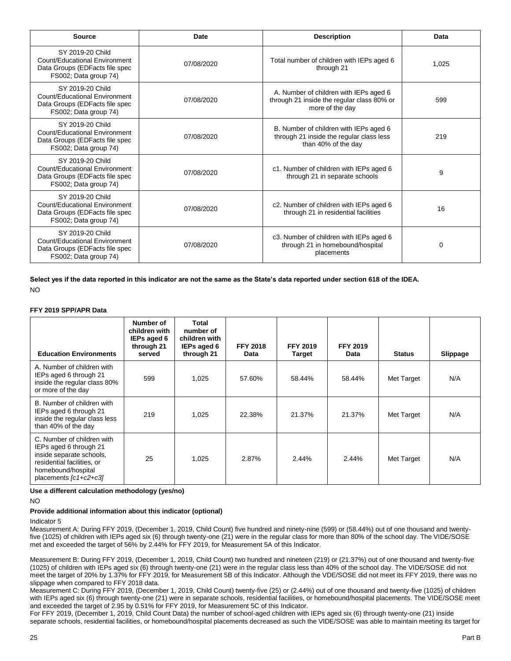| <b>Source</b>                                                                                                | Date       | <b>Description</b>                                                                                        | Data  |
|--------------------------------------------------------------------------------------------------------------|------------|-----------------------------------------------------------------------------------------------------------|-------|
| SY 2019-20 Child<br>Count/Educational Environment<br>Data Groups (EDFacts file spec<br>FS002; Data group 74) | 07/08/2020 | Total number of children with IEPs aged 6<br>through 21                                                   | 1,025 |
| SY 2019-20 Child<br>Count/Educational Environment<br>Data Groups (EDFacts file spec<br>FS002; Data group 74) | 07/08/2020 | A. Number of children with IEPs aged 6<br>through 21 inside the regular class 80% or<br>more of the day   |       |
| SY 2019-20 Child<br>Count/Educational Environment<br>Data Groups (EDFacts file spec<br>FS002; Data group 74) | 07/08/2020 | B. Number of children with IEPs aged 6<br>through 21 inside the regular class less<br>than 40% of the day | 219   |
| SY 2019-20 Child<br>Count/Educational Environment<br>Data Groups (EDFacts file spec<br>FS002; Data group 74) | 07/08/2020 | c1. Number of children with IEPs aged 6<br>through 21 in separate schools                                 | 9     |
| SY 2019-20 Child<br>Count/Educational Environment<br>Data Groups (EDFacts file spec<br>FS002; Data group 74) | 07/08/2020 | c2. Number of children with IEPs aged 6<br>through 21 in residential facilities                           | 16    |
| SY 2019-20 Child<br>Count/Educational Environment<br>Data Groups (EDFacts file spec<br>FS002; Data group 74) | 07/08/2020 | c3. Number of children with IEPs aged 6<br>through 21 in homebound/hospital<br>placements                 | 0     |

**Select yes if the data reported in this indicator are not the same as the State's data reported under section 618 of the IDEA.** NO

#### **FFY 2019 SPP/APR Data**

| <b>Education Environments</b>                                                                                                                                 | Number of<br>children with<br>IEPs aged 6<br>through 21<br>served | Total<br>number of<br>children with<br>IEPs aged 6<br>through 21 | <b>FFY 2018</b><br>Data | <b>FFY 2019</b><br><b>Target</b> | <b>FFY 2019</b><br>Data | <b>Status</b> | Slippage |
|---------------------------------------------------------------------------------------------------------------------------------------------------------------|-------------------------------------------------------------------|------------------------------------------------------------------|-------------------------|----------------------------------|-------------------------|---------------|----------|
| A. Number of children with<br>IEPs aged 6 through 21<br>inside the regular class 80%<br>or more of the day                                                    | 599                                                               | 1,025                                                            | 57.60%                  | 58.44%                           | 58.44%                  | Met Target    | N/A      |
| B. Number of children with<br>IEPs aged 6 through 21<br>inside the regular class less<br>than 40% of the day                                                  | 219                                                               | 1,025                                                            | 22.38%                  | 21.37%                           | 21.37%                  | Met Target    | N/A      |
| C. Number of children with<br>IEPs aged 6 through 21<br>inside separate schools.<br>residential facilities, or<br>homebound/hospital<br>placements [c1+c2+c3] | 25                                                                | 1,025                                                            | 2.87%                   | 2.44%                            | 2.44%                   | Met Target    | N/A      |

## **Use a different calculation methodology (yes/no)**

NO

# **Provide additional information about this indicator (optional)**

## Indicator 5

Measurement A: During FFY 2019, (December 1, 2019, Child Count) five hundred and ninety-nine (599) or (58.44%) out of one thousand and twentyfive (1025) of children with IEPs aged six (6) through twenty-one (21) were in the regular class for more than 80% of the school day. The VIDE/SOSE met and exceeded the target of 56% by 2.44% for FFY 2019, for Measurement 5A of this Indicator.

Measurement B: During FFY 2019, (December 1, 2019, Child Count) two hundred and nineteen (219) or (21.37%) out of one thousand and twenty-five (1025) of children with IEPs aged six (6) through twenty-one (21) were in the regular class less than 40% of the school day. The VIDE/SOSE did not meet the target of 20% by 1.37% for FFY 2019, for Measurement 5B of this Indicator. Although the VDE/SOSE did not meet its FFY 2019, there was no slippage when compared to FFY 2018 data.

Measurement C: During FFY 2019, (December 1, 2019, Child Count) twenty-five (25) or (2.44%) out of one thousand and twenty-five (1025) of children with IEPs aged six (6) through twenty-one (21) were in separate schools, residential facilities, or homebound/hospital placements. The VIDE/SOSE meet and exceeded the target of 2.95 by 0.51% for FFY 2019, for Measurement 5C of this Indicator.

For FFY 2019, (December 1, 2019, Child Count Data) the number of school-aged children with IEPs aged six (6) through twenty-one (21) inside separate schools, residential facilities, or homebound/hospital placements decreased as such the VIDE/SOSE was able to maintain meeting its target for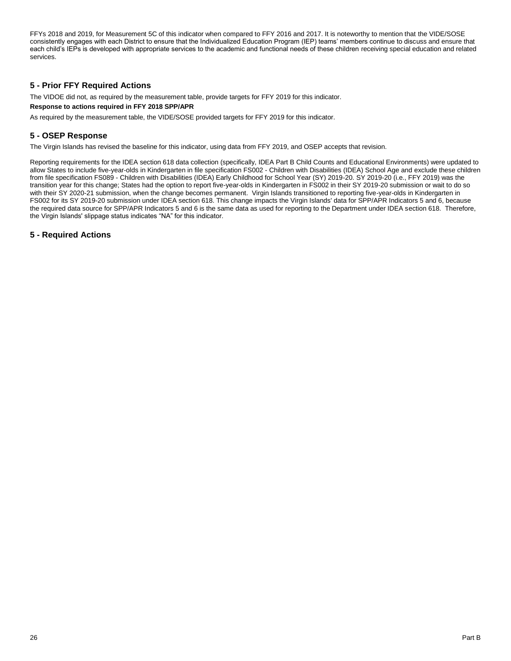FFYs 2018 and 2019, for Measurement 5C of this indicator when compared to FFY 2016 and 2017. It is noteworthy to mention that the VIDE/SOSE consistently engages with each District to ensure that the Individualized Education Program (IEP) teams' members continue to discuss and ensure that each child's IEPs is developed with appropriate services to the academic and functional needs of these children receiving special education and related services.

# **5 - Prior FFY Required Actions**

The VIDOE did not, as required by the measurement table, provide targets for FFY 2019 for this indicator.

#### **Response to actions required in FFY 2018 SPP/APR**

As required by the measurement table, the VIDE/SOSE provided targets for FFY 2019 for this indicator.

# **5 - OSEP Response**

The Virgin Islands has revised the baseline for this indicator, using data from FFY 2019, and OSEP accepts that revision.

Reporting requirements for the IDEA section 618 data collection (specifically, IDEA Part B Child Counts and Educational Environments) were updated to allow States to include five-year-olds in Kindergarten in file specification FS002 - Children with Disabilities (IDEA) School Age and exclude these children from file specification FS089 - Children with Disabilities (IDEA) Early Childhood for School Year (SY) 2019-20. SY 2019-20 (i.e., FFY 2019) was the transition year for this change; States had the option to report five-year-olds in Kindergarten in FS002 in their SY 2019-20 submission or wait to do so with their SY 2020-21 submission, when the change becomes permanent. Virgin Islands transitioned to reporting five-year-olds in Kindergarten in FS002 for its SY 2019-20 submission under IDEA section 618. This change impacts the Virgin Islands' data for SPP/APR Indicators 5 and 6, because the required data source for SPP/APR Indicators 5 and 6 is the same data as used for reporting to the Department under IDEA section 618. Therefore, the Virgin Islands' slippage status indicates "NA" for this indicator.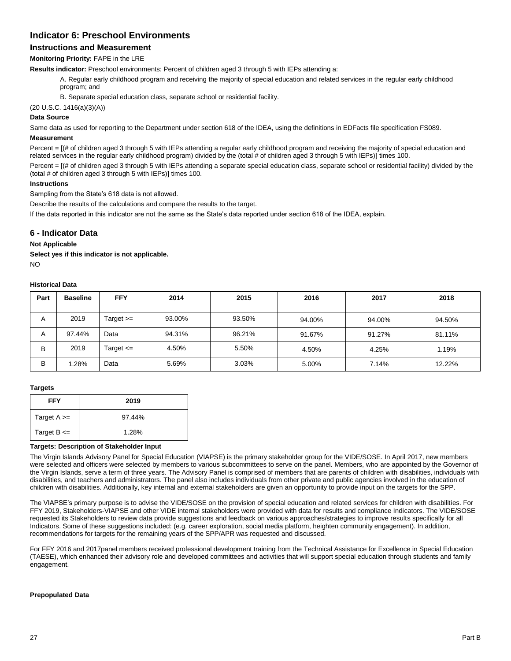# **Indicator 6: Preschool Environments**

# **Instructions and Measurement**

# **Monitoring Priority:** FAPE in the LRE

**Results indicator:** Preschool environments: Percent of children aged 3 through 5 with IEPs attending a:

A. Regular early childhood program and receiving the majority of special education and related services in the regular early childhood program; and

B. Separate special education class, separate school or residential facility.

(20 U.S.C. 1416(a)(3)(A))

# **Data Source**

Same data as used for reporting to the Department under section 618 of the IDEA, using the definitions in EDFacts file specification FS089.

# **Measurement**

Percent = [(# of children aged 3 through 5 with IEPs attending a regular early childhood program and receiving the majority of special education and related services in the regular early childhood program) divided by the (total # of children aged 3 through 5 with IEPs)] times 100.

Percent = [(# of children aged 3 through 5 with IEPs attending a separate special education class, separate school or residential facility) divided by the (total # of children aged 3 through 5 with IEPs)] times 100.

### **Instructions**

Sampling from the State's 618 data is not allowed.

Describe the results of the calculations and compare the results to the target.

If the data reported in this indicator are not the same as the State's data reported under section 618 of the IDEA, explain.

# **6 - Indicator Data**

## **Not Applicable**

**Select yes if this indicator is not applicable.**   $N<sub>O</sub>$ 

### **Historical Data**

| Part | <b>Baseline</b> | <b>FFY</b>    | 2014   | 2015   | 2016   | 2017   | 2018   |
|------|-----------------|---------------|--------|--------|--------|--------|--------|
| A    | 2019            | Target >=     | 93.00% | 93.50% | 94.00% | 94.00% | 94.50% |
| A    | 97.44%          | Data          | 94.31% | 96.21% | 91.67% | 91.27% | 81.11% |
| B    | 2019            | Target $\leq$ | 4.50%  | 5.50%  | 4.50%  | 4.25%  | 1.19%  |
| B    | .28%            | Data          | 5.69%  | 3.03%  | 5.00%  | 7.14%  | 12.22% |

#### **Targets**

| <b>FFY</b>      | 2019   |
|-----------------|--------|
| Target $A \geq$ | 97.44% |
| Target $B \leq$ | 1.28%  |

#### **Targets: Description of Stakeholder Input**

The Virgin Islands Advisory Panel for Special Education (VIAPSE) is the primary stakeholder group for the VIDE/SOSE. In April 2017, new members were selected and officers were selected by members to various subcommittees to serve on the panel. Members, who are appointed by the Governor of the Virgin Islands, serve a term of three years. The Advisory Panel is comprised of members that are parents of children with disabilities, individuals with disabilities, and teachers and administrators. The panel also includes individuals from other private and public agencies involved in the education of children with disabilities. Additionally, key internal and external stakeholders are given an opportunity to provide input on the targets for the SPP.

The VIAPSE's primary purpose is to advise the VIDE/SOSE on the provision of special education and related services for children with disabilities. For FFY 2019, Stakeholders-VIAPSE and other VIDE internal stakeholders were provided with data for results and compliance Indicators. The VIDE/SOSE requested its Stakeholders to review data provide suggestions and feedback on various approaches/strategies to improve results specifically for all Indicators. Some of these suggestions included: (e.g. career exploration, social media platform, heighten community engagement). In addition, recommendations for targets for the remaining years of the SPP/APR was requested and discussed.

For FFY 2016 and 2017panel members received professional development training from the Technical Assistance for Excellence in Special Education (TAESE), which enhanced their advisory role and developed committees and activities that will support special education through students and family engagement.

#### **Prepopulated Data**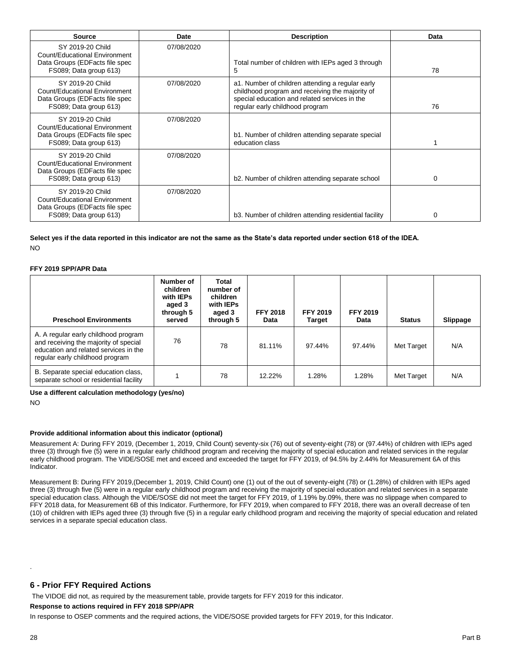| Source                                                                                                        | Date       | <b>Description</b>                                                                                                                                                                      | Data     |
|---------------------------------------------------------------------------------------------------------------|------------|-----------------------------------------------------------------------------------------------------------------------------------------------------------------------------------------|----------|
| SY 2019-20 Child<br>Count/Educational Environment<br>Data Groups (EDFacts file spec<br>FS089; Data group 613) | 07/08/2020 | Total number of children with IEPs aged 3 through<br>5                                                                                                                                  | 78       |
| SY 2019-20 Child<br>Count/Educational Environment<br>Data Groups (EDFacts file spec<br>FS089; Data group 613) | 07/08/2020 | a1. Number of children attending a regular early<br>childhood program and receiving the majority of<br>special education and related services in the<br>regular early childhood program | 76       |
| SY 2019-20 Child<br>Count/Educational Environment<br>Data Groups (EDFacts file spec<br>FS089; Data group 613) | 07/08/2020 | b1. Number of children attending separate special<br>education class                                                                                                                    |          |
| SY 2019-20 Child<br>Count/Educational Environment<br>Data Groups (EDFacts file spec<br>FS089; Data group 613) | 07/08/2020 | b2. Number of children attending separate school                                                                                                                                        | $\Omega$ |
| SY 2019-20 Child<br>Count/Educational Environment<br>Data Groups (EDFacts file spec<br>FS089; Data group 613) | 07/08/2020 | b3. Number of children attending residential facility                                                                                                                                   | $\Omega$ |

**Select yes if the data reported in this indicator are not the same as the State's data reported under section 618 of the IDEA.** NO

#### **FFY 2019 SPP/APR Data**

| <b>Preschool Environments</b>                                                                                                                             | Number of<br>children<br>with IEPs<br>aged 3<br>through 5<br>served | Total<br>number of<br>children<br>with IEPs<br>aged 3<br>through 5 | <b>FFY 2018</b><br>Data | <b>FFY 2019</b><br><b>Target</b> | <b>FFY 2019</b><br>Data | <b>Status</b> | Slippage |
|-----------------------------------------------------------------------------------------------------------------------------------------------------------|---------------------------------------------------------------------|--------------------------------------------------------------------|-------------------------|----------------------------------|-------------------------|---------------|----------|
| A. A regular early childhood program<br>and receiving the majority of special<br>education and related services in the<br>regular early childhood program | 76                                                                  | 78                                                                 | 81.11%                  | 97.44%                           | 97.44%                  | Met Target    | N/A      |
| B. Separate special education class,<br>separate school or residential facility                                                                           |                                                                     | 78                                                                 | 12.22%                  | 1.28%                            | 1.28%                   | Met Target    | N/A      |

**Use a different calculation methodology (yes/no)** 

NO

#### **Provide additional information about this indicator (optional)**

Measurement A: During FFY 2019, (December 1, 2019, Child Count) seventy-six (76) out of seventy-eight (78) or (97.44%) of children with IEPs aged three (3) through five (5) were in a regular early childhood program and receiving the majority of special education and related services in the regular early childhood program. The VIDE/SOSE met and exceed and exceeded the target for FFY 2019, of 94.5% by 2.44% for Measurement 6A of this Indicator.

Measurement B: During FFY 2019,(December 1, 2019, Child Count) one (1) out of the out of seventy-eight (78) or (1.28%) of children with IEPs aged three (3) through five (5) were in a regular early childhood program and receiving the majority of special education and related services in a separate special education class. Although the VIDE/SOSE did not meet the target for FFY 2019, of 1.19% by.09%, there was no slippage when compared to FFY 2018 data, for Measurement 6B of this Indicator. Furthermore, for FFY 2019, when compared to FFY 2018, there was an overall decrease of ten (10) of children with IEPs aged three (3) through five (5) in a regular early childhood program and receiving the majority of special education and related services in a separate special education class.

## **6 - Prior FFY Required Actions**

The VIDOE did not, as required by the measurement table, provide targets for FFY 2019 for this indicator.

#### **Response to actions required in FFY 2018 SPP/APR**

In response to OSEP comments and the required actions, the VIDE/SOSE provided targets for FFY 2019, for this Indicator.

.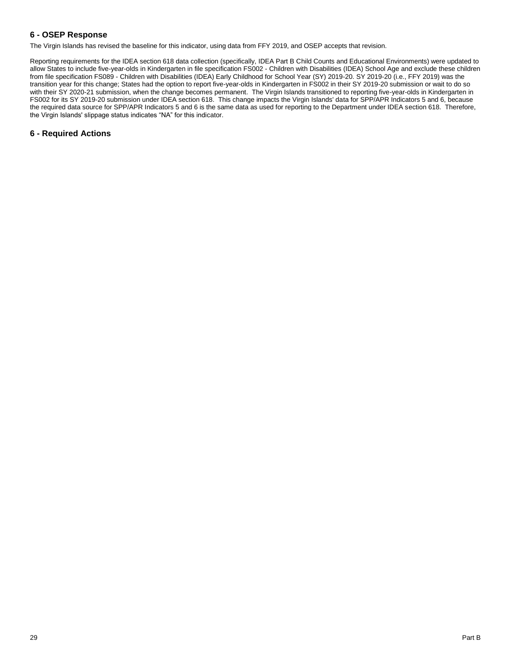# **6 - OSEP Response**

The Virgin Islands has revised the baseline for this indicator, using data from FFY 2019, and OSEP accepts that revision.

Reporting requirements for the IDEA section 618 data collection (specifically, IDEA Part B Child Counts and Educational Environments) were updated to allow States to include five-year-olds in Kindergarten in file specification FS002 - Children with Disabilities (IDEA) School Age and exclude these children from file specification FS089 - Children with Disabilities (IDEA) Early Childhood for School Year (SY) 2019-20. SY 2019-20 (i.e., FFY 2019) was the transition year for this change; States had the option to report five-year-olds in Kindergarten in FS002 in their SY 2019-20 submission or wait to do so with their SY 2020-21 submission, when the change becomes permanent. The Virgin Islands transitioned to reporting five-year-olds in Kindergarten in FS002 for its SY 2019-20 submission under IDEA section 618. This change impacts the Virgin Islands' data for SPP/APR Indicators 5 and 6, because the required data source for SPP/APR Indicators 5 and 6 is the same data as used for reporting to the Department under IDEA section 618. Therefore, the Virgin Islands' slippage status indicates "NA" for this indicator.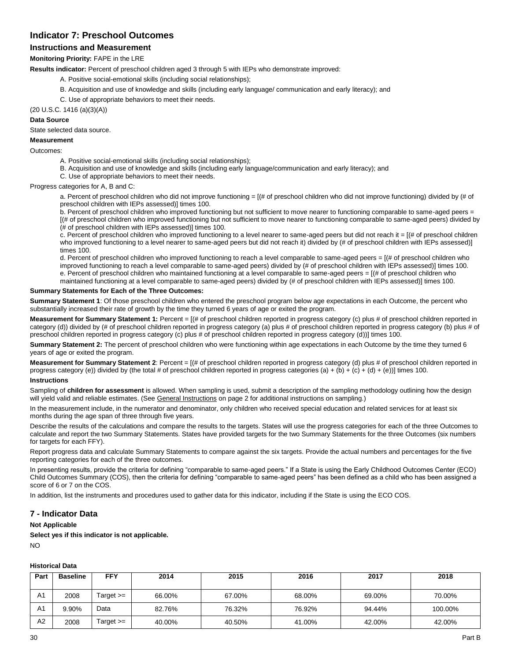# **Indicator 7: Preschool Outcomes**

# **Instructions and Measurement**

### **Monitoring Priority:** FAPE in the LRE

**Results indicator:** Percent of preschool children aged 3 through 5 with IEPs who demonstrate improved:

- A. Positive social-emotional skills (including social relationships);
- B. Acquisition and use of knowledge and skills (including early language/ communication and early literacy); and
- C. Use of appropriate behaviors to meet their needs.

(20 U.S.C. 1416 (a)(3)(A))

#### **Data Source**

State selected data source.

### **Measurement**

Outcomes:

- A. Positive social-emotional skills (including social relationships);
- B. Acquisition and use of knowledge and skills (including early language/communication and early literacy); and
- C. Use of appropriate behaviors to meet their needs.

Progress categories for A, B and C:

a. Percent of preschool children who did not improve functioning =  $[(# of preschool children who did not improve functioning) divided by  $(# of the image)$$ preschool children with IEPs assessed)] times 100.

b. Percent of preschool children who improved functioning but not sufficient to move nearer to functioning comparable to same-aged peers = [(# of preschool children who improved functioning but not sufficient to move nearer to functioning comparable to same-aged peers) divided by (# of preschool children with IEPs assessed)] times 100.

c. Percent of preschool children who improved functioning to a level nearer to same-aged peers but did not reach it = [(# of preschool children who improved functioning to a level nearer to same-aged peers but did not reach it) divided by (# of preschool children with IEPs assessed)] times 100.

d. Percent of preschool children who improved functioning to reach a level comparable to same-aged peers = [(# of preschool children who improved functioning to reach a level comparable to same-aged peers) divided by (# of preschool children with IEPs assessed)] times 100. e. Percent of preschool children who maintained functioning at a level comparable to same-aged peers = [(# of preschool children who maintained functioning at a level comparable to same-aged peers) divided by (# of preschool children with IEPs assessed)] times 100.

#### **Summary Statements for Each of the Three Outcomes:**

**Summary Statement 1**: Of those preschool children who entered the preschool program below age expectations in each Outcome, the percent who substantially increased their rate of growth by the time they turned 6 years of age or exited the program.

**Measurement for Summary Statement 1:** Percent = [(# of preschool children reported in progress category (c) plus # of preschool children reported in category (d)) divided by (# of preschool children reported in progress category (a) plus # of preschool children reported in progress category (b) plus # of preschool children reported in progress category (c) plus # of preschool children reported in progress category (d))] times 100.

**Summary Statement 2:** The percent of preschool children who were functioning within age expectations in each Outcome by the time they turned 6 years of age or exited the program.

**Measurement for Summary Statement 2**: Percent = [(# of preschool children reported in progress category (d) plus # of preschool children reported in progress category (e)) divided by (the total # of preschool children reported in progress categories (a) + (b) + (c) + (d) + (e))] times 100.

### **Instructions**

Sampling of **children for assessment** is allowed. When sampling is used, submit a description of the sampling methodology outlining how the design will yield valid and reliable estimates. (See General Instructions on page 2 for additional instructions on sampling.)

In the measurement include, in the numerator and denominator, only children who received special education and related services for at least six months during the age span of three through five years.

Describe the results of the calculations and compare the results to the targets. States will use the progress categories for each of the three Outcomes to calculate and report the two Summary Statements. States have provided targets for the two Summary Statements for the three Outcomes (six numbers for targets for each FFY).

Report progress data and calculate Summary Statements to compare against the six targets. Provide the actual numbers and percentages for the five reporting categories for each of the three outcomes.

In presenting results, provide the criteria for defining "comparable to same-aged peers." If a State is using the Early Childhood Outcomes Center (ECO) Child Outcomes Summary (COS), then the criteria for defining "comparable to same-aged peers" has been defined as a child who has been assigned a score of 6 or 7 on the COS.

In addition, list the instruments and procedures used to gather data for this indicator, including if the State is using the ECO COS.

# **7 - Indicator Data**

**Not Applicable**

**Select yes if this indicator is not applicable.** NO

## **Historical Data**

| Part           | <b>Baseline</b> | FFY         | 2014   | 2015   | 2016   | 2017   | 2018    |
|----------------|-----------------|-------------|--------|--------|--------|--------|---------|
|                |                 |             |        |        |        |        |         |
| A <sub>1</sub> | 2008            | Target $>=$ | 66.00% | 67.00% | 68.00% | 69.00% | 70.00%  |
| A <sub>1</sub> | 9.90%           | Data        | 82.76% | 76.32% | 76.92% | 94.44% | 100.00% |
| A2             | 2008            | Target $>=$ | 40.00% | 40.50% | 41.00% | 42.00% | 42.00%  |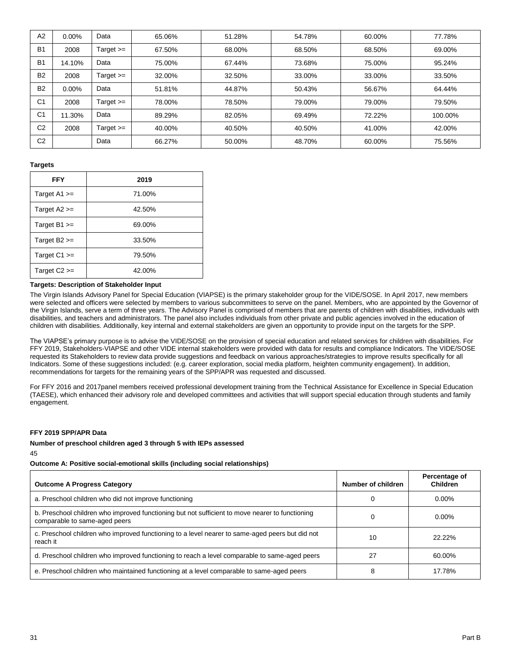| A <sub>2</sub> | $0.00\%$ | Data        | 65.06% | 51.28% | 54.78% | 60.00% | 77.78%  |
|----------------|----------|-------------|--------|--------|--------|--------|---------|
| B <sub>1</sub> | 2008     | Target $>=$ | 67.50% | 68.00% | 68.50% | 68.50% | 69.00%  |
| B <sub>1</sub> | 14.10%   | Data        | 75.00% | 67.44% | 73.68% | 75.00% | 95.24%  |
| <b>B2</b>      | 2008     | Target $>=$ | 32.00% | 32.50% | 33.00% | 33.00% | 33.50%  |
| B <sub>2</sub> | $0.00\%$ | Data        | 51.81% | 44.87% | 50.43% | 56.67% | 64.44%  |
| C <sub>1</sub> | 2008     | Target $>=$ | 78.00% | 78.50% | 79.00% | 79.00% | 79.50%  |
| C <sub>1</sub> | 11.30%   | Data        | 89.29% | 82.05% | 69.49% | 72.22% | 100.00% |
| C <sub>2</sub> | 2008     | Target $>=$ | 40.00% | 40.50% | 40.50% | 41.00% | 42.00%  |
| C <sub>2</sub> |          | Data        | 66.27% | 50.00% | 48.70% | 60.00% | 75.56%  |

#### **Targets**

| <b>FFY</b>       | 2019   |
|------------------|--------|
| Target $A1 >=$   | 71.00% |
| Target $A2 >=$   | 42.50% |
| Target $B1 >=$   | 69.00% |
| Target $B2 \geq$ | 33.50% |
| Target $C1 >=$   | 79.50% |
| Target $C2 \geq$ | 42.00% |

#### **Targets: Description of Stakeholder Input**

The Virgin Islands Advisory Panel for Special Education (VIAPSE) is the primary stakeholder group for the VIDE/SOSE. In April 2017, new members were selected and officers were selected by members to various subcommittees to serve on the panel. Members, who are appointed by the Governor of the Virgin Islands, serve a term of three years. The Advisory Panel is comprised of members that are parents of children with disabilities, individuals with disabilities, and teachers and administrators. The panel also includes individuals from other private and public agencies involved in the education of children with disabilities. Additionally, key internal and external stakeholders are given an opportunity to provide input on the targets for the SPP.

The VIAPSE's primary purpose is to advise the VIDE/SOSE on the provision of special education and related services for children with disabilities. For FFY 2019, Stakeholders-VIAPSE and other VIDE internal stakeholders were provided with data for results and compliance Indicators. The VIDE/SOSE requested its Stakeholders to review data provide suggestions and feedback on various approaches/strategies to improve results specifically for all Indicators. Some of these suggestions included: (e.g. career exploration, social media platform, heighten community engagement). In addition, recommendations for targets for the remaining years of the SPP/APR was requested and discussed.

For FFY 2016 and 2017panel members received professional development training from the Technical Assistance for Excellence in Special Education (TAESE), which enhanced their advisory role and developed committees and activities that will support special education through students and family engagement.

#### **FFY 2019 SPP/APR Data**

# **Number of preschool children aged 3 through 5 with IEPs assessed**

#### 45

# **Outcome A: Positive social-emotional skills (including social relationships)**

| <b>Outcome A Progress Category</b>                                                                                               | Number of children | Percentage of<br><b>Children</b> |
|----------------------------------------------------------------------------------------------------------------------------------|--------------------|----------------------------------|
| a. Preschool children who did not improve functioning                                                                            | 0                  | $0.00\%$                         |
| b. Preschool children who improved functioning but not sufficient to move nearer to functioning<br>comparable to same-aged peers | 0                  | $0.00\%$                         |
| c. Preschool children who improved functioning to a level nearer to same-aged peers but did not<br>reach it                      | 10                 | 22.22%                           |
| d. Preschool children who improved functioning to reach a level comparable to same-aged peers                                    | 27                 | 60.00%                           |
| e. Preschool children who maintained functioning at a level comparable to same-aged peers                                        | 8                  | 17.78%                           |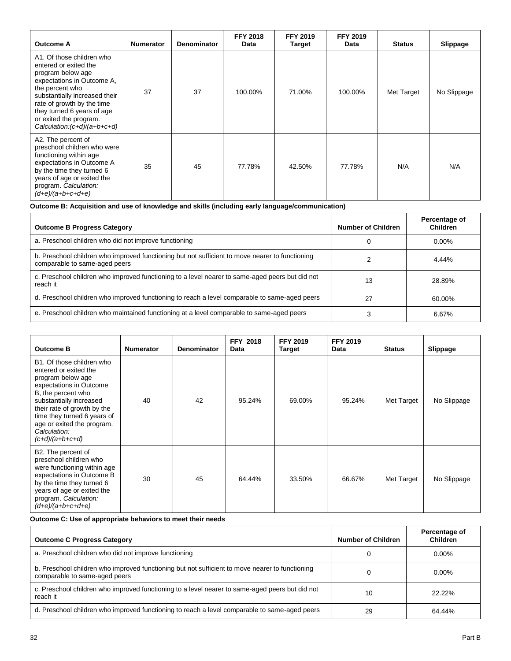| <b>Outcome A</b>                                                                                                                                                                                                                                                               | <b>Numerator</b> | <b>Denominator</b> | <b>FFY 2018</b><br>Data | <b>FFY 2019</b><br>Target | <b>FFY 2019</b><br>Data | <b>Status</b> | Slippage    |
|--------------------------------------------------------------------------------------------------------------------------------------------------------------------------------------------------------------------------------------------------------------------------------|------------------|--------------------|-------------------------|---------------------------|-------------------------|---------------|-------------|
| A1. Of those children who<br>entered or exited the<br>program below age<br>expectations in Outcome A,<br>the percent who<br>substantially increased their<br>rate of growth by the time<br>they turned 6 years of age<br>or exited the program.<br>Calculation:(c+d)/(a+b+c+d) | 37               | 37                 | 100.00%                 | 71.00%                    | 100.00%                 | Met Target    | No Slippage |
| A2. The percent of<br>preschool children who were<br>functioning within age<br>expectations in Outcome A<br>by the time they turned 6<br>years of age or exited the<br>program. Calculation:<br>$(d+e)/(a+b+c+d+e)$                                                            | 35               | 45                 | 77.78%                  | 42.50%                    | 77.78%                  | N/A           | N/A         |

**Outcome B: Acquisition and use of knowledge and skills (including early language/communication)**

| <b>Outcome B Progress Category</b>                                                                                               | Number of Children | Percentage of<br><b>Children</b> |
|----------------------------------------------------------------------------------------------------------------------------------|--------------------|----------------------------------|
| a. Preschool children who did not improve functioning                                                                            |                    | $0.00\%$                         |
| b. Preschool children who improved functioning but not sufficient to move nearer to functioning<br>comparable to same-aged peers |                    | 4.44%                            |
| c. Preschool children who improved functioning to a level nearer to same-aged peers but did not<br>reach it                      | 13                 | 28.89%                           |
| d. Preschool children who improved functioning to reach a level comparable to same-aged peers                                    | 27                 | 60.00%                           |
| e. Preschool children who maintained functioning at a level comparable to same-aged peers                                        |                    | 6.67%                            |

| <b>Outcome B</b>                                                                                                                                                                                                                                                                     | <b>Numerator</b> | <b>Denominator</b> | <b>FFY 2018</b><br><b>Data</b> | <b>FFY 2019</b><br><b>Target</b> | <b>FFY 2019</b><br>Data | <b>Status</b> | Slippage    |
|--------------------------------------------------------------------------------------------------------------------------------------------------------------------------------------------------------------------------------------------------------------------------------------|------------------|--------------------|--------------------------------|----------------------------------|-------------------------|---------------|-------------|
| B1. Of those children who<br>entered or exited the<br>program below age<br>expectations in Outcome<br>B, the percent who<br>substantially increased<br>their rate of growth by the<br>time they turned 6 years of<br>age or exited the program.<br>Calculation:<br>$(c+d)/(a+b+c+d)$ | 40               | 42                 | 95.24%                         | 69.00%                           | 95.24%                  | Met Target    | No Slippage |
| B2. The percent of<br>preschool children who<br>were functioning within age<br>expectations in Outcome B<br>by the time they turned 6<br>years of age or exited the<br>program. Calculation:<br>$(d+e)/(a+b+c+d+e)$                                                                  | 30               | 45                 | 64.44%                         | 33.50%                           | 66.67%                  | Met Target    | No Slippage |

**Outcome C: Use of appropriate behaviors to meet their needs**

| <b>Outcome C Progress Category</b>                                                                                               | Number of Children | Percentage of<br><b>Children</b> |
|----------------------------------------------------------------------------------------------------------------------------------|--------------------|----------------------------------|
| a. Preschool children who did not improve functioning                                                                            |                    | $0.00\%$                         |
| b. Preschool children who improved functioning but not sufficient to move nearer to functioning<br>comparable to same-aged peers |                    | $0.00\%$                         |
| c. Preschool children who improved functioning to a level nearer to same-aged peers but did not<br>reach it                      | 10                 | 22.22%                           |
| d. Preschool children who improved functioning to reach a level comparable to same-aged peers                                    | 29                 | 64.44%                           |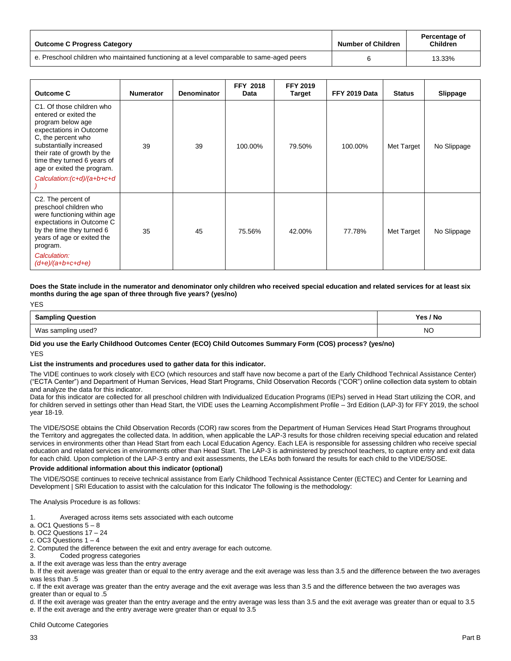| <b>Outcome C Progress Category</b>                                                        | <b>Number of Children</b> | Percentage of<br><b>Children</b> |
|-------------------------------------------------------------------------------------------|---------------------------|----------------------------------|
| e. Preschool children who maintained functioning at a level comparable to same-aged peers |                           | 13.33%                           |

| <b>Outcome C</b>                                                                                                                                                                                                                                                              | <b>Numerator</b> | <b>Denominator</b> | <b>FFY 2018</b><br>Data | <b>FFY 2019</b><br><b>Target</b> | FFY 2019 Data | <b>Status</b> | Slippage    |
|-------------------------------------------------------------------------------------------------------------------------------------------------------------------------------------------------------------------------------------------------------------------------------|------------------|--------------------|-------------------------|----------------------------------|---------------|---------------|-------------|
| C1. Of those children who<br>entered or exited the<br>program below age<br>expectations in Outcome<br>C, the percent who<br>substantially increased<br>their rate of growth by the<br>time they turned 6 years of<br>age or exited the program.<br>Calculation:(c+d)/(a+b+c+d | 39               | 39                 | 100.00%                 | 79.50%                           | 100.00%       | Met Target    | No Slippage |
| C2. The percent of<br>preschool children who<br>were functioning within age<br>expectations in Outcome C<br>by the time they turned 6<br>years of age or exited the<br>program.<br>Calculation:<br>$(d+e)/(a+b+c+d+e)$                                                        | 35               | 45                 | 75.56%                  | 42.00%                           | 77.78%        | Met Target    | No Slippage |

**Does the State include in the numerator and denominator only children who received special education and related services for at least six months during the age span of three through five years? (yes/no)**

| <b>Sampling Question</b> | Yes / No  |
|--------------------------|-----------|
| Was sampling used?       | <b>NC</b> |

**Did you use the Early Childhood Outcomes Center (ECO) Child Outcomes Summary Form (COS) process? (yes/no)** YES

#### **List the instruments and procedures used to gather data for this indicator.**

The VIDE continues to work closely with ECO (which resources and staff have now become a part of the Early Childhood Technical Assistance Center) ("ECTA Center") and Department of Human Services, Head Start Programs, Child Observation Records ("COR") online collection data system to obtain and analyze the data for this indicator.

Data for this indicator are collected for all preschool children with Individualized Education Programs (IEPs) served in Head Start utilizing the COR, and for children served in settings other than Head Start, the VIDE uses the Learning Accomplishment Profile – 3rd Edition (LAP-3) for FFY 2019, the school year 18-19.

The VIDE/SOSE obtains the Child Observation Records (COR) raw scores from the Department of Human Services Head Start Programs throughout the Territory and aggregates the collected data. In addition, when applicable the LAP-3 results for those children receiving special education and related services in environments other than Head Start from each Local Education Agency. Each LEA is responsible for assessing children who receive special education and related services in environments other than Head Start. The LAP-3 is administered by preschool teachers, to capture entry and exit data for each child. Upon completion of the LAP-3 entry and exit assessments, the LEAs both forward the results for each child to the VIDE/SOSE.

#### **Provide additional information about this indicator (optional)**

The VIDE/SOSE continues to receive technical assistance from Early Childhood Technical Assistance Center (ECTEC) and Center for Learning and Development | SRI Education to assist with the calculation for this Indicator The following is the methodology:

The Analysis Procedure is as follows:

- 1. Averaged across items sets associated with each outcome
- a. OC1 Questions 5 8

b. OC2 Questions 17 – 24

c. OC3 Questions 1 – 4

2. Computed the difference between the exit and entry average for each outcome.

3. Coded progress categories

a. If the exit average was less than the entry average

b. If the exit average was greater than or equal to the entry average and the exit average was less than 3.5 and the difference between the two averages was less than .5

c. If the exit average was greater than the entry average and the exit average was less than 3.5 and the difference between the two averages was greater than or equal to .5

d. If the exit average was greater than the entry average and the entry average was less than 3.5 and the exit average was greater than or equal to 3.5 e. If the exit average and the entry average were greater than or equal to 3.5

Child Outcome Categories

YES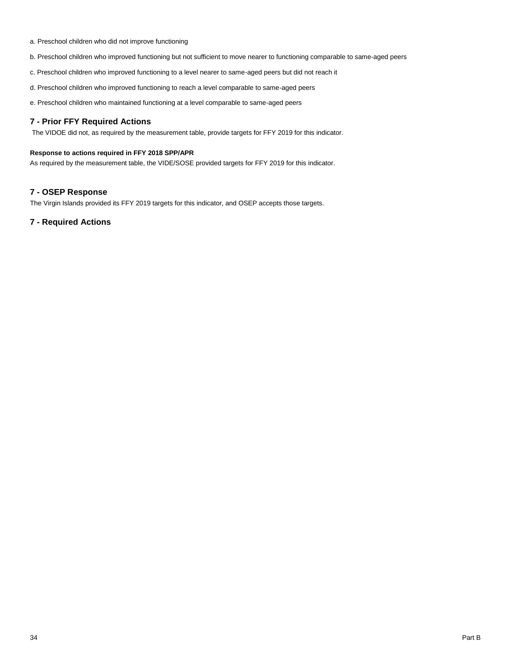- a. Preschool children who did not improve functioning
- b. Preschool children who improved functioning but not sufficient to move nearer to functioning comparable to same-aged peers
- c. Preschool children who improved functioning to a level nearer to same-aged peers but did not reach it
- d. Preschool children who improved functioning to reach a level comparable to same-aged peers
- e. Preschool children who maintained functioning at a level comparable to same-aged peers

# **7 - Prior FFY Required Actions**

The VIDOE did not, as required by the measurement table, provide targets for FFY 2019 for this indicator.

# **Response to actions required in FFY 2018 SPP/APR**

As required by the measurement table, the VIDE/SOSE provided targets for FFY 2019 for this indicator.

# **7 - OSEP Response**

The Virgin Islands provided its FFY 2019 targets for this indicator, and OSEP accepts those targets.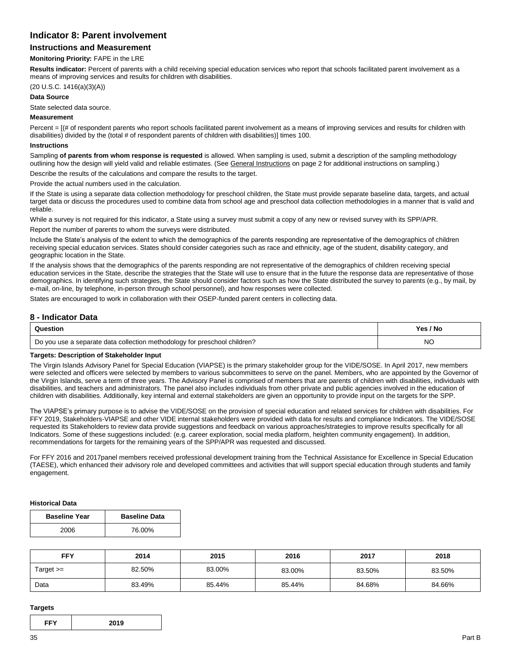# **Indicator 8: Parent involvement**

# **Instructions and Measurement**

#### **Monitoring Priority:** FAPE in the LRE

**Results indicator:** Percent of parents with a child receiving special education services who report that schools facilitated parent involvement as a means of improving services and results for children with disabilities.

### (20 U.S.C. 1416(a)(3)(A))

#### **Data Source**

State selected data source.

#### **Measurement**

Percent = [(# of respondent parents who report schools facilitated parent involvement as a means of improving services and results for children with disabilities) divided by the (total # of respondent parents of children with disabilities)] times 100.

#### **Instructions**

Sampling **of parents from whom response is requested** is allowed. When sampling is used, submit a description of the sampling methodology outlining how the design will yield valid and reliable estimates. (See General Instructions on page 2 for additional instructions on sampling.)

Describe the results of the calculations and compare the results to the target.

Provide the actual numbers used in the calculation.

If the State is using a separate data collection methodology for preschool children, the State must provide separate baseline data, targets, and actual target data or discuss the procedures used to combine data from school age and preschool data collection methodologies in a manner that is valid and reliable.

While a survey is not required for this indicator, a State using a survey must submit a copy of any new or revised survey with its SPP/APR.

Report the number of parents to whom the surveys were distributed.

Include the State's analysis of the extent to which the demographics of the parents responding are representative of the demographics of children receiving special education services. States should consider categories such as race and ethnicity, age of the student, disability category, and geographic location in the State.

If the analysis shows that the demographics of the parents responding are not representative of the demographics of children receiving special education services in the State, describe the strategies that the State will use to ensure that in the future the response data are representative of those demographics. In identifying such strategies, the State should consider factors such as how the State distributed the survey to parents (e.g., by mail, by e-mail, on-line, by telephone, in-person through school personnel), and how responses were collected.

States are encouraged to work in collaboration with their OSEP-funded parent centers in collecting data.

## **8 - Indicator Data**

| Question                                                                  | Yes / No |
|---------------------------------------------------------------------------|----------|
| Do you use a separate data collection methodology for preschool children? | NC       |

#### **Targets: Description of Stakeholder Input**

The Virgin Islands Advisory Panel for Special Education (VIAPSE) is the primary stakeholder group for the VIDE/SOSE. In April 2017, new members were selected and officers were selected by members to various subcommittees to serve on the panel. Members, who are appointed by the Governor of the Virgin Islands, serve a term of three years. The Advisory Panel is comprised of members that are parents of children with disabilities, individuals with disabilities, and teachers and administrators. The panel also includes individuals from other private and public agencies involved in the education of children with disabilities. Additionally, key internal and external stakeholders are given an opportunity to provide input on the targets for the SPP.

The VIAPSE's primary purpose is to advise the VIDE/SOSE on the provision of special education and related services for children with disabilities. For FFY 2019, Stakeholders-VIAPSE and other VIDE internal stakeholders were provided with data for results and compliance Indicators. The VIDE/SOSE requested its Stakeholders to review data provide suggestions and feedback on various approaches/strategies to improve results specifically for all Indicators. Some of these suggestions included: (e.g. career exploration, social media platform, heighten community engagement). In addition, recommendations for targets for the remaining years of the SPP/APR was requested and discussed.

For FFY 2016 and 2017panel members received professional development training from the Technical Assistance for Excellence in Special Education (TAESE), which enhanced their advisory role and developed committees and activities that will support special education through students and family engagement.

#### **Historical Data**

| <b>Baseline Year</b> | <b>Baseline Data</b> |
|----------------------|----------------------|
| 2006                 | 76.00%               |

| <b>FFY</b>  | 2014   | 2015   | 2016   | 2017   | 2018   |
|-------------|--------|--------|--------|--------|--------|
| Target $>=$ | 82.50% | 83.00% | 83.00% | 83.50% | 83.50% |
| Data        | 83.49% | 85.44% | 85.44% | 84.68% | 84.66% |

#### **Targets**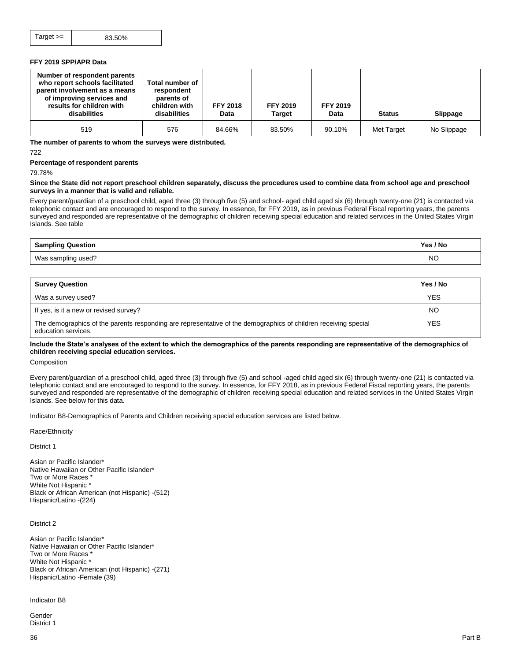#### **FFY 2019 SPP/APR Data**

| Number of respondent parents<br>who report schools facilitated<br>parent involvement as a means<br>of improving services and<br>results for children with<br>disabilities | Total number of<br>respondent<br>parents of<br>children with<br>disabilities | <b>FFY 2018</b><br>Data | <b>FFY 2019</b><br><b>Target</b> | <b>FFY 2019</b><br>Data | <b>Status</b> | Slippage    |
|---------------------------------------------------------------------------------------------------------------------------------------------------------------------------|------------------------------------------------------------------------------|-------------------------|----------------------------------|-------------------------|---------------|-------------|
| 519                                                                                                                                                                       | 576                                                                          | 84.66%                  | 83.50%                           | 90.10%                  | Met Target    | No Slippage |

**The number of parents to whom the surveys were distributed.**

722

**Percentage of respondent parents**

79.78%

#### **Since the State did not report preschool children separately, discuss the procedures used to combine data from school age and preschool surveys in a manner that is valid and reliable.**

Every parent/guardian of a preschool child, aged three (3) through five (5) and school- aged child aged six (6) through twenty-one (21) is contacted via telephonic contact and are encouraged to respond to the survey. In essence, for FFY 2019, as in previous Federal Fiscal reporting years, the parents surveyed and responded are representative of the demographic of children receiving special education and related services in the United States Virgin Islands. See table

| <b>Sampling Question</b> | Yes / No  |
|--------------------------|-----------|
| Was sampling used?       | <b>NC</b> |

| <b>Survey Question</b>                                                                                                                 | Yes / No   |
|----------------------------------------------------------------------------------------------------------------------------------------|------------|
| Was a survey used?                                                                                                                     | <b>YES</b> |
| If yes, is it a new or revised survey?                                                                                                 | NO         |
| The demographics of the parents responding are representative of the demographics of children receiving special<br>education services. | <b>YES</b> |

#### **Include the State's analyses of the extent to which the demographics of the parents responding are representative of the demographics of children receiving special education services.**

Composition

Every parent/guardian of a preschool child, aged three (3) through five (5) and school -aged child aged six (6) through twenty-one (21) is contacted via telephonic contact and are encouraged to respond to the survey. In essence, for FFY 2018, as in previous Federal Fiscal reporting years, the parents surveyed and responded are representative of the demographic of children receiving special education and related services in the United States Virgin Islands. See below for this data.

Indicator B8-Demographics of Parents and Children receiving special education services are listed below.

Race/Ethnicity

District 1

Asian or Pacific Islander\* Native Hawaiian or Other Pacific Islander\* Two or More Races \* White Not Hispanic \* Black or African American (not Hispanic) -(512) Hispanic/Latino -(224)

District 2

Asian or Pacific Islander\* Native Hawaiian or Other Pacific Islander\* Two or More Races \* White Not Hispanic \* Black or African American (not Hispanic) -(271) Hispanic/Latino -Female (39)

Indicator B8

Gender District 1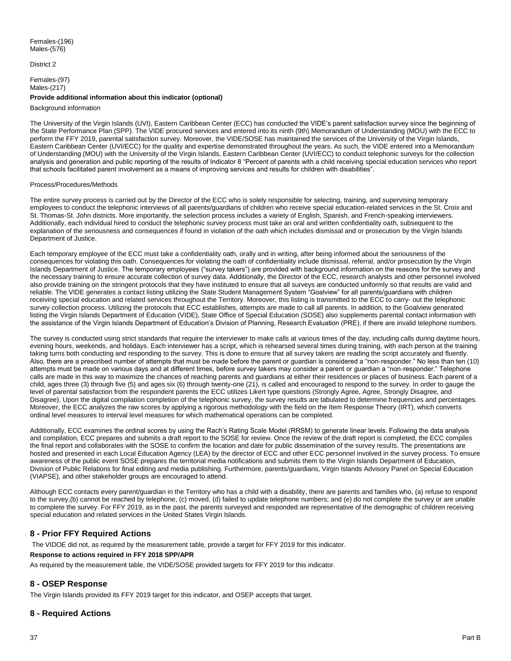District 2

Females-(97) Males-(217)

#### **Provide additional information about this indicator (optional)**

#### Background information

The University of the Virgin Islands (UVI), Eastern Caribbean Center (ECC) has conducted the VIDE's parent satisfaction survey since the beginning of the State Performance Plan (SPP). The VIDE procured services and entered into its ninth (9th) Memorandum of Understanding (MOU) with the ECC to perform the FFY 2019, parental satisfaction survey. Moreover, the VIDE/SOSE has maintained the services of the University of the Virgin Islands, Eastern Caribbean Center (UVI/ECC) for the quality and expertise demonstrated throughout the years. As such, the VIDE entered into a Memorandum of Understanding (MOU) with the University of the Virgin Islands, Eastern Caribbean Center (UVI/ECC) to conduct telephonic surveys for the collection analysis and generation and public reporting of the results of Indicator 8 "Percent of parents with a child receiving special education services who report that schools facilitated parent involvement as a means of improving services and results for children with disabilities".

#### Process/Procedures/Methods

The entire survey process is carried out by the Director of the ECC who is solely responsible for selecting, training, and supervising temporary employees to conduct the telephonic interviews of all parents/guardians of children who receive special education-related services in the St. Croix and St. Thomas-St. John districts. More importantly, the selection process includes a variety of English, Spanish, and French-speaking interviewers. Additionally, each individual hired to conduct the telephonic survey process must take an oral and written confidentiality oath, subsequent to the explanation of the seriousness and consequences if found in violation of the oath which includes dismissal and or prosecution by the Virgin Islands Department of Justice.

Each temporary employee of the ECC must take a confidentiality oath, orally and in writing, after being informed about the seriousness of the consequences for violating this oath. Consequences for violating the oath of confidentiality include dismissal, referral, and/or prosecution by the Virgin Islands Department of Justice. The temporary employees ("survey takers") are provided with background information on the reasons for the survey and the necessary training to ensure accurate collection of survey data. Additionally, the Director of the ECC, research analysts and other personnel involved also provide training on the stringent protocols that they have instituted to ensure that all surveys are conducted uniformly so that results are valid and reliable. The VIDE generates a contact listing utilizing the State Student Management System "Goalview" for all parents/guardians with children receiving special education and related services throughout the Territory. Moreover, this listing is transmitted to the ECC to carry- out the telephonic survey collection process. Utilizing the protocols that ECC establishes, attempts are made to call all parents. In addition, to the Goalview generated listing the Virgin Islands Department of Education (VIDE), State Office of Special Education (SOSE) also supplements parental contact information with the assistance of the Virgin Islands Department of Education's Division of Planning, Research Evaluation (PRE), if there are invalid telephone numbers.

The survey is conducted using strict standards that require the interviewer to make calls at various times of the day, including calls during daytime hours, evening hours, weekends, and holidays. Each interviewer has a script, which is rehearsed several times during training, with each person at the training taking turns both conducting and responding to the survey. This is done to ensure that all survey takers are reading the script accurately and fluently. Also, there are a prescribed number of attempts that must be made before the parent or guardian is considered a "non-responder." No less than ten (10) attempts must be made on various days and at different times, before survey takers may consider a parent or guardian a "non-responder." Telephone calls are made in this way to maximize the chances of reaching parents and guardians at either their residences or places of business. Each parent of a child, ages three (3) through five (5) and ages six (6) through twenty-one (21), is called and encouraged to respond to the survey. In order to gauge the level of parental satisfaction from the respondent parents the ECC utilizes Likert type questions (Strongly Agree, Agree, Strongly Disagree, and Disagree). Upon the digital compilation completion of the telephonic survey, the survey results are tabulated to determine frequencies and percentages. Moreover, the ECC analyzes the raw scores by applying a rigorous methodology with the field on the Item Response Theory (IRT), which converts ordinal level measures to interval level measures for which mathematical operations can be completed.

Additionally, ECC examines the ordinal scores by using the Rach's Rating Scale Model (RRSM) to generate linear levels. Following the data analysis and compilation, ECC prepares and submits a draft report to the SOSE for review. Once the review of the draft report is completed, the ECC compiles the final report and collaborates with the SOSE to confirm the location and date for public dissemination of the survey results. The presentations are hosted and presented in each Local Education Agency (LEA) by the director of ECC and other ECC personnel involved in the survey process. To ensure awareness of the public event SOSE prepares the territorial media notifications and submits them to the Virgin Islands Department of Education, Division of Public Relations for final editing and media publishing. Furthermore, parents/guardians, Virgin Islands Advisory Panel on Special Education (VIAPSE), and other stakeholder groups are encouraged to attend.

Although ECC contacts every parent/guardian in the Territory who has a child with a disability, there are parents and families who, (a) refuse to respond to the survey,(b) cannot be reached by telephone, (c) moved, (d) failed to update telephone numbers; and (e) do not complete the survey or are unable to complete the survey. For FFY 2019, as in the past, the parents surveyed and responded are representative of the demographic of children receiving special education and related services in the United States Virgin Islands.

## **8 - Prior FFY Required Actions**

The VIDOE did not, as required by the measurement table, provide a target for FFY 2019 for this indicator.

### **Response to actions required in FFY 2018 SPP/APR**

As required by the measurement table, the VIDE/SOSE provided targets for FFY 2019 for this indicator.

## **8 - OSEP Response**

The Virgin Islands provided its FFY 2019 target for this indicator, and OSEP accepts that target.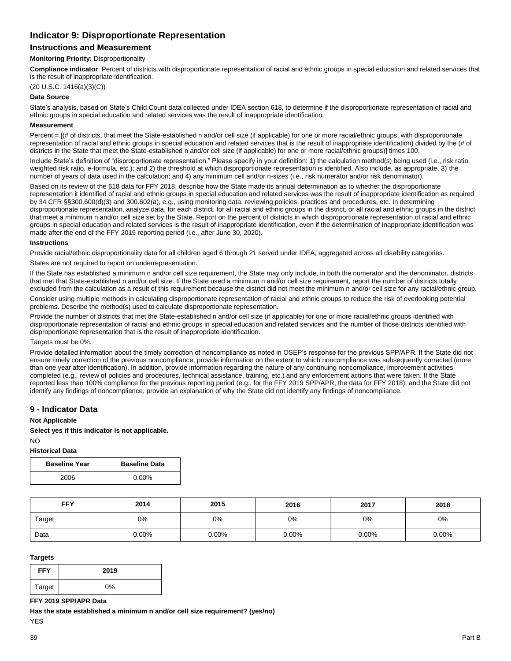# **Indicator 9: Disproportionate Representation**

# **Instructions and Measurement**

#### **Monitoring Priority:** Disproportionality

**Compliance indicator**: Percent of districts with disproportionate representation of racial and ethnic groups in special education and related services that is the result of inappropriate identification.

(20 U.S.C. 1416(a)(3)(C))

### **Data Source**

State's analysis, based on State's Child Count data collected under IDEA section 618, to determine if the disproportionate representation of racial and ethnic groups in special education and related services was the result of inappropriate identification.

#### **Measurement**

Percent =  $I$ (# of districts, that meet the State-established n and/or cell size (if applicable) for one or more racial/ethnic groups, with disproportionate representation of racial and ethnic groups in special education and related services that is the result of inappropriate identification) divided by the (# of districts in the State that meet the State-established n and/or cell size (if applicable) for one or more racial/ethnic groups)] times 100.

Include State's definition of "disproportionate representation." Please specify in your definition: 1) the calculation method(s) being used (i.e., risk ratio, weighted risk ratio, e-formula, etc.); and 2) the threshold at which disproportionate representation is identified. Also include, as appropriate, 3) the number of years of data used in the calculation; and 4) any minimum cell and/or n-sizes (i.e., risk numerator and/or risk denominator).

Based on its review of the 618 data for FFY 2018, describe how the State made its annual determination as to whether the disproportionate representation it identified of racial and ethnic groups in special education and related services was the result of inappropriate identification as required by 34 CFR §§300.600(d)(3) and 300.602(a), e.g., using monitoring data; reviewing policies, practices and procedures, etc. In determining disproportionate representation, analyze data, for each district, for all racial and ethnic groups in the district, or all racial and ethnic groups in the district that meet a minimum n and/or cell size set by the State. Report on the percent of districts in which disproportionate representation of racial and ethnic groups in special education and related services is the result of inappropriate identification, even if the determination of inappropriate identification was made after the end of the FFY 2019 reporting period (i.e., after June 30, 2020).

#### **Instructions**

Provide racial/ethnic disproportionality data for all children aged 6 through 21 served under IDEA, aggregated across all disability categories.

States are not required to report on underrepresentation.

If the State has established a minimum n and/or cell size requirement, the State may only include, in both the numerator and the denominator, districts that met that State-established n and/or cell size. If the State used a minimum n and/or cell size requirement, report the number of districts totally excluded from the calculation as a result of this requirement because the district did not meet the minimum n and/or cell size for any racial/ethnic group.

Consider using multiple methods in calculating disproportionate representation of racial and ethnic groups to reduce the risk of overlooking potential problems. Describe the method(s) used to calculate disproportionate representation.

Provide the number of districts that met the State-established n and/or cell size (if applicable) for one or more racial/ethnic groups identified with disproportionate representation of racial and ethnic groups in special education and related services and the number of those districts identified with disproportionate representation that is the result of inappropriate identification.

#### Targets must be 0%.

Provide detailed information about the timely correction of noncompliance as noted in OSEP's response for the previous SPP/APR. If the State did not ensure timely correction of the previous noncompliance, provide information on the extent to which noncompliance was subsequently corrected (more than one year after identification). In addition, provide information regarding the nature of any continuing noncompliance, improvement activities completed (e.g., review of policies and procedures, technical assistance, training, etc.) and any enforcement actions that were taken. If the State reported less than 100% compliance for the previous reporting period (e.g., for the FFY 2019 SPP/APR, the data for FFY 2018), and the State did not identify any findings of noncompliance, provide an explanation of why the State did not identify any findings of noncompliance.

## **9 - Indicator Data**

#### **Not Applicable**

**Select yes if this indicator is not applicable.**

#### $N<sub>O</sub>$ **Historical Data**

| <b>Baseline Year</b> | <b>Baseline Data</b> |
|----------------------|----------------------|
| 2006                 | $0.00\%$             |

| <b>FFY</b> | 2014     | 2015  | 2016     | 2017  | 2018  |
|------------|----------|-------|----------|-------|-------|
| Target     | 0%       | 0%    | 0%       | 0%    | 0%    |
| Data       | $0.00\%$ | 0.00% | $0.00\%$ | 0.00% | 0.00% |

#### **Targets**

| <b>FFY</b> | 2019 |
|------------|------|
| Target     | 0%   |

#### **FFY 2019 SPP/APR Data**

**Has the state established a minimum n and/or cell size requirement? (yes/no)**

YES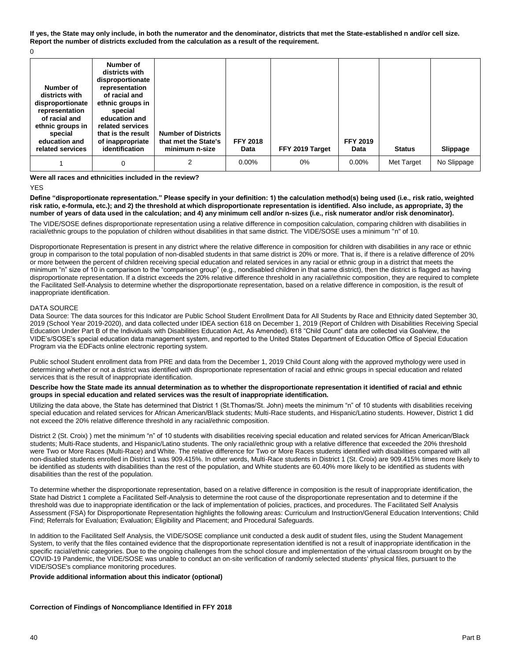**If yes, the State may only include, in both the numerator and the denominator, districts that met the State-established n and/or cell size. Report the number of districts excluded from the calculation as a result of the requirement.**

 $\Omega$ 

| Number of<br>districts with<br>disproportionate<br>representation<br>of racial and<br>ethnic groups in<br>special<br>education and<br>related services | Number of<br>districts with<br>disproportionate<br>representation<br>of racial and<br>ethnic groups in<br>special<br>education and<br>related services<br>that is the result<br>of inappropriate<br>identification | <b>Number of Districts</b><br>that met the State's<br>minimum n-size | <b>FFY 2018</b><br>Data | FFY 2019 Target | <b>FFY 2019</b><br>Data | <b>Status</b> | Slippage    |
|--------------------------------------------------------------------------------------------------------------------------------------------------------|--------------------------------------------------------------------------------------------------------------------------------------------------------------------------------------------------------------------|----------------------------------------------------------------------|-------------------------|-----------------|-------------------------|---------------|-------------|
|                                                                                                                                                        | 0                                                                                                                                                                                                                  | 2                                                                    | $0.00\%$                | $0\%$           | 0.00%                   | Met Target    | No Slippage |

**Were all races and ethnicities included in the review?** 

YES

**Define "disproportionate representation." Please specify in your definition: 1) the calculation method(s) being used (i.e., risk ratio, weighted risk ratio, e-formula, etc.); and 2) the threshold at which disproportionate representation is identified. Also include, as appropriate, 3) the number of years of data used in the calculation; and 4) any minimum cell and/or n-sizes (i.e., risk numerator and/or risk denominator).** 

The VIDE/SOSE defines disproportionate representation using a relative difference in composition calculation, comparing children with disabilities in racial/ethnic groups to the population of children without disabilities in that same district. The VIDE/SOSE uses a minimum "n" of 10.

Disproportionate Representation is present in any district where the relative difference in composition for children with disabilities in any race or ethnic group in comparison to the total population of non-disabled students in that same district is 20% or more. That is, if there is a relative difference of 20% or more between the percent of children receiving special education and related services in any racial or ethnic group in a district that meets the minimum "n" size of 10 in comparison to the "comparison group" (e.g., nondisabled children in that same district), then the district is flagged as having disproportionate representation. If a district exceeds the 20% relative difference threshold in any racial/ethnic composition, they are required to complete the Facilitated Self-Analysis to determine whether the disproportionate representation, based on a relative difference in composition, is the result of inappropriate identification.

### DATA SOURCE

Data Source: The data sources for this Indicator are Public School Student Enrollment Data for All Students by Race and Ethnicity dated September 30, 2019 (School Year 2019-2020), and data collected under IDEA section 618 on December 1, 2019 (Report of Children with Disabilities Receiving Special Education Under Part B of the Individuals with Disabilities Education Act, As Amended). 618 "Child Count" data are collected via Goalview, the VIDE's/SOSE's special education data management system, and reported to the United States Department of Education Office of Special Education Program via the EDFacts online electronic reporting system.

Public school Student enrollment data from PRE and data from the December 1, 2019 Child Count along with the approved mythology were used in determining whether or not a district was identified with disproportionate representation of racial and ethnic groups in special education and related services that is the result of inappropriate identification.

#### **Describe how the State made its annual determination as to whether the disproportionate representation it identified of racial and ethnic groups in special education and related services was the result of inappropriate identification.**

Utilizing the data above, the State has determined that District 1 (St.Thomas/St. John) meets the minimum "n" of 10 students with disabilities receiving special education and related services for African American/Black students; Multi-Race students, and Hispanic/Latino students. However, District 1 did not exceed the 20% relative difference threshold in any racial/ethnic composition.

District 2 (St. Croix) ) met the minimum "n" of 10 students with disabilities receiving special education and related services for African American/Black students; Multi-Race students, and Hispanic/Latino students. The only racial/ethnic group with a relative difference that exceeded the 20% threshold were Two or More Races (Multi-Race) and White. The relative difference for Two or More Races students identified with disabilities compared with all non-disabled students enrolled in District 1 was 909.415%. In other words, Multi-Race students in District 1 (St. Croix) are 909.415% times more likely to be identified as students with disabilities than the rest of the population, and White students are 60.40% more likely to be identified as students with disabilities than the rest of the population.

To determine whether the disproportionate representation, based on a relative difference in composition is the result of inappropriate identification, the State had District 1 complete a Facilitated Self-Analysis to determine the root cause of the disproportionate representation and to determine if the threshold was due to inappropriate identification or the lack of implementation of policies, practices, and procedures. The Facilitated Self Analysis Assessment (FSA) for Disproportionate Representation highlights the following areas: Curriculum and Instruction/General Education Interventions; Child Find; Referrals for Evaluation; Evaluation; Eligibility and Placement; and Procedural Safeguards.

In addition to the Facilitated Self Analysis, the VIDE/SOSE compliance unit conducted a desk audit of student files, using the Student Management System, to verify that the files contained evidence that the disproportionate representation identified is not a result of inappropriate identification in the specific racial/ethnic categories. Due to the ongoing challenges from the school closure and implementation of the virtual classroom brought on by the COVID-19 Pandemic, the VIDE/SOSE was unable to conduct an on-site verification of randomly selected students' physical files, pursuant to the VIDE/SOSE's compliance monitoring procedures.

## **Provide additional information about this indicator (optional)**

#### **Correction of Findings of Noncompliance Identified in FFY 2018**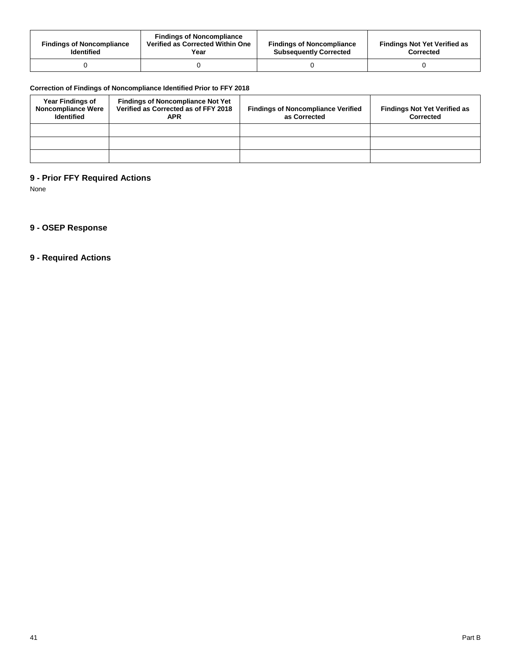| <b>Findings of Noncompliance</b><br><b>Identified</b> | <b>Findings of Noncompliance</b><br>Verified as Corrected Within One<br>Year | <b>Findings of Noncompliance</b><br><b>Subsequently Corrected</b> | <b>Findings Not Yet Verified as</b><br>Corrected |
|-------------------------------------------------------|------------------------------------------------------------------------------|-------------------------------------------------------------------|--------------------------------------------------|
|                                                       |                                                                              |                                                                   |                                                  |

# **Correction of Findings of Noncompliance Identified Prior to FFY 2018**

| <b>Year Findings of</b><br><b>Noncompliance Were</b><br><b>Identified</b> | <b>Findings of Noncompliance Not Yet</b><br>Verified as Corrected as of FFY 2018<br><b>APR</b> | <b>Findings of Noncompliance Verified</b><br>as Corrected | <b>Findings Not Yet Verified as</b><br>Corrected |
|---------------------------------------------------------------------------|------------------------------------------------------------------------------------------------|-----------------------------------------------------------|--------------------------------------------------|
|                                                                           |                                                                                                |                                                           |                                                  |
|                                                                           |                                                                                                |                                                           |                                                  |
|                                                                           |                                                                                                |                                                           |                                                  |

# **9 - Prior FFY Required Actions**

None

# **9 - OSEP Response**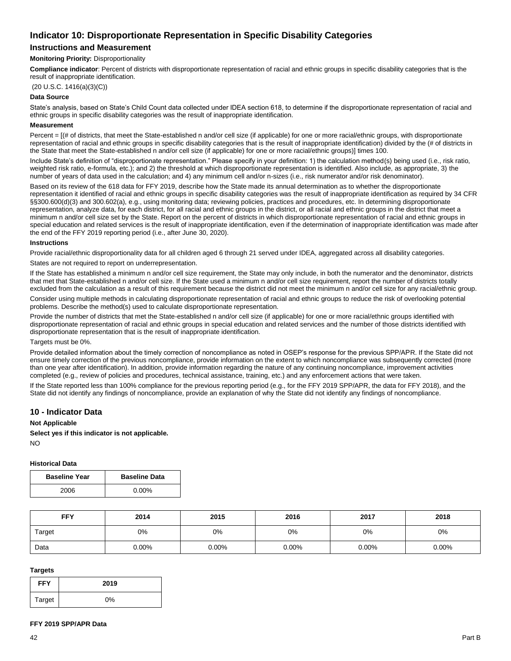# **Indicator 10: Disproportionate Representation in Specific Disability Categories**

# **Instructions and Measurement**

### **Monitoring Priority:** Disproportionality

**Compliance indicator**: Percent of districts with disproportionate representation of racial and ethnic groups in specific disability categories that is the result of inappropriate identification.

(20 U.S.C. 1416(a)(3)(C))

### **Data Source**

State's analysis, based on State's Child Count data collected under IDEA section 618, to determine if the disproportionate representation of racial and ethnic groups in specific disability categories was the result of inappropriate identification.

#### **Measurement**

Percent = [(# of districts, that meet the State-established n and/or cell size (if applicable) for one or more racial/ethnic groups, with disproportionate representation of racial and ethnic groups in specific disability categories that is the result of inappropriate identification) divided by the (# of districts in the State that meet the State-established n and/or cell size (if applicable) for one or more racial/ethnic groups)] times 100.

Include State's definition of "disproportionate representation." Please specify in your definition: 1) the calculation method(s) being used (i.e., risk ratio, weighted risk ratio, e-formula, etc.); and 2) the threshold at which disproportionate representation is identified. Also include, as appropriate, 3) the number of years of data used in the calculation; and 4) any minimum cell and/or n-sizes (i.e., risk numerator and/or risk denominator).

Based on its review of the 618 data for FFY 2019, describe how the State made its annual determination as to whether the disproportionate representation it identified of racial and ethnic groups in specific disability categories was the result of inappropriate identification as required by 34 CFR §§300.600(d)(3) and 300.602(a), e.g., using monitoring data; reviewing policies, practices and procedures, etc. In determining disproportionate representation, analyze data, for each district, for all racial and ethnic groups in the district, or all racial and ethnic groups in the district that meet a minimum n and/or cell size set by the State. Report on the percent of districts in which disproportionate representation of racial and ethnic groups in special education and related services is the result of inappropriate identification, even if the determination of inappropriate identification was made after the end of the FFY 2019 reporting period (i.e., after June 30, 2020).

#### **Instructions**

Provide racial/ethnic disproportionality data for all children aged 6 through 21 served under IDEA, aggregated across all disability categories.

States are not required to report on underrepresentation.

If the State has established a minimum n and/or cell size requirement, the State may only include, in both the numerator and the denominator, districts that met that State-established n and/or cell size. If the State used a minimum n and/or cell size requirement, report the number of districts totally excluded from the calculation as a result of this requirement because the district did not meet the minimum n and/or cell size for any racial/ethnic group.

Consider using multiple methods in calculating disproportionate representation of racial and ethnic groups to reduce the risk of overlooking potential problems. Describe the method(s) used to calculate disproportionate representation.

Provide the number of districts that met the State-established n and/or cell size (if applicable) for one or more racial/ethnic groups identified with disproportionate representation of racial and ethnic groups in special education and related services and the number of those districts identified with disproportionate representation that is the result of inappropriate identification.

#### Targets must be 0%.

Provide detailed information about the timely correction of noncompliance as noted in OSEP's response for the previous SPP/APR. If the State did not ensure timely correction of the previous noncompliance, provide information on the extent to which noncompliance was subsequently corrected (more than one year after identification). In addition, provide information regarding the nature of any continuing noncompliance, improvement activities completed (e.g., review of policies and procedures, technical assistance, training, etc.) and any enforcement actions that were taken.

If the State reported less than 100% compliance for the previous reporting period (e.g., for the FFY 2019 SPP/APR, the data for FFY 2018), and the State did not identify any findings of noncompliance, provide an explanation of why the State did not identify any findings of noncompliance.

## **10 - Indicator Data**

#### **Not Applicable**

**Select yes if this indicator is not applicable.**

NO

#### **Historical Data**

| <b>Baseline Year</b> | <b>Baseline Data</b> |  |
|----------------------|----------------------|--|
| 2006                 | $0.00\%$             |  |

| <b>FFY</b> | 2014     | 2015  | 2016     | 2017  | 2018  |
|------------|----------|-------|----------|-------|-------|
| Target     | 0%       | 0%    | 0%       | 0%    | 0%    |
| Data       | $0.00\%$ | 0.00% | $0.00\%$ | 0.00% | 0.00% |

### **Targets**

| <b>FFY</b> | 2019 |
|------------|------|
| Target     | 0%   |

#### **FFY 2019 SPP/APR Data**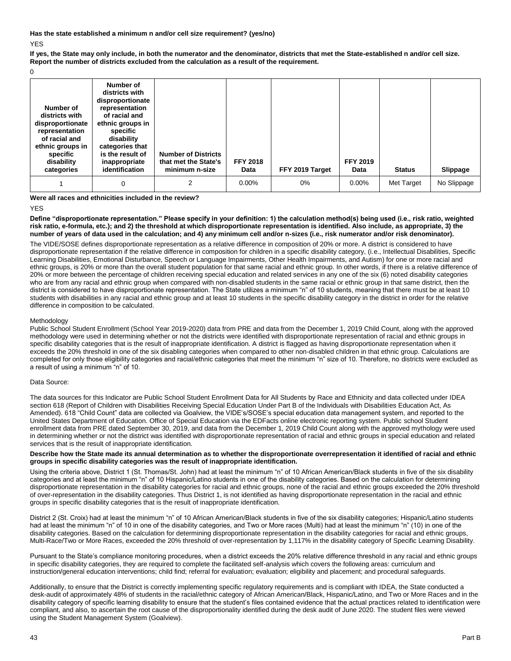**Has the state established a minimum n and/or cell size requirement? (yes/no)** YES

**If yes, the State may only include, in both the numerator and the denominator, districts that met the State-established n and/or cell size. Report the number of districts excluded from the calculation as a result of the requirement.**

 $\Omega$ 

| Number of<br>districts with<br>disproportionate<br>representation<br>of racial and<br>ethnic groups in<br>specific<br>disability<br>categories | Number of<br>districts with<br>disproportionate<br>representation<br>of racial and<br>ethnic groups in<br>specific<br>disability<br>categories that<br>is the result of<br>inappropriate<br>identification | <b>Number of Districts</b><br>that met the State's<br>minimum n-size | <b>FFY 2018</b><br>Data | FFY 2019 Target | <b>FFY 2019</b><br>Data | <b>Status</b> | Slippage    |
|------------------------------------------------------------------------------------------------------------------------------------------------|------------------------------------------------------------------------------------------------------------------------------------------------------------------------------------------------------------|----------------------------------------------------------------------|-------------------------|-----------------|-------------------------|---------------|-------------|
|                                                                                                                                                | 0                                                                                                                                                                                                          | 2                                                                    | $0.00\%$                | $0\%$           | 0.00%                   | Met Target    | No Slippage |

#### **Were all races and ethnicities included in the review?**

YES

#### **Define "disproportionate representation." Please specify in your definition: 1) the calculation method(s) being used (i.e., risk ratio, weighted risk ratio, e-formula, etc.); and 2) the threshold at which disproportionate representation is identified. Also include, as appropriate, 3) the number of years of data used in the calculation; and 4) any minimum cell and/or n-sizes (i.e., risk numerator and/or risk denominator).**

The VIDE/SOSE defines disproportionate representation as a relative difference in composition of 20% or more. A district is considered to have disproportionate representation if the relative difference in composition for children in a specific disability category, (i.e., Intellectual Disabilities, Specific Learning Disabilities, Emotional Disturbance, Speech or Language Impairments, Other Health Impairments, and Autism) for one or more racial and ethnic groups, is 20% or more than the overall student population for that same racial and ethnic group. In other words, if there is a relative difference of 20% or more between the percentage of children receiving special education and related services in any one of the six (6) noted disability categories who are from any racial and ethnic group when compared with non-disabled students in the same racial or ethnic group in that same district, then the district is considered to have disproportionate representation. The State utilizes a minimum "n" of 10 students, meaning that there must be at least 10 students with disabilities in any racial and ethnic group and at least 10 students in the specific disability category in the district in order for the relative difference in composition to be calculated.

#### Methodology

Public School Student Enrollment (School Year 2019-2020) data from PRE and data from the December 1, 2019 Child Count, along with the approved methodology were used in determining whether or not the districts were identified with disproportionate representation of racial and ethnic groups in specific disability categories that is the result of inappropriate identification. A district is flagged as having disproportionate representation when it exceeds the 20% threshold in one of the six disabling categories when compared to other non-disabled children in that ethnic group. Calculations are completed for only those eligibility categories and racial/ethnic categories that meet the minimum "n" size of 10. Therefore, no districts were excluded as a result of using a minimum "n" of 10.

#### Data Source:

The data sources for this Indicator are Public School Student Enrollment Data for All Students by Race and Ethnicity and data collected under IDEA section 618 (Report of Children with Disabilities Receiving Special Education Under Part B of the Individuals with Disabilities Education Act, As Amended). 618 "Child Count" data are collected via Goalview, the VIDE's/SOSE's special education data management system, and reported to the United States Department of Education. Office of Special Education via the EDFacts online electronic reporting system. Public school Student enrollment data from PRE dated September 30, 2019, and data from the December 1, 2019 Child Count along with the approved mythology were used in determining whether or not the district was identified with disproportionate representation of racial and ethnic groups in special education and related services that is the result of inappropriate identification.

**Describe how the State made its annual determination as to whether the disproportionate overrepresentation it identified of racial and ethnic groups in specific disability categories was the result of inappropriate identification.**

Using the criteria above, District 1 (St. Thomas/St. John) had at least the minimum "n" of 10 African American/Black students in five of the six disability categories and at least the minimum "n" of 10 Hispanic/Latino students in one of the disability categories. Based on the calculation for determining disproportionate representation in the disability categories for racial and ethnic groups, none of the racial and ethnic groups exceeded the 20% threshold of over-representation in the disability categories. Thus District 1, is not identified as having disproportionate representation in the racial and ethnic groups in specific disability categories that is the result of inappropriate identification.

District 2 (St. Croix) had at least the minimum "n" of 10 African American/Black students in five of the six disability categories; Hispanic/Latino students had at least the minimum "n" of 10 in one of the disability categories, and Two or More races (Multi) had at least the minimum "n" (10) in one of the disability categories. Based on the calculation for determining disproportionate representation in the disability categories for racial and ethnic groups, Multi-Race/Two or More Races, exceeded the 20% threshold of over-representation by 1,117% in the disability category of Specific Learning Disability.

Pursuant to the State's compliance monitoring procedures, when a district exceeds the 20% relative difference threshold in any racial and ethnic groups in specific disability categories, they are required to complete the facilitated self-analysis which covers the following areas: curriculum and instruction/general education interventions; child find; referral for evaluation; evaluation; eligibility and placement; and procedural safeguards.

Additionally, to ensure that the District is correctly implementing specific regulatory requirements and is compliant with IDEA, the State conducted a desk-audit of approximately 48% of students in the racial/ethnic category of African American/Black, Hispanic/Latino, and Two or More Races and in the disability category of specific learning disability to ensure that the student's files contained evidence that the actual practices related to identification were compliant, and also, to ascertain the root cause of the disproportionality identified during the desk audit of June 2020. The student files were viewed using the Student Management System (Goalview).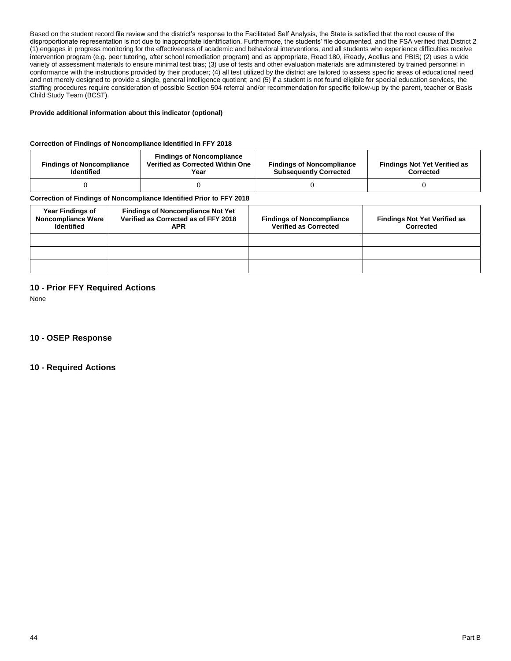Based on the student record file review and the district's response to the Facilitated Self Analysis, the State is satisfied that the root cause of the disproportionate representation is not due to inappropriate identification. Furthermore, the students' file documented, and the FSA verified that District 2 (1) engages in progress monitoring for the effectiveness of academic and behavioral interventions, and all students who experience difficulties receive intervention program (e.g. peer tutoring, after school remediation program) and as appropriate, Read 180, iReady, Acellus and PBIS; (2) uses a wide variety of assessment materials to ensure minimal test bias; (3) use of tests and other evaluation materials are administered by trained personnel in conformance with the instructions provided by their producer; (4) all test utilized by the district are tailored to assess specific areas of educational need and not merely designed to provide a single, general intelligence quotient; and (5) if a student is not found eligible for special education services, the staffing procedures require consideration of possible Section 504 referral and/or recommendation for specific follow-up by the parent, teacher or Basis Child Study Team (BCST).

#### **Provide additional information about this indicator (optional)**

#### **Correction of Findings of Noncompliance Identified in FFY 2018**

| <b>Findings of Noncompliance</b><br><b>Identified</b> | <b>Findings of Noncompliance</b><br>Verified as Corrected Within One<br>Year | <b>Findings of Noncompliance</b><br><b>Subsequently Corrected</b> | <b>Findings Not Yet Verified as</b><br><b>Corrected</b> |
|-------------------------------------------------------|------------------------------------------------------------------------------|-------------------------------------------------------------------|---------------------------------------------------------|
|                                                       |                                                                              |                                                                   |                                                         |

## **Correction of Findings of Noncompliance Identified Prior to FFY 2018**

| <b>Year Findings of</b><br><b>Noncompliance Were</b><br><b>Identified</b> | <b>Findings of Noncompliance Not Yet</b><br>Verified as Corrected as of FFY 2018<br><b>APR</b> | <b>Findings of Noncompliance</b><br><b>Verified as Corrected</b> | <b>Findings Not Yet Verified as</b><br>Corrected |
|---------------------------------------------------------------------------|------------------------------------------------------------------------------------------------|------------------------------------------------------------------|--------------------------------------------------|
|                                                                           |                                                                                                |                                                                  |                                                  |
|                                                                           |                                                                                                |                                                                  |                                                  |
|                                                                           |                                                                                                |                                                                  |                                                  |

# **10 - Prior FFY Required Actions**

None

**10 - OSEP Response**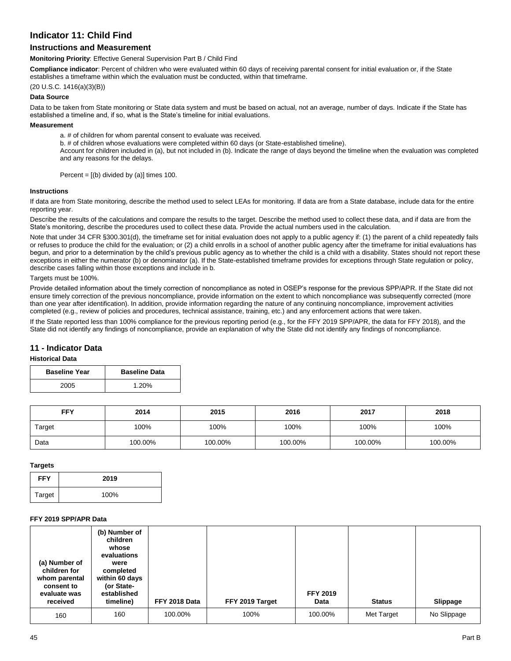# **Indicator 11: Child Find**

# **Instructions and Measurement**

#### **Monitoring Priority**: Effective General Supervision Part B / Child Find

**Compliance indicator**: Percent of children who were evaluated within 60 days of receiving parental consent for initial evaluation or, if the State establishes a timeframe within which the evaluation must be conducted, within that timeframe.

### (20 U.S.C. 1416(a)(3)(B))

## **Data Source**

Data to be taken from State monitoring or State data system and must be based on actual, not an average, number of days. Indicate if the State has established a timeline and, if so, what is the State's timeline for initial evaluations.

## **Measurement**

a. # of children for whom parental consent to evaluate was received.

b. # of children whose evaluations were completed within 60 days (or State-established timeline).

Account for children included in (a), but not included in (b). Indicate the range of days beyond the timeline when the evaluation was completed and any reasons for the delays.

Percent =  $[(b)$  divided by  $(a)]$  times 100.

#### **Instructions**

If data are from State monitoring, describe the method used to select LEAs for monitoring. If data are from a State database, include data for the entire reporting year.

Describe the results of the calculations and compare the results to the target. Describe the method used to collect these data, and if data are from the State's monitoring, describe the procedures used to collect these data. Provide the actual numbers used in the calculation.

Note that under 34 CFR §300.301(d), the timeframe set for initial evaluation does not apply to a public agency if: (1) the parent of a child repeatedly fails or refuses to produce the child for the evaluation; or (2) a child enrolls in a school of another public agency after the timeframe for initial evaluations has begun, and prior to a determination by the child's previous public agency as to whether the child is a child with a disability. States should not report these exceptions in either the numerator (b) or denominator (a). If the State-established timeframe provides for exceptions through State regulation or policy, describe cases falling within those exceptions and include in b.

#### Targets must be 100%.

Provide detailed information about the timely correction of noncompliance as noted in OSEP's response for the previous SPP/APR. If the State did not ensure timely correction of the previous noncompliance, provide information on the extent to which noncompliance was subsequently corrected (more than one year after identification). In addition, provide information regarding the nature of any continuing noncompliance, improvement activities completed (e.g., review of policies and procedures, technical assistance, training, etc.) and any enforcement actions that were taken.

If the State reported less than 100% compliance for the previous reporting period (e.g., for the FFY 2019 SPP/APR, the data for FFY 2018), and the State did not identify any findings of noncompliance, provide an explanation of why the State did not identify any findings of noncompliance.

## **11 - Indicator Data**

## **Historical Data**

| <b>Baseline Year</b> | <b>Baseline Data</b> |  |
|----------------------|----------------------|--|
| 2005                 | 1.20%                |  |

| FFY    | 2014    | 2015    | 2016    | 2017    | 2018    |
|--------|---------|---------|---------|---------|---------|
| Target | 100%    | 100%    | 100%    | 100%    | 100%    |
| Data   | 100.00% | 100.00% | 100.00% | 100.00% | 100.00% |

# **Targets**

| <b>FFY</b> | 2019 |
|------------|------|
| Target     | 100% |

## **FFY 2019 SPP/APR Data**

| (a) Number of<br>children for<br>whom parental<br>consent to<br>evaluate was<br>received | (b) Number of<br>children<br>whose<br>evaluations<br>were<br>completed<br>within 60 days<br>(or State-<br>established<br>timeline) | FFY 2018 Data | FFY 2019 Target | <b>FFY 2019</b><br>Data | <b>Status</b> | Slippage    |
|------------------------------------------------------------------------------------------|------------------------------------------------------------------------------------------------------------------------------------|---------------|-----------------|-------------------------|---------------|-------------|
| 160                                                                                      | 160                                                                                                                                | 100.00%       | 100%            | 100.00%                 | Met Target    | No Slippage |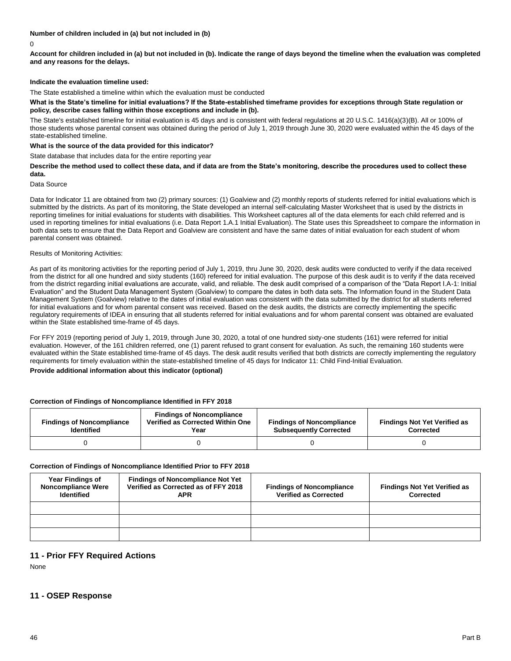**Number of children included in (a) but not included in (b)**

0

**Account for children included in (a) but not included in (b). Indicate the range of days beyond the timeline when the evaluation was completed and any reasons for the delays.**

## **Indicate the evaluation timeline used:**

The State established a timeline within which the evaluation must be conducted

#### **What is the State's timeline for initial evaluations? If the State-established timeframe provides for exceptions through State regulation or policy, describe cases falling within those exceptions and include in (b).**

The State's established timeline for initial evaluation is 45 days and is consistent with federal regulations at 20 U.S.C. 1416(a)(3)(B). All or 100% of those students whose parental consent was obtained during the period of July 1, 2019 through June 30, 2020 were evaluated within the 45 days of the state-established timeline.

#### **What is the source of the data provided for this indicator?**

State database that includes data for the entire reporting year

**Describe the method used to collect these data, and if data are from the State's monitoring, describe the procedures used to collect these data.** 

Data Source

Data for Indicator 11 are obtained from two (2) primary sources: (1) Goalview and (2) monthly reports of students referred for initial evaluations which is submitted by the districts. As part of its monitoring, the State developed an internal self-calculating Master Worksheet that is used by the districts in reporting timelines for initial evaluations for students with disabilities. This Worksheet captures all of the data elements for each child referred and is used in reporting timelines for initial evaluations (i.e. Data Report 1.A.1 Initial Evaluation). The State uses this Spreadsheet to compare the information in both data sets to ensure that the Data Report and Goalview are consistent and have the same dates of initial evaluation for each student of whom parental consent was obtained.

#### Results of Monitoring Activities:

As part of its monitoring activities for the reporting period of July 1, 2019, thru June 30, 2020, desk audits were conducted to verify if the data received from the district for all one hundred and sixty students (160) refereed for initial evaluation. The purpose of this desk audit is to verify if the data received from the district regarding initial evaluations are accurate, valid, and reliable. The desk audit comprised of a comparison of the "Data Report I.A-1: Initial Evaluation" and the Student Data Management System (Goalview) to compare the dates in both data sets. The Information found in the Student Data Management System (Goalview) relative to the dates of initial evaluation was consistent with the data submitted by the district for all students referred for initial evaluations and for whom parental consent was received. Based on the desk audits, the districts are correctly implementing the specific regulatory requirements of IDEA in ensuring that all students referred for initial evaluations and for whom parental consent was obtained are evaluated within the State established time-frame of 45 days.

For FFY 2019 (reporting period of July 1, 2019, through June 30, 2020, a total of one hundred sixty-one students (161) were referred for initial evaluation. However, of the 161 children referred, one (1) parent refused to grant consent for evaluation. As such, the remaining 160 students were evaluated within the State established time-frame of 45 days. The desk audit results verified that both districts are correctly implementing the regulatory requirements for timely evaluation within the state-established timeline of 45 days for Indicator 11: Child Find-Initial Evaluation.

#### **Provide additional information about this indicator (optional)**

#### **Correction of Findings of Noncompliance Identified in FFY 2018**

| <b>Findings of Noncompliance</b><br><b>Identified</b> | <b>Findings of Noncompliance</b><br>Verified as Corrected Within One<br>Year | <b>Findings of Noncompliance</b><br><b>Subsequently Corrected</b> | <b>Findings Not Yet Verified as</b><br>Corrected |
|-------------------------------------------------------|------------------------------------------------------------------------------|-------------------------------------------------------------------|--------------------------------------------------|
|                                                       |                                                                              |                                                                   |                                                  |

#### **Correction of Findings of Noncompliance Identified Prior to FFY 2018**

| <b>Year Findings of</b><br><b>Noncompliance Were</b><br><b>Identified</b> | <b>Findings of Noncompliance Not Yet</b><br>Verified as Corrected as of FFY 2018<br><b>APR</b> | <b>Findings of Noncompliance</b><br><b>Verified as Corrected</b> | <b>Findings Not Yet Verified as</b><br>Corrected |
|---------------------------------------------------------------------------|------------------------------------------------------------------------------------------------|------------------------------------------------------------------|--------------------------------------------------|
|                                                                           |                                                                                                |                                                                  |                                                  |
|                                                                           |                                                                                                |                                                                  |                                                  |
|                                                                           |                                                                                                |                                                                  |                                                  |

# **11 - Prior FFY Required Actions**

None

## **11 - OSEP Response**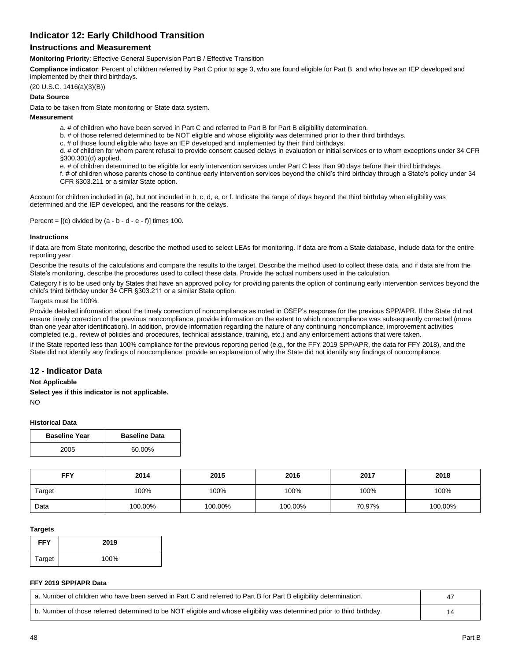# **Indicator 12: Early Childhood Transition**

## **Instructions and Measurement**

**Monitoring Priorit**y: Effective General Supervision Part B / Effective Transition

**Compliance indicator**: Percent of children referred by Part C prior to age 3, who are found eligible for Part B, and who have an IEP developed and implemented by their third birthdays.

(20 U.S.C. 1416(a)(3)(B))

### **Data Source**

Data to be taken from State monitoring or State data system.

#### **Measurement**

- a. # of children who have been served in Part C and referred to Part B for Part B eligibility determination.
- b. # of those referred determined to be NOT eligible and whose eligibility was determined prior to their third birthdays.
- c. # of those found eligible who have an IEP developed and implemented by their third birthdays.

d. # of children for whom parent refusal to provide consent caused delays in evaluation or initial services or to whom exceptions under 34 CFR §300.301(d) applied.

e. # of children determined to be eligible for early intervention services under Part C less than 90 days before their third birthdays.

f. # of children whose parents chose to continue early intervention services beyond the child's third birthday through a State's policy under 34 CFR §303.211 or a similar State option.

Account for children included in (a), but not included in b, c, d, e, or f. Indicate the range of days beyond the third birthday when eligibility was determined and the IEP developed, and the reasons for the delays.

Percent =  $[(c)$  divided by  $(a - b - d - e - f)]$  times 100.

#### **Instructions**

If data are from State monitoring, describe the method used to select LEAs for monitoring. If data are from a State database, include data for the entire reporting year.

Describe the results of the calculations and compare the results to the target. Describe the method used to collect these data, and if data are from the State's monitoring, describe the procedures used to collect these data. Provide the actual numbers used in the calculation.

Category f is to be used only by States that have an approved policy for providing parents the option of continuing early intervention services beyond the child's third birthday under 34 CFR §303.211 or a similar State option.

#### Targets must be 100%.

Provide detailed information about the timely correction of noncompliance as noted in OSEP's response for the previous SPP/APR. If the State did not ensure timely correction of the previous noncompliance, provide information on the extent to which noncompliance was subsequently corrected (more than one year after identification). In addition, provide information regarding the nature of any continuing noncompliance, improvement activities completed (e.g., review of policies and procedures, technical assistance, training, etc.) and any enforcement actions that were taken.

If the State reported less than 100% compliance for the previous reporting period (e.g., for the FFY 2019 SPP/APR, the data for FFY 2018), and the State did not identify any findings of noncompliance, provide an explanation of why the State did not identify any findings of noncompliance.

## **12 - Indicator Data**

#### **Not Applicable**

**Select yes if this indicator is not applicable.**

NO

#### **Historical Data**

| <b>Baseline Year</b> | <b>Baseline Data</b> |
|----------------------|----------------------|
| 2005                 | 60.00%               |

| <b>FFY</b> | 2014    | 2015    | 2016    | 2017   | 2018    |
|------------|---------|---------|---------|--------|---------|
| Target     | 100%    | 100%    | 100%    | 100%   | 100%    |
| Data       | 100.00% | 100.00% | 100.00% | 70.97% | 100.00% |

#### **Targets**

| <b>FFY</b> | 2019 |
|------------|------|
| Target     | 100% |

### **FFY 2019 SPP/APR Data**

| a. Number of children who have been served in Part C and referred to Part B for Part B eligibility determination.       |  |
|-------------------------------------------------------------------------------------------------------------------------|--|
| b. Number of those referred determined to be NOT eligible and whose eligibility was determined prior to third birthday. |  |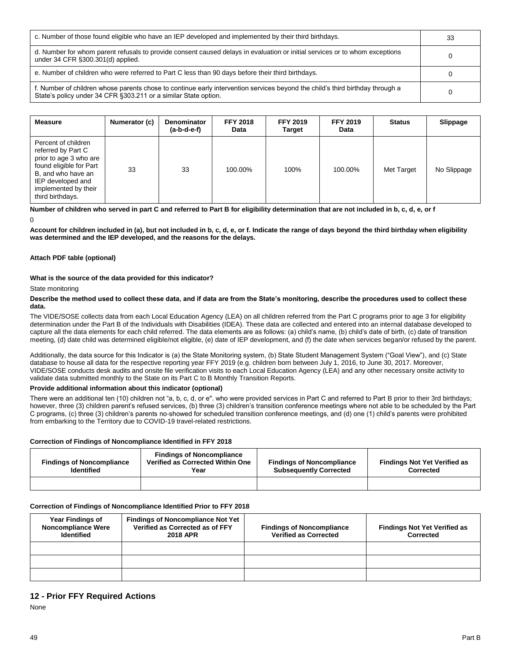| c. Number of those found eligible who have an IEP developed and implemented by their third birthdays.                                                                                             | 33 |
|---------------------------------------------------------------------------------------------------------------------------------------------------------------------------------------------------|----|
| d. Number for whom parent refusals to provide consent caused delays in evaluation or initial services or to whom exceptions<br>under 34 CFR §300.301(d) applied.                                  |    |
| e. Number of children who were referred to Part C less than 90 days before their third birthdays.                                                                                                 |    |
| f. Number of children whose parents chose to continue early intervention services beyond the child's third birthday through a<br>State's policy under 34 CFR § 303.211 or a similar State option. |    |

| <b>Measure</b>                                                                                                                                                                        | Numerator (c) | <b>Denominator</b><br>$(a-b-d-e-f)$ | <b>FFY 2018</b><br>Data | <b>FFY 2019</b><br>Target | <b>FFY 2019</b><br>Data | <b>Status</b> | Slippage    |
|---------------------------------------------------------------------------------------------------------------------------------------------------------------------------------------|---------------|-------------------------------------|-------------------------|---------------------------|-------------------------|---------------|-------------|
| Percent of children<br>referred by Part C<br>prior to age 3 who are<br>found eligible for Part<br>B, and who have an<br>IEP developed and<br>implemented by their<br>third birthdays. | 33            | 33                                  | 100.00%                 | 100%                      | 100.00%                 | Met Target    | No Slippage |

# **Number of children who served in part C and referred to Part B for eligibility determination that are not included in b, c, d, e, or f**

 $\Omega$ 

**Account for children included in (a), but not included in b, c, d, e, or f. Indicate the range of days beyond the third birthday when eligibility was determined and the IEP developed, and the reasons for the delays.**

## **Attach PDF table (optional)**

### **What is the source of the data provided for this indicator?**

#### State monitoring

#### **Describe the method used to collect these data, and if data are from the State's monitoring, describe the procedures used to collect these data.**

The VIDE/SOSE collects data from each Local Education Agency (LEA) on all children referred from the Part C programs prior to age 3 for eligibility determination under the Part B of the Individuals with Disabilities (IDEA). These data are collected and entered into an internal database developed to capture all the data elements for each child referred. The data elements are as follows: (a) child's name, (b) child's date of birth, (c) date of transition meeting, (d) date child was determined eligible/not eligible, (e) date of IEP development, and (f) the date when services began/or refused by the parent.

Additionally, the data source for this Indicator is (a) the State Monitoring system, (b) State Student Management System ("Goal View"), and (c) State database to house all data for the respective reporting year FFY 2019 (e.g. children born between July 1, 2016, to June 30, 2017. Moreover, VIDE/SOSE conducts desk audits and onsite file verification visits to each Local Education Agency (LEA) and any other necessary onsite activity to validate data submitted monthly to the State on its Part C to B Monthly Transition Reports.

#### **Provide additional information about this indicator (optional)**

There were an additional ten (10) children not "a, b, c, d, or e". who were provided services in Part C and referred to Part B prior to their 3rd birthdays; however, three (3) children parent's refused services, (b) three (3) children's transition conference meetings where not able to be scheduled by the Part C programs, (c) three (3) children's parents no-showed for scheduled transition conference meetings, and (d) one (1) child's parents were prohibited from embarking to the Territory due to COVID-19 travel-related restrictions.

## **Correction of Findings of Noncompliance Identified in FFY 2018**

| <b>Findings of Noncompliance</b><br><b>Identified</b> | <b>Findings of Noncompliance</b><br>Verified as Corrected Within One<br>Year | <b>Findings of Noncompliance</b><br><b>Subsequently Corrected</b> | <b>Findings Not Yet Verified as</b><br><b>Corrected</b> |  |
|-------------------------------------------------------|------------------------------------------------------------------------------|-------------------------------------------------------------------|---------------------------------------------------------|--|
|                                                       |                                                                              |                                                                   |                                                         |  |

## **Correction of Findings of Noncompliance Identified Prior to FFY 2018**

| <b>Year Findings of</b><br><b>Noncompliance Were</b><br><b>Identified</b> | <b>Findings of Noncompliance Not Yet</b><br>Verified as Corrected as of FFY<br><b>2018 APR</b> | <b>Findings of Noncompliance</b><br><b>Verified as Corrected</b> | <b>Findings Not Yet Verified as</b><br>Corrected |
|---------------------------------------------------------------------------|------------------------------------------------------------------------------------------------|------------------------------------------------------------------|--------------------------------------------------|
|                                                                           |                                                                                                |                                                                  |                                                  |
|                                                                           |                                                                                                |                                                                  |                                                  |
|                                                                           |                                                                                                |                                                                  |                                                  |

# **12 - Prior FFY Required Actions**

None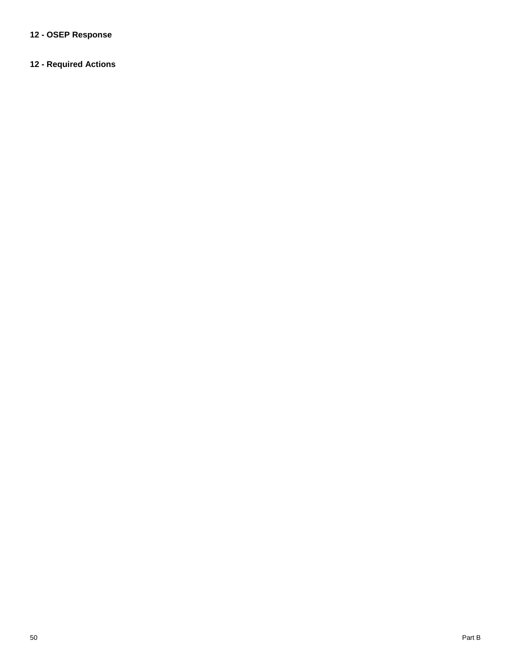# **12 - OSEP Response**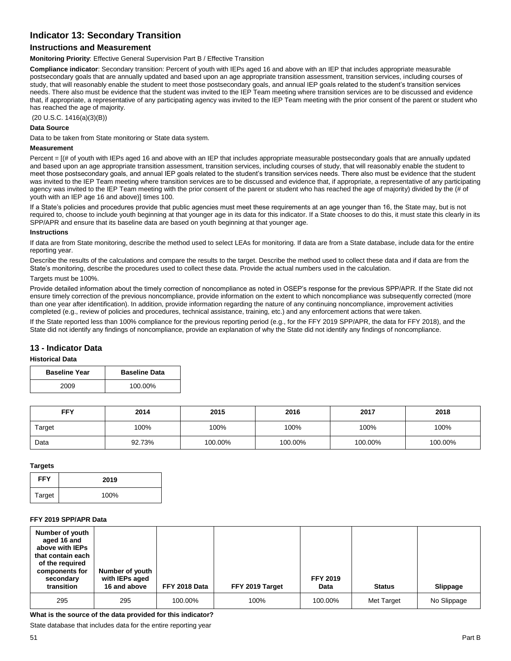# **Indicator 13: Secondary Transition**

# **Instructions and Measurement**

**Monitoring Priority**: Effective General Supervision Part B / Effective Transition

**Compliance indicator**: Secondary transition: Percent of youth with IEPs aged 16 and above with an IEP that includes appropriate measurable postsecondary goals that are annually updated and based upon an age appropriate transition assessment, transition services, including courses of study, that will reasonably enable the student to meet those postsecondary goals, and annual IEP goals related to the student's transition services needs. There also must be evidence that the student was invited to the IEP Team meeting where transition services are to be discussed and evidence that, if appropriate, a representative of any participating agency was invited to the IEP Team meeting with the prior consent of the parent or student who has reached the age of majority.

(20 U.S.C. 1416(a)(3)(B))

### **Data Source**

Data to be taken from State monitoring or State data system.

#### **Measurement**

Percent = [(# of youth with IEPs aged 16 and above with an IEP that includes appropriate measurable postsecondary goals that are annually updated and based upon an age appropriate transition assessment, transition services, including courses of study, that will reasonably enable the student to meet those postsecondary goals, and annual IEP goals related to the student's transition services needs. There also must be evidence that the student was invited to the IEP Team meeting where transition services are to be discussed and evidence that, if appropriate, a representative of any participating agency was invited to the IEP Team meeting with the prior consent of the parent or student who has reached the age of majority) divided by the (# of youth with an IEP age 16 and above)] times 100.

If a State's policies and procedures provide that public agencies must meet these requirements at an age younger than 16, the State may, but is not required to, choose to include youth beginning at that younger age in its data for this indicator. If a State chooses to do this, it must state this clearly in its SPP/APR and ensure that its baseline data are based on youth beginning at that younger age.

#### **Instructions**

If data are from State monitoring, describe the method used to select LEAs for monitoring. If data are from a State database, include data for the entire reporting year.

Describe the results of the calculations and compare the results to the target. Describe the method used to collect these data and if data are from the State's monitoring, describe the procedures used to collect these data. Provide the actual numbers used in the calculation.

Targets must be 100%.

Provide detailed information about the timely correction of noncompliance as noted in OSEP's response for the previous SPP/APR. If the State did not ensure timely correction of the previous noncompliance, provide information on the extent to which noncompliance was subsequently corrected (more than one year after identification). In addition, provide information regarding the nature of any continuing noncompliance, improvement activities completed (e.g., review of policies and procedures, technical assistance, training, etc.) and any enforcement actions that were taken.

If the State reported less than 100% compliance for the previous reporting period (e.g., for the FFY 2019 SPP/APR, the data for FFY 2018), and the State did not identify any findings of noncompliance, provide an explanation of why the State did not identify any findings of noncompliance.

## **13 - Indicator Data**

### **Historical Data**

| <b>Baseline Year</b> | <b>Baseline Data</b> |
|----------------------|----------------------|
| 2009                 | 100.00%              |

| <b>FFY</b> | 2014   | 2015    | 2016    | 2017    | 2018    |
|------------|--------|---------|---------|---------|---------|
| Target     | 100%   | 100%    | 100%    | 100%    | 100%    |
| Data       | 92.73% | 100.00% | 100.00% | 100.00% | 100.00% |

#### **Targets**

| <b>FFY</b> | 2019 |
|------------|------|
| Target     | 100% |

#### **FFY 2019 SPP/APR Data**

| Number of youth<br>aged 16 and<br>above with IEPs<br>that contain each<br>of the required<br>components for<br>secondary<br>transition | Number of youth<br>with IEPs aged<br>16 and above | FFY 2018 Data | FFY 2019 Target | <b>FFY 2019</b><br>Data | <b>Status</b> | Slippage    |
|----------------------------------------------------------------------------------------------------------------------------------------|---------------------------------------------------|---------------|-----------------|-------------------------|---------------|-------------|
| 295                                                                                                                                    | 295                                               | 100.00%       | 100%            | 100.00%                 | Met Target    | No Slippage |

**What is the source of the data provided for this indicator?** 

State database that includes data for the entire reporting year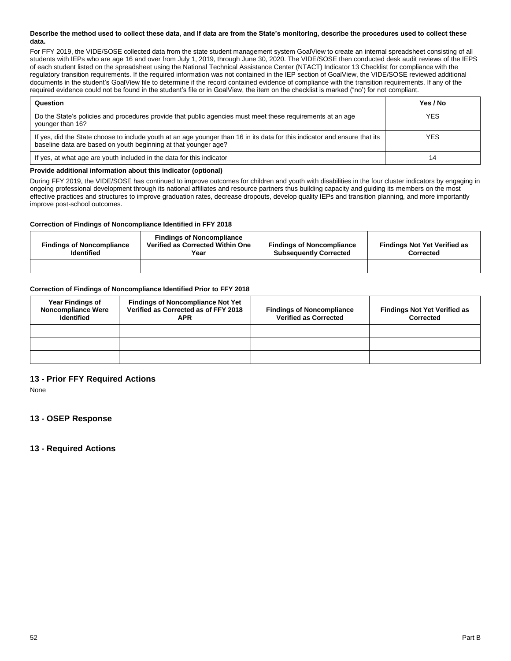#### **Describe the method used to collect these data, and if data are from the State's monitoring, describe the procedures used to collect these data.**

For FFY 2019, the VIDE/SOSE collected data from the state student management system GoalView to create an internal spreadsheet consisting of all students with IEPs who are age 16 and over from July 1, 2019, through June 30, 2020. The VIDE/SOSE then conducted desk audit reviews of the IEPS of each student listed on the spreadsheet using the National Technical Assistance Center (NTACT) Indicator 13 Checklist for compliance with the regulatory transition requirements. If the required information was not contained in the IEP section of GoalView, the VIDE/SOSE reviewed additional documents in the student's GoalView file to determine if the record contained evidence of compliance with the transition requirements. If any of the required evidence could not be found in the student's file or in GoalView, the item on the checklist is marked ("no') for not compliant.

| Question                                                                                                                                                                                      | Yes / No   |
|-----------------------------------------------------------------------------------------------------------------------------------------------------------------------------------------------|------------|
| Do the State's policies and procedures provide that public agencies must meet these requirements at an age<br>younger than 16?                                                                | <b>YES</b> |
| If yes, did the State choose to include youth at an age younger than 16 in its data for this indicator and ensure that its<br>baseline data are based on youth beginning at that younger age? | <b>YES</b> |
| If yes, at what age are youth included in the data for this indicator                                                                                                                         | 14         |

#### **Provide additional information about this indicator (optional)**

During FFY 2019, the VIDE/SOSE has continued to improve outcomes for children and youth with disabilities in the four cluster indicators by engaging in ongoing professional development through its national affiliates and resource partners thus building capacity and guiding its members on the most effective practices and structures to improve graduation rates, decrease dropouts, develop quality IEPs and transition planning, and more importantly improve post-school outcomes.

### **Correction of Findings of Noncompliance Identified in FFY 2018**

| <b>Findings of Noncompliance</b><br><b>Identified</b> | <b>Findings of Noncompliance</b><br>Verified as Corrected Within One<br>Year | <b>Findings of Noncompliance</b><br><b>Subsequently Corrected</b> | <b>Findings Not Yet Verified as</b><br>Corrected |  |
|-------------------------------------------------------|------------------------------------------------------------------------------|-------------------------------------------------------------------|--------------------------------------------------|--|
|                                                       |                                                                              |                                                                   |                                                  |  |

## **Correction of Findings of Noncompliance Identified Prior to FFY 2018**

| <b>Year Findings of</b><br><b>Noncompliance Were</b><br><b>Identified</b> | <b>Findings of Noncompliance Not Yet</b><br>Verified as Corrected as of FFY 2018<br><b>APR</b> | <b>Findings of Noncompliance</b><br><b>Verified as Corrected</b> | <b>Findings Not Yet Verified as</b><br>Corrected |
|---------------------------------------------------------------------------|------------------------------------------------------------------------------------------------|------------------------------------------------------------------|--------------------------------------------------|
|                                                                           |                                                                                                |                                                                  |                                                  |
|                                                                           |                                                                                                |                                                                  |                                                  |
|                                                                           |                                                                                                |                                                                  |                                                  |

# **13 - Prior FFY Required Actions**

None

# **13 - OSEP Response**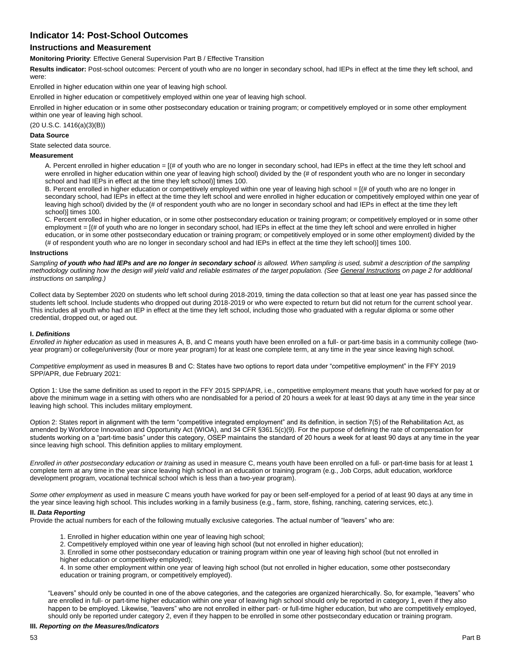# **Indicator 14: Post-School Outcomes**

# **Instructions and Measurement**

**Monitoring Priority**: Effective General Supervision Part B / Effective Transition

**Results indicator:** Post-school outcomes: Percent of youth who are no longer in secondary school, had IEPs in effect at the time they left school, and were:

Enrolled in higher education within one year of leaving high school.

Enrolled in higher education or competitively employed within one year of leaving high school.

Enrolled in higher education or in some other postsecondary education or training program; or competitively employed or in some other employment within one year of leaving high school.

(20 U.S.C. 1416(a)(3)(B))

#### **Data Source**

State selected data source.

#### **Measurement**

A. Percent enrolled in higher education = [(# of youth who are no longer in secondary school, had IEPs in effect at the time they left school and were enrolled in higher education within one year of leaving high school) divided by the (# of respondent youth who are no longer in secondary school and had IEPs in effect at the time they left school)] times 100.

B. Percent enrolled in higher education or competitively employed within one year of leaving high school = [(# of youth who are no longer in secondary school, had IEPs in effect at the time they left school and were enrolled in higher education or competitively employed within one year of leaving high school) divided by the (# of respondent youth who are no longer in secondary school and had IEPs in effect at the time they left school)] times 100.

C. Percent enrolled in higher education, or in some other postsecondary education or training program; or competitively employed or in some other employment =  $[(# of youth who are no longer in secondary school, had IEPs in effect at the time they left school and were enrolled in higher$ education, or in some other postsecondary education or training program; or competitively employed or in some other employment) divided by the (# of respondent youth who are no longer in secondary school and had IEPs in effect at the time they left school)] times 100.

#### **Instructions**

*Sampling of youth who had IEPs and are no longer in secondary school is allowed. When sampling is used, submit a description of the sampling methodology outlining how the design will yield valid and reliable estimates of the target population. (See General Instructions on page 2 for additional instructions on sampling.)*

Collect data by September 2020 on students who left school during 2018-2019, timing the data collection so that at least one year has passed since the students left school. Include students who dropped out during 2018-2019 or who were expected to return but did not return for the current school year. This includes all youth who had an IEP in effect at the time they left school, including those who graduated with a regular diploma or some other credential, dropped out, or aged out.

#### **I.** *Definitions*

*Enrolled in higher education* as used in measures A, B, and C means youth have been enrolled on a full- or part-time basis in a community college (twoyear program) or college/university (four or more year program) for at least one complete term, at any time in the year since leaving high school.

*Competitive employment* as used in measures B and C: States have two options to report data under "competitive employment" in the FFY 2019 SPP/APR, due February 2021:

Option 1: Use the same definition as used to report in the FFY 2015 SPP/APR, i.e., competitive employment means that youth have worked for pay at or above the minimum wage in a setting with others who are nondisabled for a period of 20 hours a week for at least 90 days at any time in the year since leaving high school. This includes military employment.

Option 2: States report in alignment with the term "competitive integrated employment" and its definition, in section 7(5) of the Rehabilitation Act, as amended by Workforce Innovation and Opportunity Act (WIOA), and 34 CFR §361.5(c)(9). For the purpose of defining the rate of compensation for students working on a "part-time basis" under this category, OSEP maintains the standard of 20 hours a week for at least 90 days at any time in the year since leaving high school. This definition applies to military employment.

*Enrolled in other postsecondary education or training* as used in measure C, means youth have been enrolled on a full- or part-time basis for at least 1 complete term at any time in the year since leaving high school in an education or training program (e.g., Job Corps, adult education, workforce development program, vocational technical school which is less than a two-year program).

*Some other employment* as used in measure C means youth have worked for pay or been self-employed for a period of at least 90 days at any time in the year since leaving high school. This includes working in a family business (e.g., farm, store, fishing, ranching, catering services, etc.).

#### **II.** *Data Reporting*

Provide the actual numbers for each of the following mutually exclusive categories. The actual number of "leavers" who are:

- 1. Enrolled in higher education within one year of leaving high school;
- 2. Competitively employed within one year of leaving high school (but not enrolled in higher education);

3. Enrolled in some other postsecondary education or training program within one year of leaving high school (but not enrolled in higher education or competitively employed);

4. In some other employment within one year of leaving high school (but not enrolled in higher education, some other postsecondary education or training program, or competitively employed).

"Leavers" should only be counted in one of the above categories, and the categories are organized hierarchically. So, for example, "leavers" who are enrolled in full- or part-time higher education within one year of leaving high school should only be reported in category 1, even if they also happen to be employed. Likewise, "leavers" who are not enrolled in either part- or full-time higher education, but who are competitively employed, should only be reported under category 2, even if they happen to be enrolled in some other postsecondary education or training program.

#### **III.** *Reporting on the Measures/Indicators*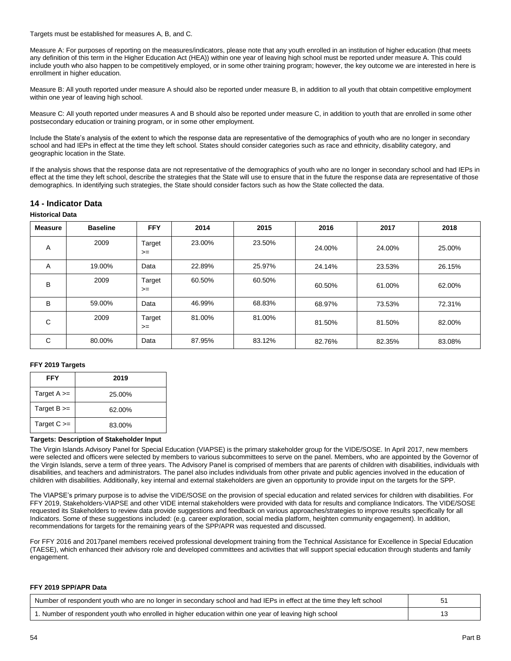Targets must be established for measures A, B, and C.

Measure A: For purposes of reporting on the measures/indicators, please note that any youth enrolled in an institution of higher education (that meets any definition of this term in the Higher Education Act (HEA)) within one year of leaving high school must be reported under measure A. This could include youth who also happen to be competitively employed, or in some other training program; however, the key outcome we are interested in here is enrollment in higher education.

Measure B: All youth reported under measure A should also be reported under measure B, in addition to all youth that obtain competitive employment within one year of leaving high school.

Measure C: All youth reported under measures A and B should also be reported under measure C, in addition to youth that are enrolled in some other postsecondary education or training program, or in some other employment.

Include the State's analysis of the extent to which the response data are representative of the demographics of youth who are no longer in secondary school and had IEPs in effect at the time they left school. States should consider categories such as race and ethnicity, disability category, and geographic location in the State.

If the analysis shows that the response data are not representative of the demographics of youth who are no longer in secondary school and had IEPs in effect at the time they left school, describe the strategies that the State will use to ensure that in the future the response data are representative of those demographics. In identifying such strategies, the State should consider factors such as how the State collected the data.

# **14 - Indicator Data**

### **Historical Data**

| Measure | <b>Baseline</b> | <b>FFY</b>     | 2014   | 2015   | 2016   | 2017   | 2018   |
|---------|-----------------|----------------|--------|--------|--------|--------|--------|
| Α       | 2009            | Target<br>$>=$ | 23.00% | 23.50% | 24.00% | 24.00% | 25.00% |
| Α       | 19.00%          | Data           | 22.89% | 25.97% | 24.14% | 23.53% | 26.15% |
| B       | 2009            | Target<br>$>=$ | 60.50% | 60.50% | 60.50% | 61.00% | 62.00% |
| B       | 59.00%          | Data           | 46.99% | 68.83% | 68.97% | 73.53% | 72.31% |
| С       | 2009            | Target<br>$>=$ | 81.00% | 81.00% | 81.50% | 81.50% | 82.00% |
| С       | 80.00%          | Data           | 87.95% | 83.12% | 82.76% | 82.35% | 83.08% |

## **FFY 2019 Targets**

| FFY             | 2019   |
|-----------------|--------|
| Target $A \geq$ | 25.00% |
| Target $B \geq$ | 62.00% |
| Target $C \geq$ | 83.00% |

#### **Targets: Description of Stakeholder Input**

The Virgin Islands Advisory Panel for Special Education (VIAPSE) is the primary stakeholder group for the VIDE/SOSE. In April 2017, new members were selected and officers were selected by members to various subcommittees to serve on the panel. Members, who are appointed by the Governor of the Virgin Islands, serve a term of three years. The Advisory Panel is comprised of members that are parents of children with disabilities, individuals with disabilities, and teachers and administrators. The panel also includes individuals from other private and public agencies involved in the education of children with disabilities. Additionally, key internal and external stakeholders are given an opportunity to provide input on the targets for the SPP.

The VIAPSE's primary purpose is to advise the VIDE/SOSE on the provision of special education and related services for children with disabilities. For FFY 2019, Stakeholders-VIAPSE and other VIDE internal stakeholders were provided with data for results and compliance Indicators. The VIDE/SOSE requested its Stakeholders to review data provide suggestions and feedback on various approaches/strategies to improve results specifically for all Indicators. Some of these suggestions included: (e.g. career exploration, social media platform, heighten community engagement). In addition, recommendations for targets for the remaining years of the SPP/APR was requested and discussed.

For FFY 2016 and 2017panel members received professional development training from the Technical Assistance for Excellence in Special Education (TAESE), which enhanced their advisory role and developed committees and activities that will support special education through students and family engagement.

#### **FFY 2019 SPP/APR Data**

| Number of respondent youth who are no longer in secondary school and had IEPs in effect at the time they left school b |  |
|------------------------------------------------------------------------------------------------------------------------|--|
| 1. Number of respondent youth who enrolled in higher education within one year of leaving high school                  |  |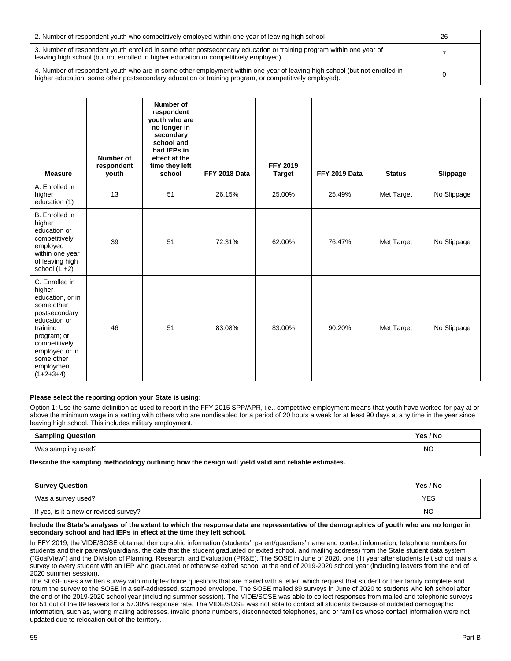| 2. Number of respondent youth who competitively employed within one year of leaving high school                                                                                                                                     | 26 |
|-------------------------------------------------------------------------------------------------------------------------------------------------------------------------------------------------------------------------------------|----|
| 3. Number of respondent youth enrolled in some other postsecondary education or training program within one year of<br>leaving high school (but not enrolled in higher education or competitively employed)                         |    |
| 4. Number of respondent youth who are in some other employment within one year of leaving high school (but not enrolled in<br>higher education, some other postsecondary education or training program, or competitively employed). |    |

| <b>Measure</b>                                                                                                                                                                                       | <b>Number of</b><br>respondent<br>youth | Number of<br>respondent<br>youth who are<br>no longer in<br>secondary<br>school and<br>had IEPs in<br>effect at the<br>time they left<br>school | FFY 2018 Data | <b>FFY 2019</b><br><b>Target</b> | FFY 2019 Data | <b>Status</b> | Slippage    |
|------------------------------------------------------------------------------------------------------------------------------------------------------------------------------------------------------|-----------------------------------------|-------------------------------------------------------------------------------------------------------------------------------------------------|---------------|----------------------------------|---------------|---------------|-------------|
| A. Enrolled in<br>higher<br>education (1)                                                                                                                                                            | 13                                      | 51                                                                                                                                              | 26.15%        | 25.00%                           | 25.49%        | Met Target    | No Slippage |
| <b>B.</b> Enrolled in<br>higher<br>education or<br>competitively<br>employed<br>within one year<br>of leaving high<br>school $(1 + 2)$                                                               | 39                                      | 51                                                                                                                                              | 72.31%        | 62.00%                           | 76.47%        | Met Target    | No Slippage |
| C. Enrolled in<br>higher<br>education, or in<br>some other<br>postsecondary<br>education or<br>training<br>program; or<br>competitively<br>employed or in<br>some other<br>employment<br>$(1+2+3+4)$ | 46                                      | 51                                                                                                                                              | 83.08%        | 83.00%                           | 90.20%        | Met Target    | No Slippage |

#### **Please select the reporting option your State is using:**

Option 1: Use the same definition as used to report in the FFY 2015 SPP/APR, i.e., competitive employment means that youth have worked for pay at or above the minimum wage in a setting with others who are nondisabled for a period of 20 hours a week for at least 90 days at any time in the year since leaving high school. This includes military employment.

| <b>Sampling Question</b> | Yes / No |
|--------------------------|----------|
| Was sampling used?       | NΟ       |

#### **Describe the sampling methodology outlining how the design will yield valid and reliable estimates.**

| <b>Survey Question</b>                 | Yes / No |
|----------------------------------------|----------|
| Was a survey used?                     | YES      |
| If yes, is it a new or revised survey? | NO       |

#### **Include the State's analyses of the extent to which the response data are representative of the demographics of youth who are no longer in secondary school and had IEPs in effect at the time they left school.**

In FFY 2019, the VIDE/SOSE obtained demographic information (students', parent/guardians' name and contact information, telephone numbers for students and their parents/guardians, the date that the student graduated or exited school, and mailing address) from the State student data system ("GoalView") and the Division of Planning, Research, and Evaluation (PR&E). The SOSE in June of 2020, one (1) year after students left school mails a survey to every student with an IEP who graduated or otherwise exited school at the end of 2019-2020 school year (including leavers from the end of 2020 summer session).

The SOSE uses a written survey with multiple-choice questions that are mailed with a letter, which request that student or their family complete and return the survey to the SOSE in a self-addressed, stamped envelope. The SOSE mailed 89 surveys in June of 2020 to students who left school after the end of the 2019-2020 school year (including summer session). The VIDE/SOSE was able to collect responses from mailed and telephonic surveys for 51 out of the 89 leavers for a 57.30% response rate. The VIDE/SOSE was not able to contact all students because of outdated demographic information, such as, wrong mailing addresses, invalid phone numbers, disconnected telephones, and or families whose contact information were not updated due to relocation out of the territory.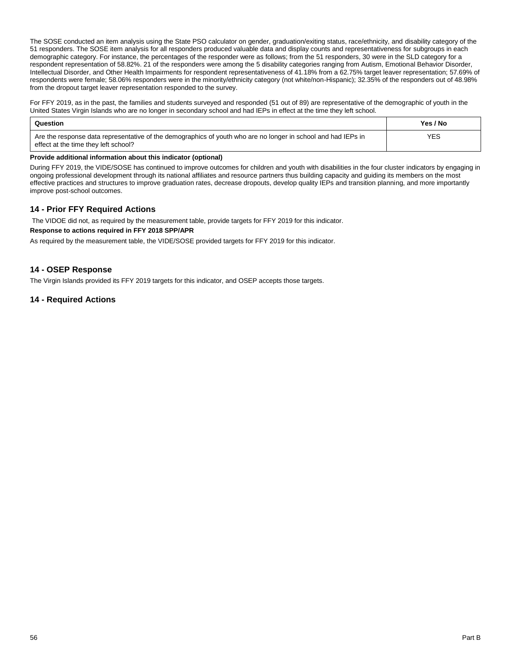The SOSE conducted an item analysis using the State PSO calculator on gender, graduation/exiting status, race/ethnicity, and disability category of the 51 responders. The SOSE item analysis for all responders produced valuable data and display counts and representativeness for subgroups in each demographic category. For instance, the percentages of the responder were as follows; from the 51 responders, 30 were in the SLD category for a respondent representation of 58.82%. 21 of the responders were among the 5 disability categories ranging from Autism, Emotional Behavior Disorder, Intellectual Disorder, and Other Health Impairments for respondent representativeness of 41.18% from a 62.75% target leaver representation; 57.69% of respondents were female; 58.06% responders were in the minority/ethnicity category (not white/non-Hispanic); 32.35% of the responders out of 48.98% from the dropout target leaver representation responded to the survey.

For FFY 2019, as in the past, the families and students surveyed and responded (51 out of 89) are representative of the demographic of youth in the United States Virgin Islands who are no longer in secondary school and had IEPs in effect at the time they left school.

| Question                                                                                                                                              | Yes / No |
|-------------------------------------------------------------------------------------------------------------------------------------------------------|----------|
| Are the response data representative of the demographics of youth who are no longer in school and had IEPs in<br>effect at the time they left school? | YES.     |

### **Provide additional information about this indicator (optional)**

During FFY 2019, the VIDE/SOSE has continued to improve outcomes for children and youth with disabilities in the four cluster indicators by engaging in ongoing professional development through its national affiliates and resource partners thus building capacity and guiding its members on the most effective practices and structures to improve graduation rates, decrease dropouts, develop quality IEPs and transition planning, and more importantly improve post-school outcomes.

# **14 - Prior FFY Required Actions**

The VIDOE did not, as required by the measurement table, provide targets for FFY 2019 for this indicator.

### **Response to actions required in FFY 2018 SPP/APR**

As required by the measurement table, the VIDE/SOSE provided targets for FFY 2019 for this indicator.

# **14 - OSEP Response**

The Virgin Islands provided its FFY 2019 targets for this indicator, and OSEP accepts those targets.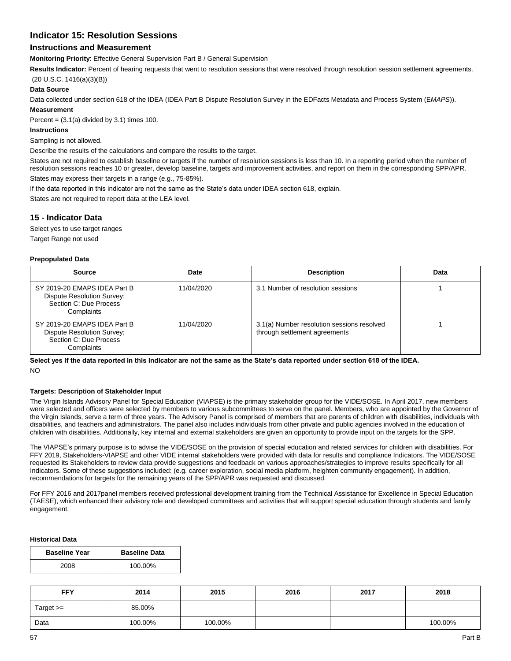# **Indicator 15: Resolution Sessions**

# **Instructions and Measurement**

**Monitoring Priority**: Effective General Supervision Part B / General Supervision

**Results Indicator:** Percent of hearing requests that went to resolution sessions that were resolved through resolution session settlement agreements.

(20 U.S.C. 1416(a)(3)(B))

### **Data Source**

Data collected under section 618 of the IDEA (IDEA Part B Dispute Resolution Survey in the EDFacts Metadata and Process System (E*MAPS*)).

# **Measurement**

Percent =  $(3.1(a)$  divided by 3.1) times 100.

# **Instructions**

Sampling is not allowed.

Describe the results of the calculations and compare the results to the target.

States are not required to establish baseline or targets if the number of resolution sessions is less than 10. In a reporting period when the number of resolution sessions reaches 10 or greater, develop baseline, targets and improvement activities, and report on them in the corresponding SPP/APR. States may express their targets in a range (e.g., 75-85%).

If the data reported in this indicator are not the same as the State's data under IDEA section 618, explain.

States are not required to report data at the LEA level.

# **15 - Indicator Data**

Select yes to use target ranges

# Target Range not used

#### **Prepopulated Data**

| <b>Source</b>                                                                                      | Date       | <b>Description</b>                                                          | Data |
|----------------------------------------------------------------------------------------------------|------------|-----------------------------------------------------------------------------|------|
| SY 2019-20 EMAPS IDEA Part B<br>Dispute Resolution Survey;<br>Section C: Due Process<br>Complaints | 11/04/2020 | 3.1 Number of resolution sessions                                           |      |
| SY 2019-20 EMAPS IDEA Part B<br>Dispute Resolution Survey;<br>Section C: Due Process<br>Complaints | 11/04/2020 | 3.1(a) Number resolution sessions resolved<br>through settlement agreements |      |

**Select yes if the data reported in this indicator are not the same as the State's data reported under section 618 of the IDEA.** NO

#### **Targets: Description of Stakeholder Input**

The Virgin Islands Advisory Panel for Special Education (VIAPSE) is the primary stakeholder group for the VIDE/SOSE. In April 2017, new members were selected and officers were selected by members to various subcommittees to serve on the panel. Members, who are appointed by the Governor of the Virgin Islands, serve a term of three years. The Advisory Panel is comprised of members that are parents of children with disabilities, individuals with disabilities, and teachers and administrators. The panel also includes individuals from other private and public agencies involved in the education of children with disabilities. Additionally, key internal and external stakeholders are given an opportunity to provide input on the targets for the SPP.

The VIAPSE's primary purpose is to advise the VIDE/SOSE on the provision of special education and related services for children with disabilities. For FFY 2019, Stakeholders-VIAPSE and other VIDE internal stakeholders were provided with data for results and compliance Indicators. The VIDE/SOSE requested its Stakeholders to review data provide suggestions and feedback on various approaches/strategies to improve results specifically for all Indicators. Some of these suggestions included: (e.g. career exploration, social media platform, heighten community engagement). In addition, recommendations for targets for the remaining years of the SPP/APR was requested and discussed.

For FFY 2016 and 2017panel members received professional development training from the Technical Assistance for Excellence in Special Education (TAESE), which enhanced their advisory role and developed committees and activities that will support special education through students and family engagement.

#### **Historical Data**

| <b>Baseline Year</b> | <b>Baseline Data</b> |
|----------------------|----------------------|
| 2008                 | 100.00%              |

| <b>FFY</b>  | 2014    | 2015    | 2016 | 2017 | 2018    |
|-------------|---------|---------|------|------|---------|
| Target $>=$ | 85.00%  |         |      |      |         |
| Data        | 100.00% | 100.00% |      |      | 100.00% |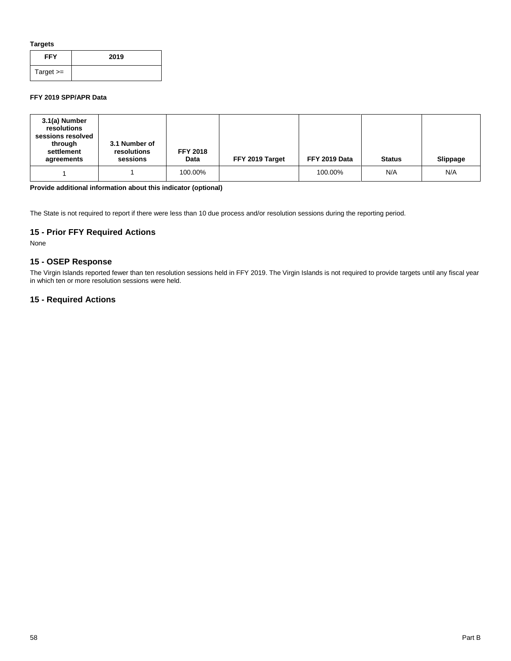**Targets**

| <b>FFY</b>  | 2019 |
|-------------|------|
| Target $>=$ |      |

## **FFY 2019 SPP/APR Data**

| 3.1(a) Number<br>resolutions<br>sessions resolved<br>through<br>settlement<br>agreements | 3.1 Number of<br>resolutions<br>sessions | <b>FFY 2018</b><br>Data | FFY 2019 Target | FFY 2019 Data | <b>Status</b> | <b>Slippage</b> |
|------------------------------------------------------------------------------------------|------------------------------------------|-------------------------|-----------------|---------------|---------------|-----------------|
|                                                                                          |                                          | 100.00%                 |                 | 100.00%       | N/A           | N/A             |

# **Provide additional information about this indicator (optional)**

The State is not required to report if there were less than 10 due process and/or resolution sessions during the reporting period.

# **15 - Prior FFY Required Actions**

None

# **15 - OSEP Response**

The Virgin Islands reported fewer than ten resolution sessions held in FFY 2019. The Virgin Islands is not required to provide targets until any fiscal year in which ten or more resolution sessions were held.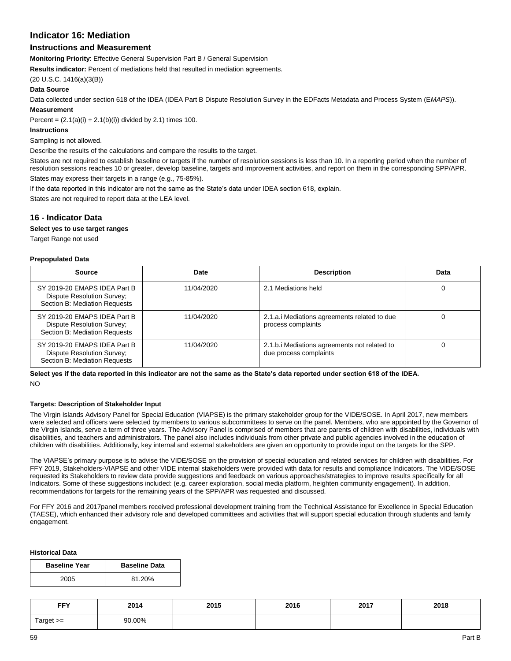# **Indicator 16: Mediation**

# **Instructions and Measurement**

**Monitoring Priority**: Effective General Supervision Part B / General Supervision

**Results indicator:** Percent of mediations held that resulted in mediation agreements.

(20 U.S.C. 1416(a)(3(B))

#### **Data Source**

Data collected under section 618 of the IDEA (IDEA Part B Dispute Resolution Survey in the EDFacts Metadata and Process System (E*MAPS*)). **Measurement**

Percent =  $(2.1(a)(i) + 2.1(b)(i))$  divided by 2.1) times 100.

#### **Instructions**

Sampling is not allowed.

Describe the results of the calculations and compare the results to the target.

States are not required to establish baseline or targets if the number of resolution sessions is less than 10. In a reporting period when the number of resolution sessions reaches 10 or greater, develop baseline, targets and improvement activities, and report on them in the corresponding SPP/APR. States may express their targets in a range (e.g., 75-85%).

If the data reported in this indicator are not the same as the State's data under IDEA section 618, explain.

States are not required to report data at the LEA level.

# **16 - Indicator Data**

## **Select yes to use target ranges**

Target Range not used

#### **Prepopulated Data**

| Source                                                                                             | Date       | <b>Description</b>                                                     | Data |
|----------------------------------------------------------------------------------------------------|------------|------------------------------------------------------------------------|------|
| SY 2019-20 EMAPS IDEA Part B<br>Dispute Resolution Survey;<br>Section B: Mediation Requests        | 11/04/2020 | 2.1 Mediations held                                                    |      |
| SY 2019-20 EMAPS IDEA Part B<br><b>Dispute Resolution Survey:</b><br>Section B: Mediation Requests | 11/04/2020 | 2.1.a.i Mediations agreements related to due<br>process complaints     |      |
| SY 2019-20 EMAPS IDEA Part B<br>Dispute Resolution Survey;<br>Section B: Mediation Requests        | 11/04/2020 | 2.1.b. iMediations agreements not related to<br>due process complaints |      |

**Select yes if the data reported in this indicator are not the same as the State's data reported under section 618 of the IDEA.** NO

#### **Targets: Description of Stakeholder Input**

The Virgin Islands Advisory Panel for Special Education (VIAPSE) is the primary stakeholder group for the VIDE/SOSE. In April 2017, new members were selected and officers were selected by members to various subcommittees to serve on the panel. Members, who are appointed by the Governor of the Virgin Islands, serve a term of three years. The Advisory Panel is comprised of members that are parents of children with disabilities, individuals with disabilities, and teachers and administrators. The panel also includes individuals from other private and public agencies involved in the education of children with disabilities. Additionally, key internal and external stakeholders are given an opportunity to provide input on the targets for the SPP.

The VIAPSE's primary purpose is to advise the VIDE/SOSE on the provision of special education and related services for children with disabilities. For FFY 2019, Stakeholders-VIAPSE and other VIDE internal stakeholders were provided with data for results and compliance Indicators. The VIDE/SOSE requested its Stakeholders to review data provide suggestions and feedback on various approaches/strategies to improve results specifically for all Indicators. Some of these suggestions included: (e.g. career exploration, social media platform, heighten community engagement). In addition, recommendations for targets for the remaining years of the SPP/APR was requested and discussed.

For FFY 2016 and 2017panel members received professional development training from the Technical Assistance for Excellence in Special Education (TAESE), which enhanced their advisory role and developed committees and activities that will support special education through students and family engagement.

## **Historical Data**

| <b>Baseline Year</b> | <b>Baseline Data</b> |
|----------------------|----------------------|
| 2005                 | 81.20%               |

| EEV<br>.       | 2014   | 2015 | 2016 | 2017 | 2018 |
|----------------|--------|------|------|------|------|
| ⊺arget<br>$>=$ | 90.00% |      |      |      |      |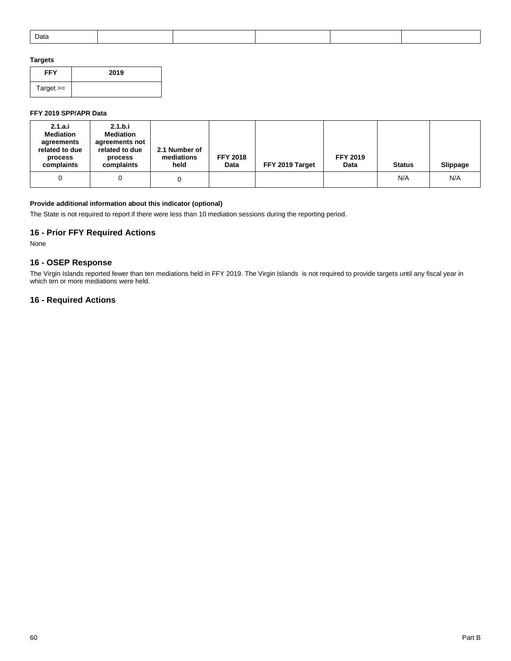|  |  | Data |  |  |  |  |  |
|--|--|------|--|--|--|--|--|
|--|--|------|--|--|--|--|--|

# **Targets**

| <b>FFY</b>  | 2019 |
|-------------|------|
| Target $>=$ |      |

# **FFY 2019 SPP/APR Data**

| 2.1.a.i<br><b>Mediation</b><br>agreements<br>related to due<br>process<br>complaints | 2.1.b.i<br><b>Mediation</b><br>agreements not<br>related to due<br>process<br>complaints | 2.1 Number of<br>mediations<br>held | <b>FFY 2018</b><br>Data | FFY 2019 Target | <b>FFY 2019</b><br>Data | <b>Status</b> | Slippage |
|--------------------------------------------------------------------------------------|------------------------------------------------------------------------------------------|-------------------------------------|-------------------------|-----------------|-------------------------|---------------|----------|
|                                                                                      |                                                                                          |                                     |                         |                 |                         | N/A           | N/A      |

# **Provide additional information about this indicator (optional)**

The State is not required to report if there were less than 10 mediation sessions during the reporting period.

# **16 - Prior FFY Required Actions**

None

# **16 - OSEP Response**

The Virgin Islands reported fewer than ten mediations held in FFY 2019. The Virgin Islands is not required to provide targets until any fiscal year in which ten or more mediations were held.